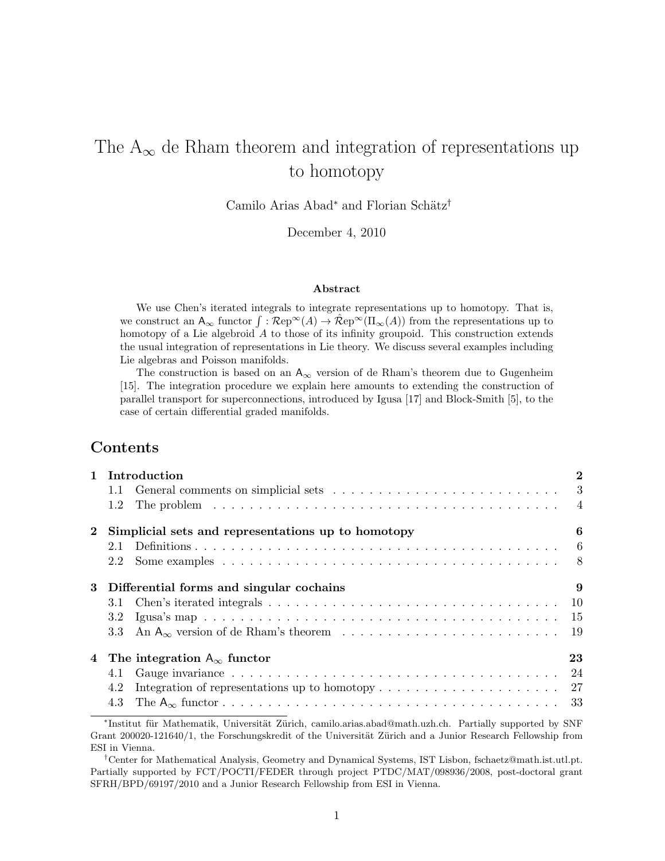# The  $A_{\infty}$  de Rham theorem and integration of representations up to homotopy

Camilo Arias Abad<sup>∗</sup> and Florian Schätz<sup>†</sup>

December 4, 2010

#### Abstract

We use Chen's iterated integrals to integrate representations up to homotopy. That is, we construct an  $A_{\infty}$  functor  $\int \overline{R}e^{i\omega}(A) \to \hat{R}e^{i\omega}(I\!I_{\infty}(A))$  from the representations up to homotopy of a Lie algebroid A to those of its infinity groupoid. This construction extends the usual integration of representations in Lie theory. We discuss several examples including Lie algebras and Poisson manifolds.

The construction is based on an  $A_{\infty}$  version of de Rham's theorem due to Gugenheim [15]. The integration procedure we explain here amounts to extending the construction of parallel transport for superconnections, introduced by Igusa [17] and Block-Smith [5], to the case of certain differential graded manifolds.

# Contents

|              | 1 Introduction                                                                                                            | $\bf{2}$ |  |  |
|--------------|---------------------------------------------------------------------------------------------------------------------------|----------|--|--|
|              | 1.1 General comments on simplicial sets $\ldots \ldots \ldots \ldots \ldots \ldots \ldots \ldots \ldots$                  |          |  |  |
|              | The problem $\ldots \ldots \ldots \ldots \ldots \ldots \ldots \ldots \ldots \ldots \ldots \ldots$<br>1.2                  |          |  |  |
| $\mathbf{2}$ | Simplicial sets and representations up to homotopy                                                                        | 6        |  |  |
|              | 2.1                                                                                                                       |          |  |  |
|              | 2.2                                                                                                                       |          |  |  |
| 3            | Differential forms and singular cochains                                                                                  |          |  |  |
|              | Chen's iterated integrals $\ldots \ldots \ldots \ldots \ldots \ldots \ldots \ldots \ldots \ldots \ldots \ldots 10$<br>3.1 |          |  |  |
|              | 3.2                                                                                                                       |          |  |  |
|              | 3.3                                                                                                                       |          |  |  |
| 4            | The integration $A_{\infty}$ functor                                                                                      | 23       |  |  |
|              | 4.1                                                                                                                       |          |  |  |
|              | Integration of representations up to homotopy $\dots \dots \dots \dots \dots \dots \dots \dots \dots$ 27<br>4.2           |          |  |  |
|              | 4.3                                                                                                                       |          |  |  |

<sup>\*</sup>Institut für Mathematik, Universität Zürich, camilo.arias.abad@math.uzh.ch. Partially supported by SNF Grant 200020-121640/1, the Forschungskredit of the Universität Zürich and a Junior Research Fellowship from ESI in Vienna.

<sup>†</sup>Center for Mathematical Analysis, Geometry and Dynamical Systems, IST Lisbon, fschaetz@math.ist.utl.pt. Partially supported by FCT/POCTI/FEDER through project PTDC/MAT/098936/2008, post-doctoral grant SFRH/BPD/69197/2010 and a Junior Research Fellowship from ESI in Vienna.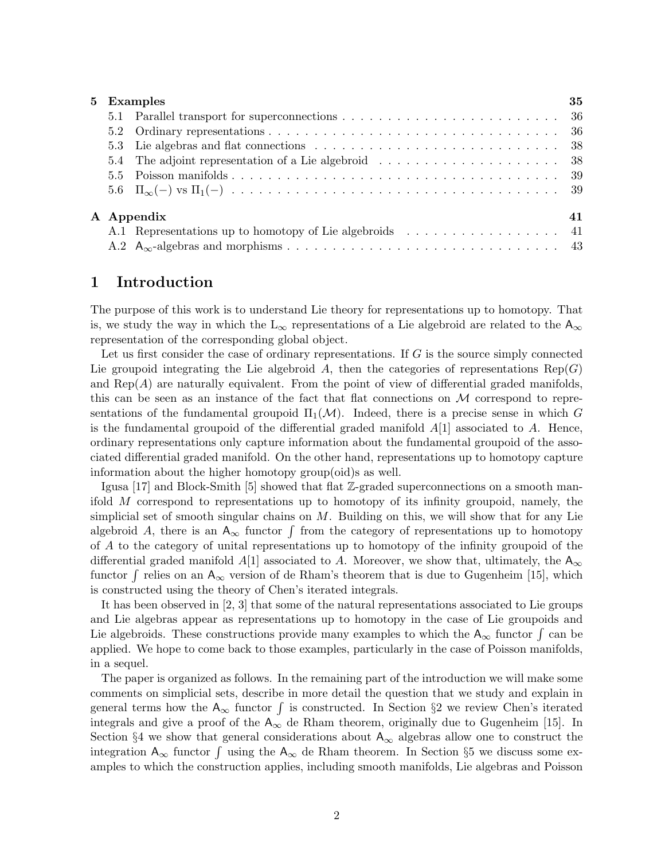| 5 Examples |                  |  | 35 |
|------------|------------------|--|----|
|            |                  |  |    |
|            |                  |  |    |
|            |                  |  |    |
|            |                  |  |    |
|            |                  |  |    |
|            |                  |  |    |
|            | A Appendix<br>41 |  |    |
|            |                  |  |    |
|            |                  |  |    |

# 1 Introduction

The purpose of this work is to understand Lie theory for representations up to homotopy. That is, we study the way in which the  $L_{\infty}$  representations of a Lie algebroid are related to the  $A_{\infty}$ representation of the corresponding global object.

Let us first consider the case of ordinary representations. If  $G$  is the source simply connected Lie groupoid integrating the Lie algebroid A, then the categories of representations  $\text{Rep}(G)$ and  $\text{Rep}(A)$  are naturally equivalent. From the point of view of differential graded manifolds, this can be seen as an instance of the fact that flat connections on  $\mathcal M$  correspond to representations of the fundamental groupoid  $\Pi_1(\mathcal{M})$ . Indeed, there is a precise sense in which G is the fundamental groupoid of the differential graded manifold  $A[1]$  associated to A. Hence, ordinary representations only capture information about the fundamental groupoid of the associated differential graded manifold. On the other hand, representations up to homotopy capture information about the higher homotopy group(oid)s as well.

Igusa [17] and Block-Smith [5] showed that flat Z-graded superconnections on a smooth manifold M correspond to representations up to homotopy of its infinity groupoid, namely, the simplicial set of smooth singular chains on  $M$ . Building on this, we will show that for any Lie algebroid A, there is an  $A_{\infty}$  functor  $\int$  from the category of representations up to homotopy of A to the category of unital representations up to homotopy of the infinity groupoid of the differential graded manifold A[1] associated to A. Moreover, we show that, ultimately, the  $A_{\infty}$ functor  $\int$  relies on an  $A_{\infty}$  version of de Rham's theorem that is due to Gugenheim [15], which is constructed using the theory of Chen's iterated integrals.

It has been observed in [2, 3] that some of the natural representations associated to Lie groups and Lie algebras appear as representations up to homotopy in the case of Lie groupoids and Lie algebroids. These constructions provide many examples to which the  $A_{\infty}$  functor  $\int$  can be applied. We hope to come back to those examples, particularly in the case of Poisson manifolds, in a sequel.

The paper is organized as follows. In the remaining part of the introduction we will make some comments on simplicial sets, describe in more detail the question that we study and explain in general terms how the  $A_{\infty}$  functor  $\int$  is constructed. In Section §2 we review Chen's iterated integrals and give a proof of the  $A_{\infty}$  de Rham theorem, originally due to Gugenheim [15]. In Section §4 we show that general considerations about  $A_{\infty}$  algebras allow one to construct the integration  $A_{\infty}$  functor  $\int$  using the  $A_{\infty}$  de Rham theorem. In Section §5 we discuss some examples to which the construction applies, including smooth manifolds, Lie algebras and Poisson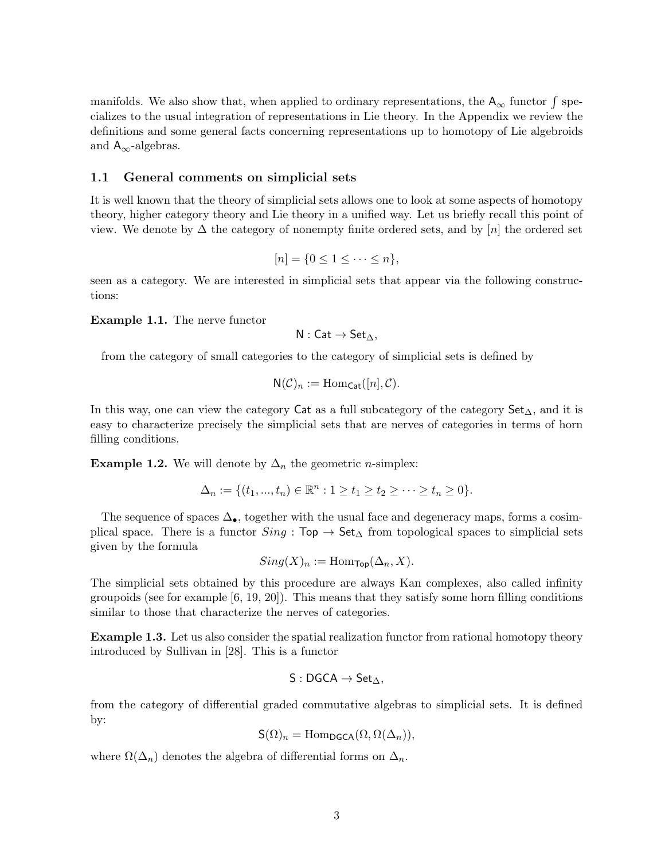manifolds. We also show that, when applied to ordinary representations, the  $A_{\infty}$  functor  $\int$  specializes to the usual integration of representations in Lie theory. In the Appendix we review the definitions and some general facts concerning representations up to homotopy of Lie algebroids and  $A_{\infty}$ -algebras.

### 1.1 General comments on simplicial sets

It is well known that the theory of simplicial sets allows one to look at some aspects of homotopy theory, higher category theory and Lie theory in a unified way. Let us briefly recall this point of view. We denote by  $\Delta$  the category of nonempty finite ordered sets, and by [n] the ordered set

$$
[n] = \{0 \le 1 \le \cdots \le n\},\
$$

seen as a category. We are interested in simplicial sets that appear via the following constructions:

Example 1.1. The nerve functor

$$
N: \mathsf{Cat} \to \mathsf{Set}_{\Delta},
$$

from the category of small categories to the category of simplicial sets is defined by

$$
N(\mathcal{C})_n := \mathrm{Hom}_{\mathsf{Cat}}([n], \mathcal{C}).
$$

In this way, one can view the category Cat as a full subcategory of the category  $Set_{\Delta}$ , and it is easy to characterize precisely the simplicial sets that are nerves of categories in terms of horn filling conditions.

**Example 1.2.** We will denote by  $\Delta_n$  the geometric *n*-simplex:

$$
\Delta_n := \{ (t_1, ..., t_n) \in \mathbb{R}^n : 1 \ge t_1 \ge t_2 \ge \dots \ge t_n \ge 0 \}.
$$

The sequence of spaces  $\Delta_{\bullet}$ , together with the usual face and degeneracy maps, forms a cosimplical space. There is a functor  $Sing : Top \to Set_{\Delta}$  from topological spaces to simplicial sets given by the formula

$$
Sing(X)_n := \mathrm{Hom}_{\mathsf{Top}}(\Delta_n, X).
$$

The simplicial sets obtained by this procedure are always Kan complexes, also called infinity groupoids (see for example  $[6, 19, 20]$ ). This means that they satisfy some horn filling conditions similar to those that characterize the nerves of categories.

**Example 1.3.** Let us also consider the spatial realization functor from rational homotopy theory introduced by Sullivan in [28]. This is a functor

$$
\mathsf{S}:\mathsf{DGCA}\to\mathsf{Set}_\Delta,
$$

from the category of differential graded commutative algebras to simplicial sets. It is defined by:

$$
\mathsf{S}(\Omega)_n = \mathrm{Hom}_{\mathsf{DGCA}}(\Omega, \Omega(\Delta_n)),
$$

where  $\Omega(\Delta_n)$  denotes the algebra of differential forms on  $\Delta_n$ .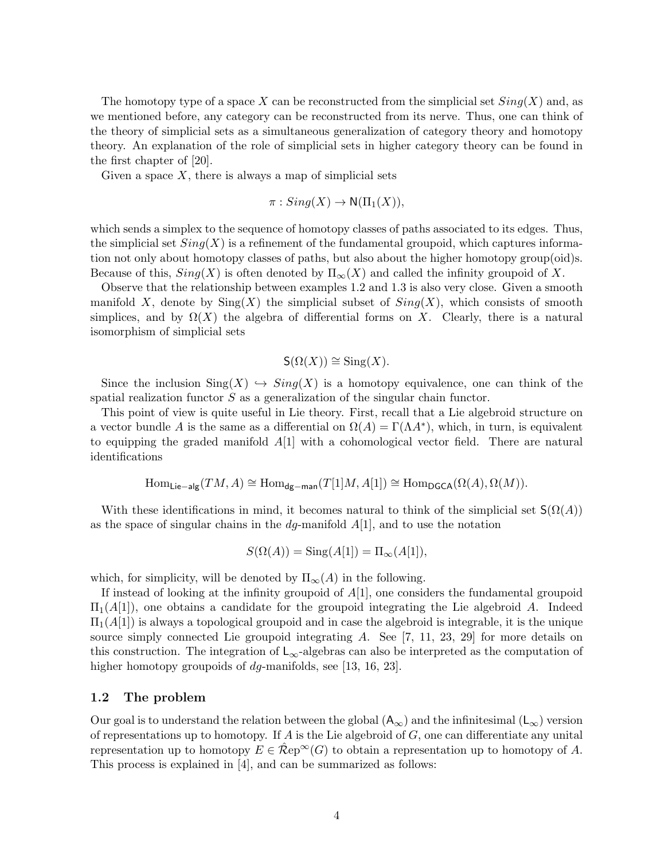The homotopy type of a space X can be reconstructed from the simplicial set  $Sing(X)$  and, as we mentioned before, any category can be reconstructed from its nerve. Thus, one can think of the theory of simplicial sets as a simultaneous generalization of category theory and homotopy theory. An explanation of the role of simplicial sets in higher category theory can be found in the first chapter of [20].

Given a space  $X$ , there is always a map of simplicial sets

$$
\pi: Sing(X) \to N(\Pi_1(X)),
$$

which sends a simplex to the sequence of homotopy classes of paths associated to its edges. Thus, the simplicial set  $Sing(X)$  is a refinement of the fundamental groupoid, which captures information not only about homotopy classes of paths, but also about the higher homotopy group(oid)s. Because of this,  $Sing(X)$  is often denoted by  $\Pi_{\infty}(X)$  and called the infinity groupoid of X.

Observe that the relationship between examples 1.2 and 1.3 is also very close. Given a smooth manifold X, denote by  $\text{Sing}(X)$  the simplicial subset of  $\text{Sing}(X)$ , which consists of smooth simplices, and by  $\Omega(X)$  the algebra of differential forms on X. Clearly, there is a natural isomorphism of simplicial sets

$$
\mathsf{S}(\Omega(X)) \cong \operatorname{Sing}(X).
$$

Since the inclusion  $\text{Sing}(X) \hookrightarrow \text{Sing}(X)$  is a homotopy equivalence, one can think of the spatial realization functor S as a generalization of the singular chain functor.

This point of view is quite useful in Lie theory. First, recall that a Lie algebroid structure on a vector bundle A is the same as a differential on  $\Omega(A) = \Gamma(\Lambda A^*)$ , which, in turn, is equivalent to equipping the graded manifold  $A[1]$  with a cohomological vector field. There are natural identifications

$$
\operatorname{Hom}_{\mathsf{Lie-alg}}(TM, A) \cong \operatorname{Hom}_{\mathsf{dg-man}}(T[1]M, A[1]) \cong \operatorname{Hom}_{\mathsf{DGCA}}(\Omega(A), \Omega(M)).
$$

With these identifications in mind, it becomes natural to think of the simplicial set  $S(\Omega(A))$ as the space of singular chains in the  $dg$ -manifold  $A[1]$ , and to use the notation

$$
S(\Omega(A)) = \operatorname{Sing}(A[1]) = \Pi_{\infty}(A[1]),
$$

which, for simplicity, will be denoted by  $\Pi_{\infty}(A)$  in the following.

If instead of looking at the infinity groupoid of  $A[1]$ , one considers the fundamental groupoid  $\Pi_1(A[1])$ , one obtains a candidate for the groupoid integrating the Lie algebroid A. Indeed  $\Pi_1(A[1])$  is always a topological groupoid and in case the algebroid is integrable, it is the unique source simply connected Lie groupoid integrating  $A$ . See  $[7, 11, 23, 29]$  for more details on this construction. The integration of  $\mathsf{L}_{\infty}$ -algebras can also be interpreted as the computation of higher homotopy groupoids of dg-manifolds, see [13, 16, 23].

#### 1.2 The problem

Our goal is to understand the relation between the global  $(A_{\infty})$  and the infinitesimal  $(L_{\infty})$  version of representations up to homotopy. If  $A$  is the Lie algebroid of  $G$ , one can differentiate any unital representation up to homotopy  $E \in \mathcal{R}e^{i\omega}(G)$  to obtain a representation up to homotopy of A. This process is explained in [4], and can be summarized as follows: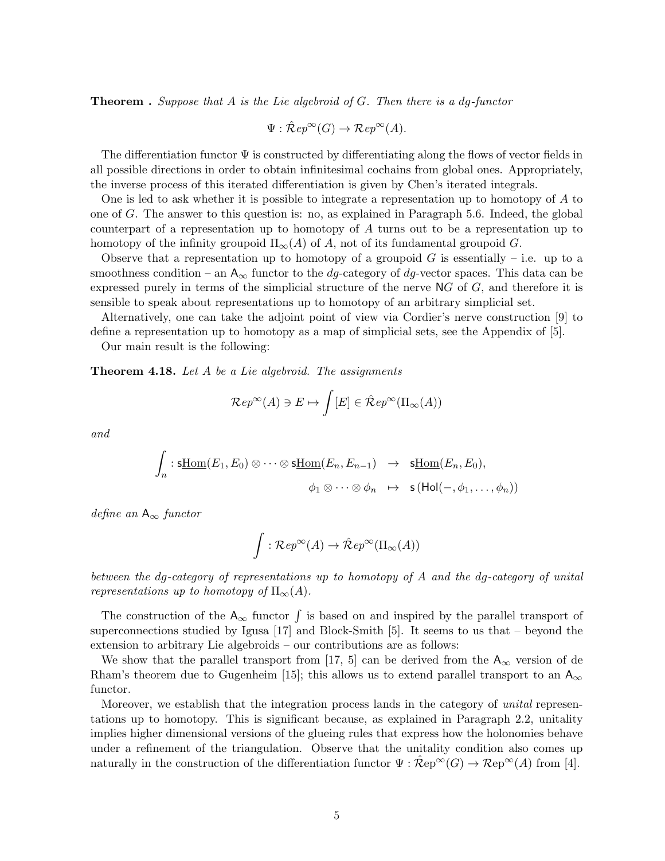**Theorem** . Suppose that A is the Lie algebroid of G. Then there is a dg-functor

 $\Psi : \mathcal{\hat{R}}ep^{\infty}(G) \to \mathcal{R}ep^{\infty}(A).$ 

The differentiation functor  $\Psi$  is constructed by differentiating along the flows of vector fields in all possible directions in order to obtain infinitesimal cochains from global ones. Appropriately, the inverse process of this iterated differentiation is given by Chen's iterated integrals.

One is led to ask whether it is possible to integrate a representation up to homotopy of A to one of  $G$ . The answer to this question is: no, as explained in Paragraph 5.6. Indeed, the global counterpart of a representation up to homotopy of A turns out to be a representation up to homotopy of the infinity groupoid  $\Pi_{\infty}(A)$  of A, not of its fundamental groupoid G.

Observe that a representation up to homotopy of a groupoid G is essentially – i.e. up to a smoothness condition – an  $A_{\infty}$  functor to the dg-category of dg-vector spaces. This data can be expressed purely in terms of the simplicial structure of the nerve  $NG$  of  $G$ , and therefore it is sensible to speak about representations up to homotopy of an arbitrary simplicial set.

Alternatively, one can take the adjoint point of view via Cordier's nerve construction [9] to define a representation up to homotopy as a map of simplicial sets, see the Appendix of [5].

Our main result is the following:

**Theorem 4.18.** Let  $A$  be a Lie algebroid. The assignments

$$
\mathcal{R}ep^{\infty}(A) \ni E \mapsto \int [E] \in \hat{\mathcal{R}}ep^{\infty}(\Pi_{\infty}(A))
$$

and

$$
\int_n : \underline{\text{sthom}}(E_1, E_0) \otimes \cdots \otimes \underline{\text{sthom}}(E_n, E_{n-1}) \rightarrow \underline{\text{sthom}}(E_n, E_0),
$$

$$
\phi_1 \otimes \cdots \otimes \phi_n \rightarrow \underline{\text{s}}(\text{Hol}(-, \phi_1, \ldots, \phi_n))
$$

define an  $A_{\infty}$  functor

$$
\int : {\mathcal Rep}^{\infty}(A) \to \hat {\mathcal Rep}^{\infty}(\Pi_{\infty}(A))
$$

between the dg-category of representations up to homotopy of A and the dg-category of unital representations up to homotopy of  $\Pi_{\infty}(A)$ .

The construction of the  $A_{\infty}$  functor  $\int$  is based on and inspired by the parallel transport of superconnections studied by Igusa [17] and Block-Smith [5]. It seems to us that – beyond the extension to arbitrary Lie algebroids – our contributions are as follows:

We show that the parallel transport from [17, 5] can be derived from the  $A_{\infty}$  version of de Rham's theorem due to Gugenheim [15]; this allows us to extend parallel transport to an  $A_{\infty}$ functor.

Moreover, we establish that the integration process lands in the category of unital representations up to homotopy. This is significant because, as explained in Paragraph 2.2, unitality implies higher dimensional versions of the glueing rules that express how the holonomies behave under a refinement of the triangulation. Observe that the unitality condition also comes up naturally in the construction of the differentiation functor  $\Psi : \mathcal{R}ep^{\infty}(G) \to \mathcal{R}ep^{\infty}(A)$  from [4].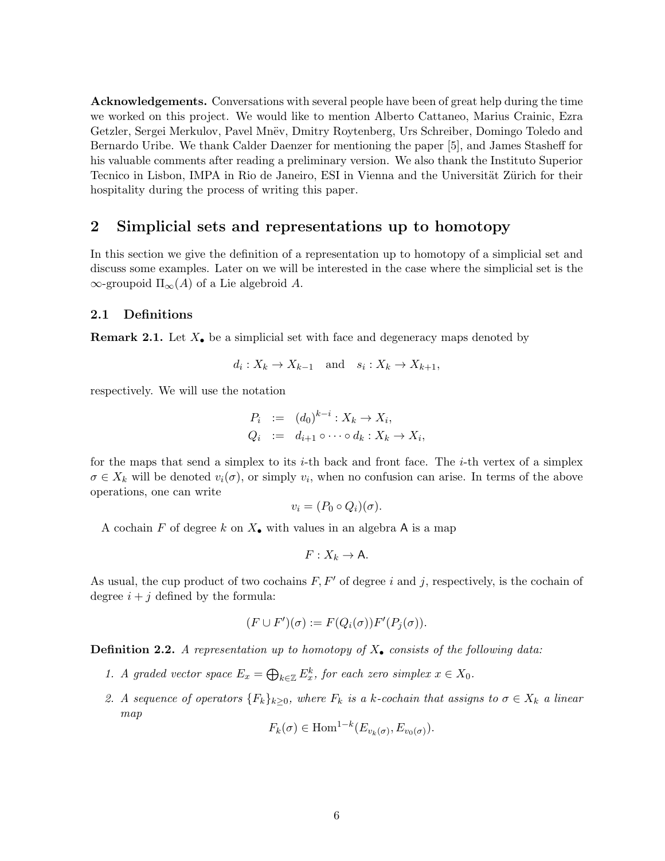Acknowledgements. Conversations with several people have been of great help during the time we worked on this project. We would like to mention Alberto Cattaneo, Marius Crainic, Ezra Getzler, Sergei Merkulov, Pavel Mnëv, Dmitry Roytenberg, Urs Schreiber, Domingo Toledo and Bernardo Uribe. We thank Calder Daenzer for mentioning the paper [5], and James Stasheff for his valuable comments after reading a preliminary version. We also thank the Instituto Superior Tecnico in Lisbon, IMPA in Rio de Janeiro, ESI in Vienna and the Universität Zürich for their hospitality during the process of writing this paper.

## 2 Simplicial sets and representations up to homotopy

In this section we give the definition of a representation up to homotopy of a simplicial set and discuss some examples. Later on we will be interested in the case where the simplicial set is the  $\infty$ -groupoid  $\Pi_{\infty}(A)$  of a Lie algebroid A.

#### 2.1 Definitions

**Remark 2.1.** Let  $X_{\bullet}$  be a simplicial set with face and degeneracy maps denoted by

$$
d_i: X_k \to X_{k-1} \quad \text{and} \quad s_i: X_k \to X_{k+1},
$$

respectively. We will use the notation

$$
P_i := (d_0)^{k-i} : X_k \to X_i,
$$
  
\n
$$
Q_i := d_{i+1} \circ \cdots \circ d_k : X_k \to X_i
$$

,

for the maps that send a simplex to its *i*-th back and front face. The *i*-th vertex of a simplex  $\sigma \in X_k$  will be denoted  $v_i(\sigma)$ , or simply  $v_i$ , when no confusion can arise. In terms of the above operations, one can write

$$
v_i = (P_0 \circ Q_i)(\sigma).
$$

A cochain F of degree k on  $X_{\bullet}$  with values in an algebra A is a map

$$
F:X_k\to \mathsf{A}.
$$

As usual, the cup product of two cochains  $F, F'$  of degree i and j, respectively, is the cochain of degree  $i + j$  defined by the formula:

$$
(F \cup F')(\sigma) := F(Q_i(\sigma))F'(P_j(\sigma)).
$$

**Definition 2.2.** A representation up to homotopy of  $X_{\bullet}$  consists of the following data:

- 1. A graded vector space  $E_x = \bigoplus_{k \in \mathbb{Z}} E_x^k$ , for each zero simplex  $x \in X_0$ .
- 2. A sequence of operators  ${F_k}_{k\geq 0}$ , where  $F_k$  is a k-cochain that assigns to  $\sigma \in X_k$  a linear map

$$
F_k(\sigma) \in \text{Hom}^{1-k}(E_{v_k(\sigma)}, E_{v_0(\sigma)}).
$$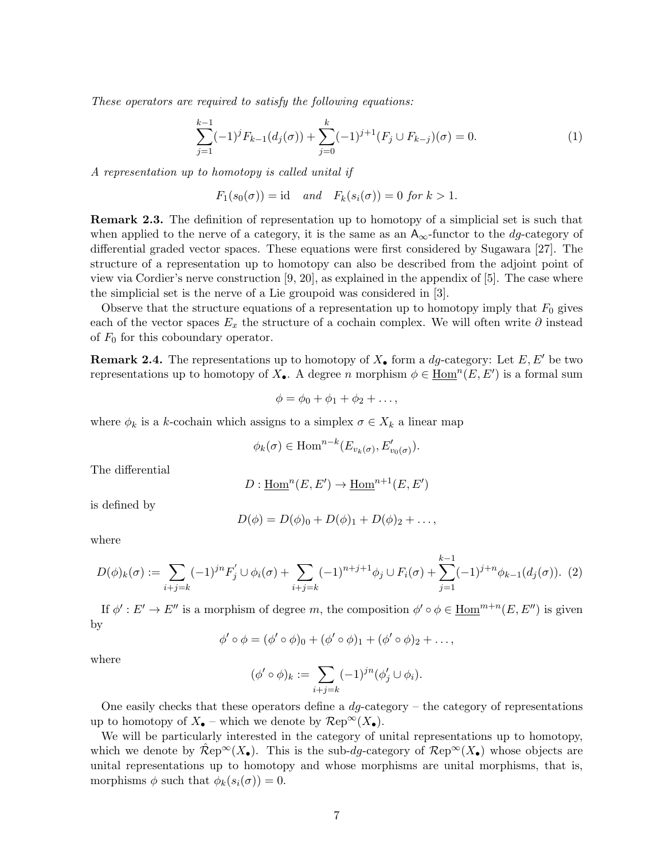These operators are required to satisfy the following equations:

$$
\sum_{j=1}^{k-1} (-1)^j F_{k-1}(d_j(\sigma)) + \sum_{j=0}^k (-1)^{j+1} (F_j \cup F_{k-j})(\sigma) = 0.
$$
 (1)

A representation up to homotopy is called unital if

$$
F_1(s_0(\sigma)) = id
$$
 and  $F_k(s_i(\sigma)) = 0$  for  $k > 1$ .

Remark 2.3. The definition of representation up to homotopy of a simplicial set is such that when applied to the nerve of a category, it is the same as an  $A_{\infty}$ -functor to the *dg*-category of differential graded vector spaces. These equations were first considered by Sugawara [27]. The structure of a representation up to homotopy can also be described from the adjoint point of view via Cordier's nerve construction [9, 20], as explained in the appendix of [5]. The case where the simplicial set is the nerve of a Lie groupoid was considered in [3].

Observe that the structure equations of a representation up to homotopy imply that  $F_0$  gives each of the vector spaces  $E_x$  the structure of a cochain complex. We will often write  $\partial$  instead of  $F_0$  for this coboundary operator.

**Remark 2.4.** The representations up to homotopy of  $X_{\bullet}$  form a dg-category: Let  $E, E'$  be two representations up to homotopy of  $X_{\bullet}$ . A degree n morphism  $\phi \in \underline{\text{Hom}}^n(E, E')$  is a formal sum

$$
\phi = \phi_0 + \phi_1 + \phi_2 + \ldots,
$$

where  $\phi_k$  is a k-cochain which assigns to a simplex  $\sigma \in X_k$  a linear map

$$
\phi_k(\sigma) \in \text{Hom}^{n-k}(E_{v_k(\sigma)}, E'_{v_0(\sigma)}).
$$

The differential

$$
D: \underline{\mathrm{Hom}}^n(E, E') \to \underline{\mathrm{Hom}}^{n+1}(E, E')
$$

is defined by

$$
D(\phi) = D(\phi)_0 + D(\phi)_1 + D(\phi)_2 + \dots,
$$

where

$$
D(\phi)_k(\sigma) := \sum_{i+j=k} (-1)^{jn} F'_j \cup \phi_i(\sigma) + \sum_{i+j=k} (-1)^{n+j+1} \phi_j \cup F_i(\sigma) + \sum_{j=1}^{k-1} (-1)^{j+n} \phi_{k-1}(d_j(\sigma)).
$$
 (2)

If  $\phi': E' \to E''$  is a morphism of degree m, the composition  $\phi' \circ \phi \in \underline{\text{Hom}}^{m+n}(E, E'')$  is given by

$$
\phi' \circ \phi = (\phi' \circ \phi)_0 + (\phi' \circ \phi)_1 + (\phi' \circ \phi)_2 + \dots,
$$

where

$$
(\phi' \circ \phi)_k := \sum_{i+j=k} (-1)^{jn} (\phi'_j \cup \phi_i).
$$

One easily checks that these operators define a  $dq$ -category – the category of representations up to homotopy of  $X_{\bullet}$  – which we denote by  $\mathcal{R}ep^{\infty}(X_{\bullet}).$ 

We will be particularly interested in the category of unital representations up to homotopy, which we denote by  $\mathcal{R}ep^{\infty}(X_{\bullet})$ . This is the sub-dg-category of  $\mathcal{R}ep^{\infty}(X_{\bullet})$  whose objects are unital representations up to homotopy and whose morphisms are unital morphisms, that is, morphisms  $\phi$  such that  $\phi_k(s_i(\sigma)) = 0$ .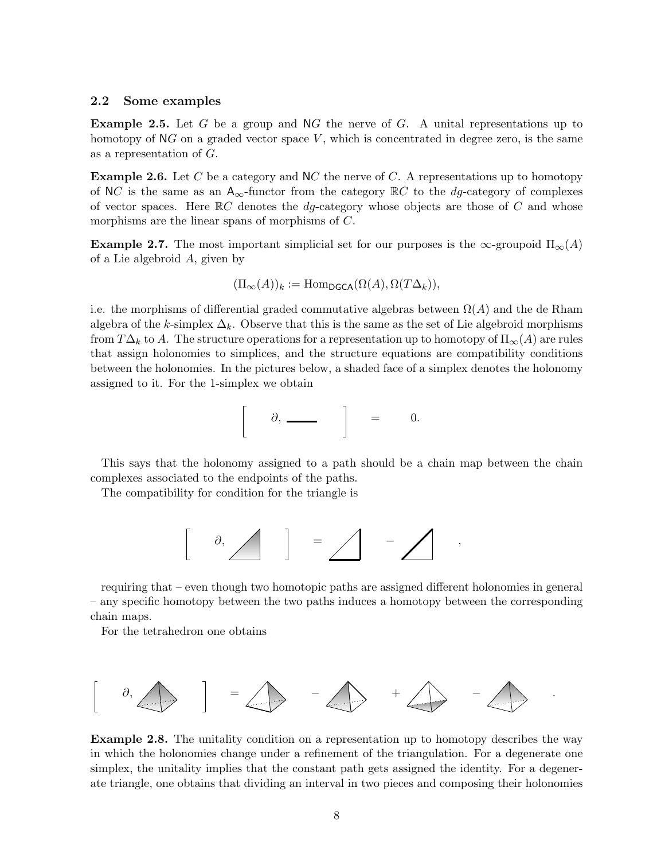#### 2.2 Some examples

**Example 2.5.** Let G be a group and NG the nerve of G. A unital representations up to homotopy of  $\mathbb{N}G$  on a graded vector space V, which is concentrated in degree zero, is the same as a representation of G.

**Example 2.6.** Let C be a category and NC the nerve of C. A representations up to homotopy of NC is the same as an  $A_{\infty}$ -functor from the category  $\mathbb{R}C$  to the *dg*-category of complexes of vector spaces. Here  $\mathbb{R}C$  denotes the *dg*-category whose objects are those of C and whose morphisms are the linear spans of morphisms of C.

**Example 2.7.** The most important simplicial set for our purposes is the  $\infty$ -groupoid  $\Pi_{\infty}(A)$ of a Lie algebroid A, given by

$$
(\Pi_{\infty}(A))_k := \mathrm{Hom}_{\mathsf{DGCA}}(\Omega(A), \Omega(T\Delta_k)),
$$

i.e. the morphisms of differential graded commutative algebras between  $\Omega(A)$  and the de Rham algebra of the k-simplex  $\Delta_k$ . Observe that this is the same as the set of Lie algebroid morphisms from  $T\Delta_k$  to A. The structure operations for a representation up to homotopy of  $\Pi_\infty(A)$  are rules that assign holonomies to simplices, and the structure equations are compatibility conditions between the holonomies. In the pictures below, a shaded face of a simplex denotes the holonomy assigned to it. For the 1-simplex we obtain

$$
\partial, \underbrace{\qquad \qquad }_{\qquad \qquad } \quad \, \Big] \qquad = \qquad 0.
$$

This says that the holonomy assigned to a path should be a chain map between the chain complexes associated to the endpoints of the paths.

The compatibility for condition for the triangle is



requiring that – even though two homotopic paths are assigned different holonomies in general – any specific homotopy between the two paths induces a homotopy between the corresponding chain maps.

For the tetrahedron one obtains



Example 2.8. The unitality condition on a representation up to homotopy describes the way in which the holonomies change under a refinement of the triangulation. For a degenerate one simplex, the unitality implies that the constant path gets assigned the identity. For a degenerate triangle, one obtains that dividing an interval in two pieces and composing their holonomies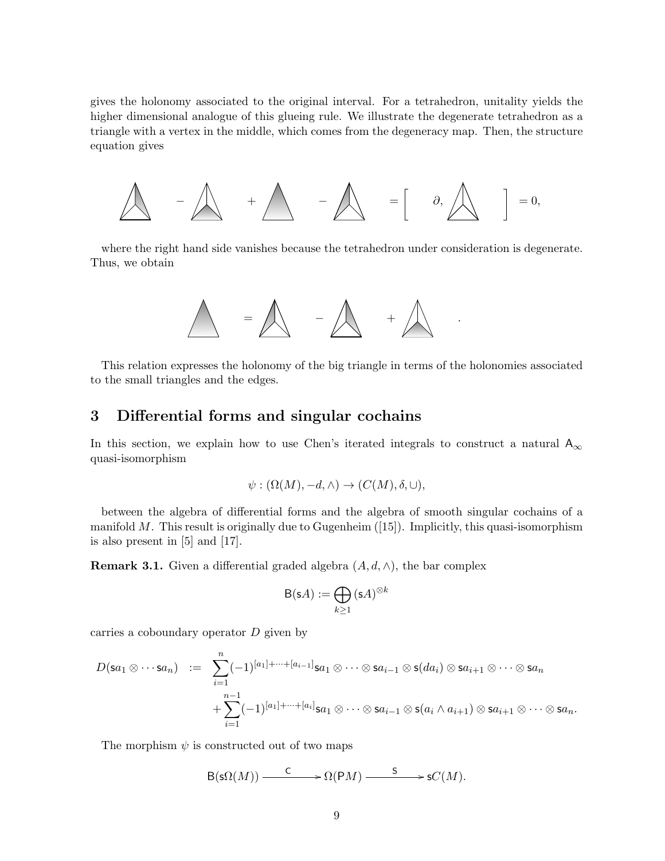gives the holonomy associated to the original interval. For a tetrahedron, unitality yields the higher dimensional analogue of this glueing rule. We illustrate the degenerate tetrahedron as a triangle with a vertex in the middle, which comes from the degeneracy map. Then, the structure equation gives

$$
\bigwedge \qquad \qquad -\bigwedge \qquad +\bigwedge \qquad -\bigwedge \qquad \qquad =\left[\qquad \partial, \bigwedge \qquad \qquad \right]\; =0,
$$

where the right hand side vanishes because the tetrahedron under consideration is degenerate. Thus, we obtain



This relation expresses the holonomy of the big triangle in terms of the holonomies associated to the small triangles and the edges.

## 3 Differential forms and singular cochains

In this section, we explain how to use Chen's iterated integrals to construct a natural  $A_{\infty}$ quasi-isomorphism

$$
\psi : (\Omega(M), -d, \wedge) \to (C(M), \delta, \cup),
$$

between the algebra of differential forms and the algebra of smooth singular cochains of a manifold M. This result is originally due to Gugenheim  $(15)$ . Implicitly, this quasi-isomorphism is also present in [5] and [17].

**Remark 3.1.** Given a differential graded algebra  $(A, d, \wedge)$ , the bar complex

$$
\mathsf{B}(\mathsf{s} A) := \bigoplus_{k \ge 1} (\mathsf{s} A)^{\otimes k}
$$

carries a coboundary operator D given by

$$
D(\mathsf{sa}_1 \otimes \cdots \mathsf{sa}_n) \quad := \quad \sum_{i=1}^n (-1)^{[a_1] + \cdots + [a_{i-1}]} \mathsf{sa}_1 \otimes \cdots \otimes \mathsf{sa}_{i-1} \otimes \mathsf{s}(da_i) \otimes \mathsf{sa}_{i+1} \otimes \cdots \otimes \mathsf{sa}_n + \sum_{i=1}^{n-1} (-1)^{[a_1] + \cdots + [a_i]} \mathsf{sa}_1 \otimes \cdots \otimes \mathsf{sa}_{i-1} \otimes \mathsf{s}(a_i \wedge a_{i+1}) \otimes \mathsf{sa}_{i+1} \otimes \cdots \otimes \mathsf{sa}_n.
$$

The morphism  $\psi$  is constructed out of two maps

$$
\mathsf{B}(\mathsf{s}\Omega(M)) \xrightarrow{\mathsf{C}} \mathsf{C}(\mathsf{P} M) \xrightarrow{\mathsf{S}} \mathsf{s} C(M).
$$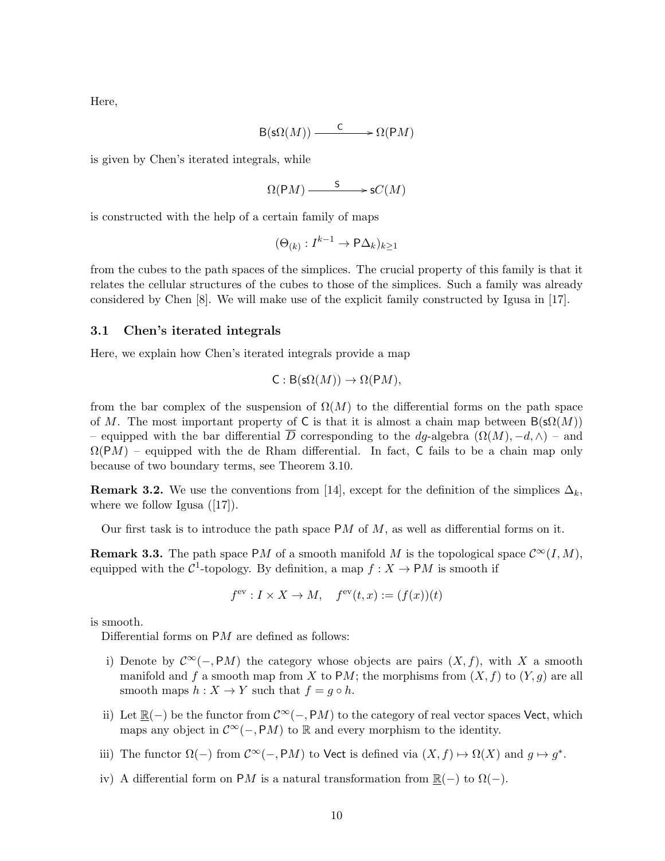Here,

$$
\mathsf{B}(\mathsf{s}\Omega(M)) \xrightarrow{\mathsf{C}} \mathsf{D}(\mathsf{P} M)
$$

is given by Chen's iterated integrals, while

$$
\Omega(\mathrm{P}M) \xrightarrow{\qquad \mathsf{S}} \mathrm{S}C(M)
$$

is constructed with the help of a certain family of maps

$$
(\Theta_{(k)} : I^{k-1} \to P\Delta_k)_{k \ge 1}
$$

from the cubes to the path spaces of the simplices. The crucial property of this family is that it relates the cellular structures of the cubes to those of the simplices. Such a family was already considered by Chen [8]. We will make use of the explicit family constructed by Igusa in [17].

### 3.1 Chen's iterated integrals

Here, we explain how Chen's iterated integrals provide a map

$$
C: B(s\Omega(M)) \to \Omega(PM),
$$

from the bar complex of the suspension of  $\Omega(M)$  to the differential forms on the path space of M. The most important property of C is that it is almost a chain map between  $B(\mathsf{s}\Omega(M))$ – equipped with the bar differential  $\overline{D}$  corresponding to the dg-algebra  $(\Omega(M), -d, \wedge)$  – and  $\Omega(PM)$  – equipped with the de Rham differential. In fact, C fails to be a chain map only because of two boundary terms, see Theorem 3.10.

**Remark 3.2.** We use the conventions from [14], except for the definition of the simplices  $\Delta_k$ , where we follow Igusa  $([17])$ .

Our first task is to introduce the path space  $PM$  of M, as well as differential forms on it.

**Remark 3.3.** The path space PM of a smooth manifold M is the topological space  $\mathcal{C}^{\infty}(I, M)$ , equipped with the  $C^1$ -topology. By definition, a map  $f: X \to \mathsf{P}M$  is smooth if

$$
f^{\text{ev}}: I \times X \to M, \quad f^{\text{ev}}(t, x) := (f(x))(t)
$$

is smooth.

Differential forms on PM are defined as follows:

- i) Denote by  $\mathcal{C}^{\infty}(-, PM)$  the category whose objects are pairs  $(X, f)$ , with X a smooth manifold and f a smooth map from X to PM; the morphisms from  $(X, f)$  to  $(Y, g)$  are all smooth maps  $h: X \to Y$  such that  $f = g \circ h$ .
- ii) Let  $\mathbb{R}(-)$  be the functor from  $\mathcal{C}^{\infty}(-,PM)$  to the category of real vector spaces Vect, which maps any object in  $\mathcal{C}^{\infty}(-,PM)$  to R and every morphism to the identity.
- iii) The functor  $\Omega(-)$  from  $\mathcal{C}^{\infty}(-,PM)$  to Vect is defined via  $(X, f) \mapsto \Omega(X)$  and  $g \mapsto g^*$ .
- iv) A differential form on PM is a natural transformation from  $\mathbb{R}(-)$  to  $\Omega(-)$ .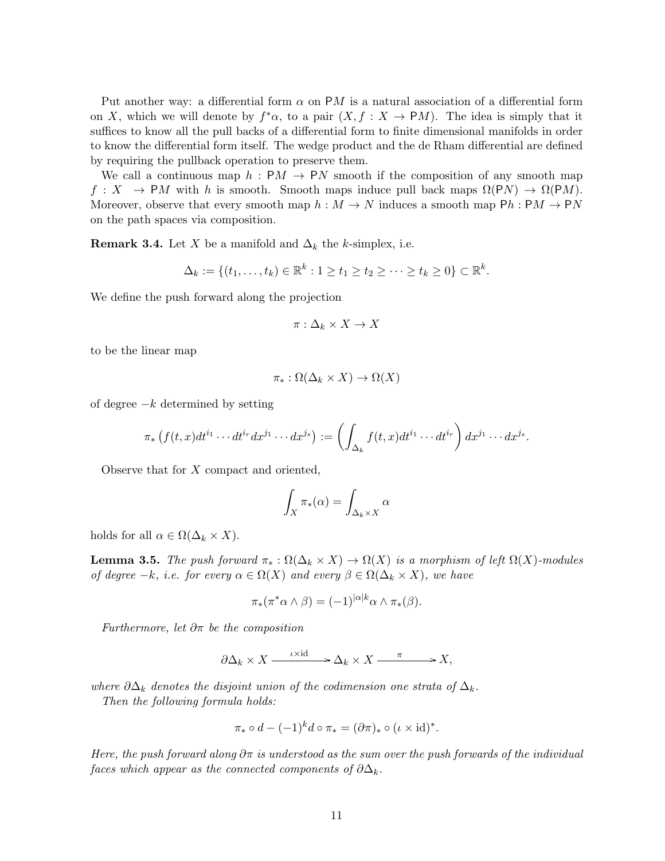Put another way: a differential form  $\alpha$  on PM is a natural association of a differential form on X, which we will denote by  $f^*\alpha$ , to a pair  $(X, f : X \to PM)$ . The idea is simply that it suffices to know all the pull backs of a differential form to finite dimensional manifolds in order to know the differential form itself. The wedge product and the de Rham differential are defined by requiring the pullback operation to preserve them.

We call a continuous map  $h : PM \rightarrow PN$  smooth if the composition of any smooth map  $f: X \to PM$  with h is smooth. Smooth maps induce pull back maps  $\Omega(PN) \to \Omega(PM)$ . Moreover, observe that every smooth map  $h : M \to N$  induces a smooth map  $Ph : PM \to PN$ on the path spaces via composition.

**Remark 3.4.** Let X be a manifold and  $\Delta_k$  the k-simplex, i.e.

$$
\Delta_k := \{(t_1,\ldots,t_k) \in \mathbb{R}^k : 1 \ge t_1 \ge t_2 \ge \cdots \ge t_k \ge 0\} \subset \mathbb{R}^k.
$$

We define the push forward along the projection

$$
\pi: \Delta_k \times X \to X
$$

to be the linear map

$$
\pi_* : \Omega(\Delta_k \times X) \to \Omega(X)
$$

of degree  $-k$  determined by setting

$$
\pi_*\left(f(t,x)dt^{i_1}\cdots dt^{i_r}dx^{j_1}\cdots dx^{j_s}\right):=\left(\int_{\Delta_k}f(t,x)dt^{i_1}\cdots dt^{i_r}\right)dx^{j_1}\cdots dx^{j_s}.
$$

Observe that for X compact and oriented,

$$
\int_X \pi_*(\alpha) = \int_{\Delta_k \times X} \alpha
$$

holds for all  $\alpha \in \Omega(\Delta_k \times X)$ .

**Lemma 3.5.** The push forward  $\pi_* : \Omega(\Delta_k \times X) \to \Omega(X)$  is a morphism of left  $\Omega(X)$ -modules of degree  $-k$ , i.e. for every  $\alpha \in \Omega(X)$  and every  $\beta \in \Omega(\Delta_k \times X)$ , we have

$$
\pi_*(\pi^*\alpha \wedge \beta) = (-1)^{|\alpha|k} \alpha \wedge \pi_*(\beta).
$$

Furthermore, let  $\partial \pi$  be the composition

$$
\partial \Delta_k \times X \xrightarrow{\iota \times \text{id}} \longrightarrow \Delta_k \times X \xrightarrow{\pi} X,
$$

where  $\partial \Delta_k$  denotes the disjoint union of the codimension one strata of  $\Delta_k$ .

Then the following formula holds:

$$
\pi_* \circ d - (-1)^k d \circ \pi_* = (\partial \pi)_* \circ (\iota \times \mathrm{id})^*.
$$

Here, the push forward along  $\partial \pi$  is understood as the sum over the push forwards of the individual faces which appear as the connected components of  $\partial \Delta_k$ .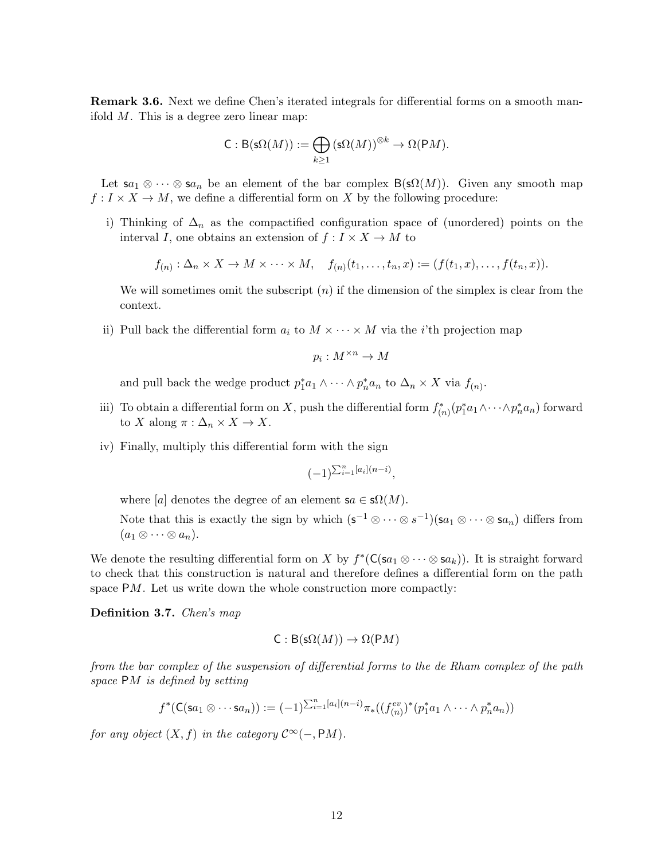Remark 3.6. Next we define Chen's iterated integrals for differential forms on a smooth manifold  $M$ . This is a degree zero linear map:

$$
\mathsf{C}:\mathsf{B}(\mathsf{s}\Omega(M)):=\bigoplus_{k\geq 1}\left(\mathsf{s}\Omega(M)\right)^{\otimes k}\to \Omega(\mathsf{P} M).
$$

Let  $sa_1 \otimes \cdots \otimes sa_n$  be an element of the bar complex  $B(s\Omega(M))$ . Given any smooth map  $f: I \times X \to M$ , we define a differential form on X by the following procedure:

i) Thinking of  $\Delta_n$  as the compactified configuration space of (unordered) points on the interval I, one obtains an extension of  $f: I \times X \to M$  to

$$
f_{(n)}: \Delta_n \times X \to M \times \cdots \times M, \quad f_{(n)}(t_1, \ldots, t_n, x) := (f(t_1, x), \ldots, f(t_n, x)).
$$

We will sometimes omit the subscript  $(n)$  if the dimension of the simplex is clear from the context.

ii) Pull back the differential form  $a_i$  to  $M \times \cdots \times M$  via the *i*'th projection map

$$
p_i:M^{\times n}\to M
$$

and pull back the wedge product  $p_1^* a_1 \wedge \cdots \wedge p_n^* a_n$  to  $\Delta_n \times X$  via  $f_{(n)}$ .

- iii) To obtain a differential form on X, push the differential form  $f_{(n)}^*(p_1^*a_1 \wedge \cdots \wedge p_n^*a_n)$  forward to X along  $\pi : \Delta_n \times X \to X$ .
- iv) Finally, multiply this differential form with the sign

$$
(-1)^{\sum_{i=1}^n [a_i](n-i)},
$$

where [a] denotes the degree of an element  $sa \in \mathcal{S}\Omega(M)$ .

Note that this is exactly the sign by which  $(s^{-1} \otimes \cdots \otimes s^{-1})(sa_1 \otimes \cdots \otimes sa_n)$  differs from  $(a_1 \otimes \cdots \otimes a_n).$ 

We denote the resulting differential form on X by  $f^*(\mathsf{C}(sa_1 \otimes \cdots \otimes sa_k))$ . It is straight forward to check that this construction is natural and therefore defines a differential form on the path space  $PM$ . Let us write down the whole construction more compactly:

Definition 3.7. Chen's map

$$
C: B(s\Omega(M)) \to \Omega(PM)
$$

from the bar complex of the suspension of differential forms to the de Rham complex of the path space PM is defined by setting

$$
f^*(\mathsf{C}(sa_1 \otimes \cdots sa_n)) := (-1)^{\sum_{i=1}^n [a_i](n-i)} \pi_*((f_{(n)}^{ev})^*(p_1^* a_1 \wedge \cdots \wedge p_n^* a_n))
$$

for any object  $(X, f)$  in the category  $\mathcal{C}^{\infty}(-, PM)$ .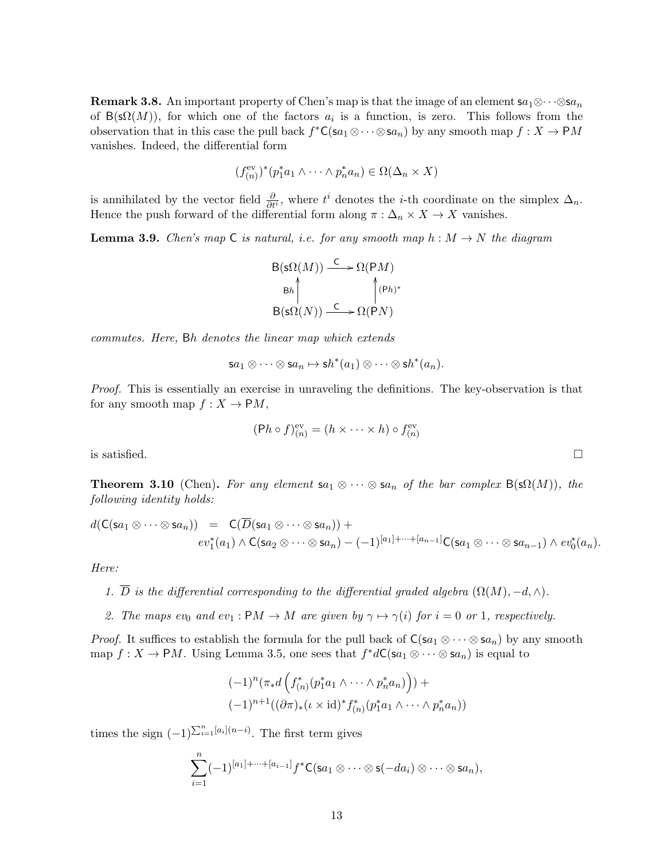**Remark 3.8.** An important property of Chen's map is that the image of an element  $sa_1 \otimes \cdots \otimes sa_n$ of  $B(s\Omega(M))$ , for which one of the factors  $a_i$  is a function, is zero. This follows from the observation that in this case the pull back  $f^*C(\mathbf{S}a_1 \otimes \cdots \otimes \mathbf{S}a_n)$  by any smooth map  $f : X \to \mathsf{P}M$ vanishes. Indeed, the differential form

$$
(f_{(n)}^{\text{ev}})^*(p_1^*a_1 \wedge \cdots \wedge p_n^*a_n) \in \Omega(\Delta_n \times X)
$$

is annihilated by the vector field  $\frac{\partial}{\partial t^i}$ , where  $t^i$  denotes the *i*-th coordinate on the simplex  $\Delta_n$ . Hence the push forward of the differential form along  $\pi : \Delta_n \times X \to X$  vanishes.

**Lemma 3.9.** Chen's map C is natural, i.e. for any smooth map  $h : M \to N$  the diagram

B(sΩ(M)) <sup>C</sup> /Ω(PM) B(sΩ(N)) <sup>C</sup> / Bh OO Ω(PN) (Ph) ∗ OO

commutes. Here, Bh denotes the linear map which extends

$$
\mathsf{s} a_1 \otimes \cdots \otimes \mathsf{s} a_n \mapsto \mathsf{s} h^*(a_1) \otimes \cdots \otimes \mathsf{s} h^*(a_n).
$$

Proof. This is essentially an exercise in unraveling the definitions. The key-observation is that for any smooth map  $f: X \to PM$ ,

$$
(\mathsf{P} h \circ f)_{(n)}^{\text{ev}} = (h \times \cdots \times h) \circ f_{(n)}^{\text{ev}}
$$

is satisfied.  $\Box$ 

**Theorem 3.10** (Chen). For any element  $sa_1 \otimes \cdots \otimes sa_n$  of the bar complex  $B(s\Omega(M))$ , the following identity holds:

$$
d(\mathsf{C}(sa_1 \otimes \cdots \otimes sa_n)) = \mathsf{C}(\overline{D}(sa_1 \otimes \cdots \otimes sa_n)) +
$$
  

$$
ev_1^*(a_1) \wedge \mathsf{C}(sa_2 \otimes \cdots \otimes sa_n) - (-1)^{[a_1] + \cdots + [a_{n-1}]} \mathsf{C}(sa_1 \otimes \cdots \otimes sa_{n-1}) \wedge ev_0^*(a_n).
$$

Here:

- 1.  $\overline{D}$  is the differential corresponding to the differential graded algebra  $(\Omega(M), -d, \wedge)$ .
- 2. The maps ev<sub>0</sub> and ev<sub>1</sub> : PM  $\rightarrow$  M are given by  $\gamma \mapsto \gamma(i)$  for  $i = 0$  or 1, respectively.

*Proof.* It suffices to establish the formula for the pull back of  $C(sa_1 \otimes \cdots \otimes sa_n)$  by any smooth map  $f: X \to PM$ . Using Lemma 3.5, one sees that  $f^*dC(\mathbf{s}a_1 \otimes \cdots \otimes \mathbf{s}a_n)$  is equal to

$$
(-1)^n (\pi_* d \left( f_{(n)}^* (p_1^* a_1 \wedge \cdots \wedge p_n^* a_n) \right)) +
$$
  

$$
(-1)^{n+1} ((\partial \pi)_* (\iota \times \mathrm{id})^* f_{(n)}^* (p_1^* a_1 \wedge \cdots \wedge p_n^* a_n))
$$

times the sign  $(-1)^{\sum_{i=1}^{n}[a_i](n-i)}$ . The first term gives

$$
\sum_{i=1}^n (-1)^{[a_1]+\cdots+[a_{i-1}]} f^*C(\mathbf{s} a_1 \otimes \cdots \otimes \mathbf{s} (-da_i) \otimes \cdots \otimes \mathbf{s} a_n),
$$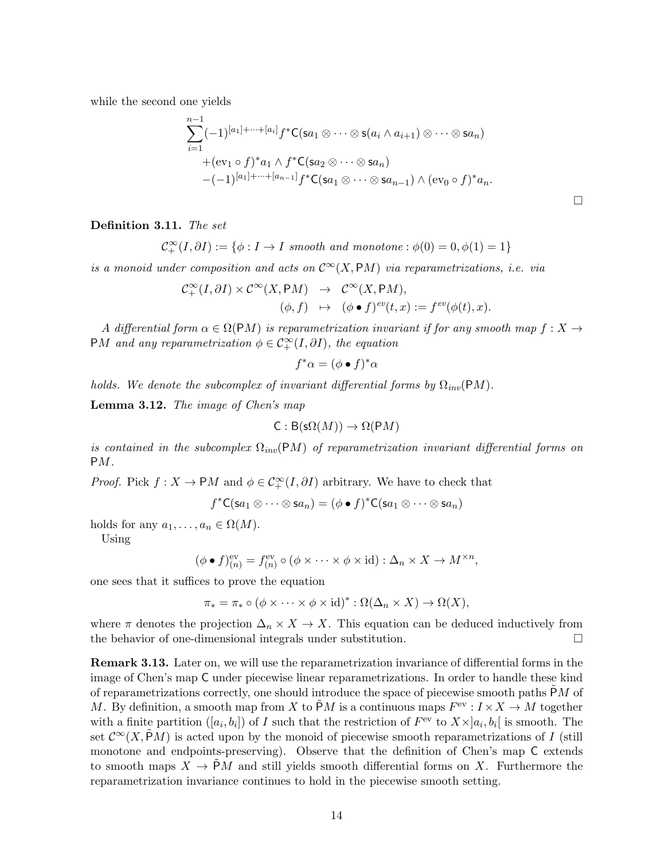while the second one yields

$$
\sum_{i=1}^{n-1} (-1)^{[a_1]+\cdots+[a_i]} f^* C(\mathsf{sa}_1 \otimes \cdots \otimes \mathsf{s}(a_i \wedge a_{i+1}) \otimes \cdots \otimes \mathsf{sa}_n)
$$
  
+
$$
(\text{ev}_1 \circ f)^* a_1 \wedge f^* C(\mathsf{sa}_2 \otimes \cdots \otimes \mathsf{sa}_n)
$$
  
-
$$
(-1)^{[a_1]+\cdots+[a_{n-1}]} f^* C(\mathsf{sa}_1 \otimes \cdots \otimes \mathsf{sa}_{n-1}) \wedge (\text{ev}_0 \circ f)^* a_n.
$$

 $\Box$ 

Definition 3.11. The set

$$
\mathcal{C}^{\infty}_+(I, \partial I) := \{ \phi : I \to I \; smooth \; and \; monotone : \phi(0) = 0, \phi(1) = 1 \}
$$

is a monoid under composition and acts on  $\mathcal{C}^{\infty}(X, \mathsf{P} M)$  via reparametrizations, i.e. via

$$
\begin{array}{rcl}\mathcal{C}^{\infty}_+(I, \partial I) \times \mathcal{C}^{\infty}(X, \mathsf{P} M) & \to & \mathcal{C}^{\infty}(X, \mathsf{P} M), \\
(\phi, f) & \mapsto & (\phi \bullet f)^{ev}(t, x) := f^{ev}(\phi(t), x).\n\end{array}
$$

A differential form  $\alpha \in \Omega(\mathrm{P}M)$  is reparametrization invariant if for any smooth map  $f: X \to Y$ PM and any reparametrization  $\phi \in C_+^{\infty}(I, \partial I)$ , the equation

$$
f^*\alpha = (\phi \bullet f)^*\alpha
$$

holds. We denote the subcomplex of invariant differential forms by  $\Omega_{inv}(PM)$ .

Lemma 3.12. The image of Chen's map

$$
C: B(s\Omega(M)) \to \Omega(PM)
$$

is contained in the subcomplex  $\Omega_{inv}(PM)$  of reparametrization invariant differential forms on PM.

*Proof.* Pick  $f: X \to PM$  and  $\phi \in C^{\infty}_+(I, \partial I)$  arbitrary. We have to check that

 $f^*C(\mathsf{s}a_1\otimes\cdots\otimes \mathsf{s}a_n)=(\phi\bullet f)^*C(\mathsf{s}a_1\otimes\cdots\otimes \mathsf{s}a_n)$ 

holds for any  $a_1, \ldots, a_n \in \Omega(M)$ .

Using

$$
(\phi \bullet f)_{(n)}^{\text{ev}} = f_{(n)}^{\text{ev}} \circ (\phi \times \cdots \times \phi \times \text{id}) : \Delta_n \times X \to M^{\times n},
$$

one sees that it suffices to prove the equation

$$
\pi_* = \pi_* \circ (\phi \times \cdots \times \phi \times id)^* : \Omega(\Delta_n \times X) \to \Omega(X),
$$

where  $\pi$  denotes the projection  $\Delta_n \times X \to X$ . This equation can be deduced inductively from the behavior of one-dimensional integrals under substitution.

Remark 3.13. Later on, we will use the reparametrization invariance of differential forms in the image of Chen's map C under piecewise linear reparametrizations. In order to handle these kind of reparametrizations correctly, one should introduce the space of piecewise smooth paths PM of M. By definition, a smooth map from X to  $\tilde{P}M$  is a continuous maps  $F<sup>ev</sup>: I \times X \to M$  together with a finite partition  $([a_i, b_i])$  of I such that the restriction of  $F^{\text{ev}}$  to  $X \times ]a_i, b_i|$  is smooth. The set  $\mathcal{C}^{\infty}(X,PM)$  is acted upon by the monoid of piecewise smooth reparametrizations of I (still monotone and endpoints-preserving). Observe that the definition of Chen's map C extends to smooth maps  $X \to PM$  and still yields smooth differential forms on X. Furthermore the reparametrization invariance continues to hold in the piecewise smooth setting.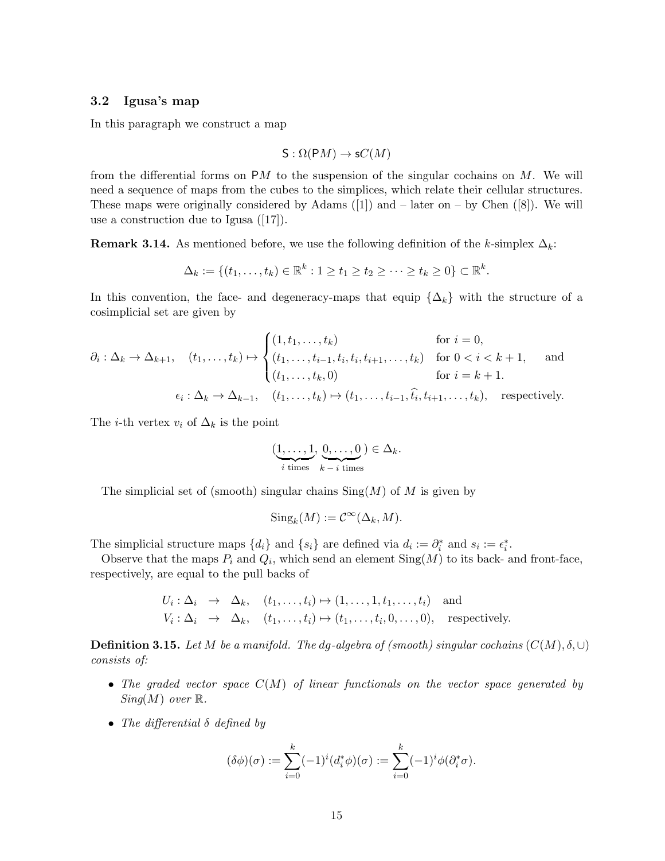### 3.2 Igusa's map

In this paragraph we construct a map

$$
\mathsf{S} : \Omega(\mathsf{P} M) \to \mathsf{s} C(M)
$$

from the differential forms on  $PM$  to the suspension of the singular cochains on M. We will need a sequence of maps from the cubes to the simplices, which relate their cellular structures. These maps were originally considered by Adams  $([1])$  and  $-$  later on  $-$  by Chen  $([8])$ . We will use a construction due to Igusa ([17]).

**Remark 3.14.** As mentioned before, we use the following definition of the k-simplex  $\Delta_k$ :

$$
\Delta_k := \{(t_1,\ldots,t_k) \in \mathbb{R}^k : 1 \ge t_1 \ge t_2 \ge \cdots \ge t_k \ge 0\} \subset \mathbb{R}^k.
$$

In this convention, the face- and degeneracy-maps that equip  $\{\Delta_k\}$  with the structure of a cosimplicial set are given by

$$
\partial_i : \Delta_k \to \Delta_{k+1}, \quad (t_1, \dots, t_k) \mapsto \begin{cases} (1, t_1, \dots, t_k) & \text{for } i = 0, \\ (t_1, \dots, t_{i-1}, t_i, t_i, t_{i+1}, \dots, t_k) & \text{for } 0 < i < k+1, \\ (t_1, \dots, t_k, 0) & \text{for } i = k+1. \end{cases} \quad \text{and} \quad \text{for } i = k+1.
$$
\n
$$
\epsilon_i : \Delta_k \to \Delta_{k-1}, \quad (t_1, \dots, t_k) \mapsto (t_1, \dots, t_{i-1}, \hat{t}_i, t_{i+1}, \dots, t_k), \quad \text{respectively.}
$$

The *i*-th vertex  $v_i$  of  $\Delta_k$  is the point

$$
(\underbrace{1,\ldots,1}_{i \text{ times}}, \underbrace{0,\ldots,0}_{k-i \text{ times}}) \in \Delta_k.
$$

The simplicial set of (smooth) singular chains  $\text{Sing}(M)$  of M is given by

$$
\text{Sing}_k(M) := \mathcal{C}^\infty(\Delta_k, M).
$$

The simplicial structure maps  $\{d_i\}$  and  $\{s_i\}$  are defined via  $d_i := \partial_i^*$  and  $s_i := \epsilon_i^*$ .

Observe that the maps  $P_i$  and  $Q_i$ , which send an element  $\text{Sing}(M)$  to its back- and front-face, respectively, are equal to the pull backs of

> $U_i: \Delta_i \rightarrow \Delta_k, \quad (t_1, \ldots, t_i) \mapsto (1, \ldots, 1, t_1, \ldots, t_i)$  and  $V_i: \Delta_i \rightarrow \Delta_k, \quad (t_1, \ldots, t_i) \mapsto (t_1, \ldots, t_i, 0, \ldots, 0), \quad$  respectively.

**Definition 3.15.** Let M be a manifold. The dg-algebra of (smooth) singular cochains  $(C(M), \delta, \cup)$ consists of:

- The graded vector space  $C(M)$  of linear functionals on the vector space generated by  $Sing(M)$  over  $\mathbb{R}$ .
- The differential  $\delta$  defined by

$$
(\delta\phi)(\sigma) := \sum_{i=0}^k (-1)^i (d_i^*\phi)(\sigma) := \sum_{i=0}^k (-1)^i \phi(\partial_i^*\sigma).
$$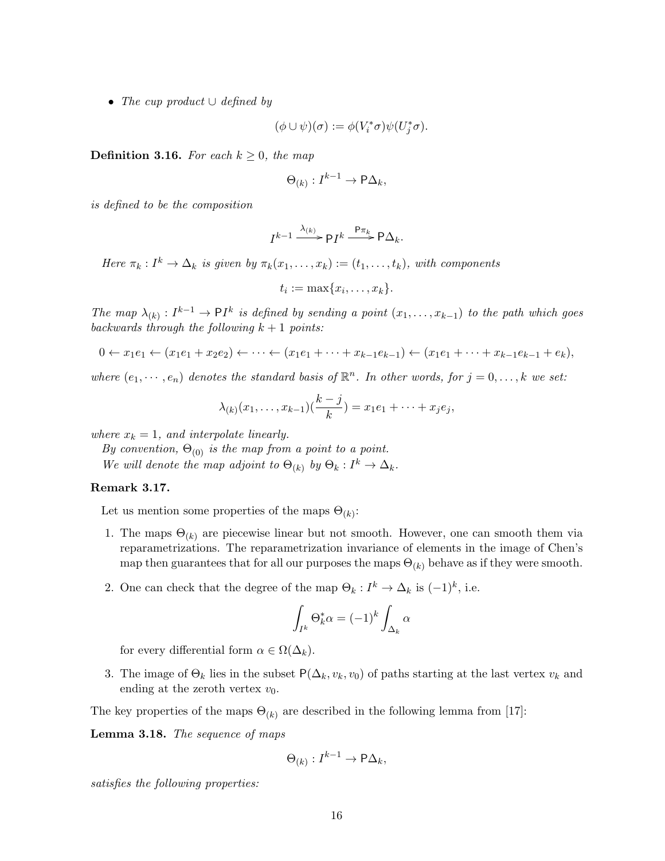• The cup product  $\cup$  defined by

$$
(\phi \cup \psi)(\sigma) := \phi(V_i^*\sigma)\psi(U_j^*\sigma).
$$

**Definition 3.16.** For each  $k \geq 0$ , the map

$$
\Theta_{(k)} : I^{k-1} \to \mathsf{P}\Delta_k,
$$

is defined to be the composition

$$
I^{k-1} \xrightarrow{\lambda_{(k)}} \mathsf{P} I^k \xrightarrow{\mathsf{P} \pi_k} \mathsf{P} \Delta_k.
$$

Here  $\pi_k : I^k \to \Delta_k$  is given by  $\pi_k(x_1, \ldots, x_k) := (t_1, \ldots, t_k)$ , with components

$$
t_i := \max\{x_i, \ldots, x_k\}.
$$

The map  $\lambda_{(k)} : I^{k-1} \to \mathsf{P} I^k$  is defined by sending a point  $(x_1, \ldots, x_{k-1})$  to the path which goes backwards through the following  $k + 1$  points:

$$
0 \leftarrow x_1 e_1 \leftarrow (x_1 e_1 + x_2 e_2) \leftarrow \dots \leftarrow (x_1 e_1 + \dots + x_{k-1} e_{k-1}) \leftarrow (x_1 e_1 + \dots + x_{k-1} e_{k-1} + e_k),
$$

where  $(e_1, \dots, e_n)$  denotes the standard basis of  $\mathbb{R}^n$ . In other words, for  $j = 0, \dots, k$  we set:

$$
\lambda_{(k)}(x_1,\ldots,x_{k-1})(\frac{k-j}{k})=x_1e_1+\cdots+x_je_j,
$$

where  $x_k = 1$ , and interpolate linearly.

By convention,  $\Theta_{(0)}$  is the map from a point to a point. We will denote the map adjoint to  $\Theta_{(k)}$  by  $\Theta_k: I^k \to \Delta_k$ .

#### Remark 3.17.

Let us mention some properties of the maps  $\Theta_{(k)}$ :

- 1. The maps  $\Theta_{(k)}$  are piecewise linear but not smooth. However, one can smooth them via reparametrizations. The reparametrization invariance of elements in the image of Chen's map then guarantees that for all our purposes the maps  $\Theta_{(k)}$  behave as if they were smooth.
- 2. One can check that the degree of the map  $\Theta_k: I^k \to \Delta_k$  is  $(-1)^k$ , i.e.

$$
\int_{I^k} \Theta_k^* \alpha = (-1)^k \int_{\Delta_k} \alpha
$$

for every differential form  $\alpha \in \Omega(\Delta_k)$ .

3. The image of  $\Theta_k$  lies in the subset  $P(\Delta_k, v_k, v_0)$  of paths starting at the last vertex  $v_k$  and ending at the zeroth vertex  $v_0$ .

The key properties of the maps  $\Theta_{(k)}$  are described in the following lemma from [17]:

Lemma 3.18. The sequence of maps

$$
\Theta_{(k)} : I^{k-1} \to \mathsf{P}\Delta_k,
$$

satisfies the following properties: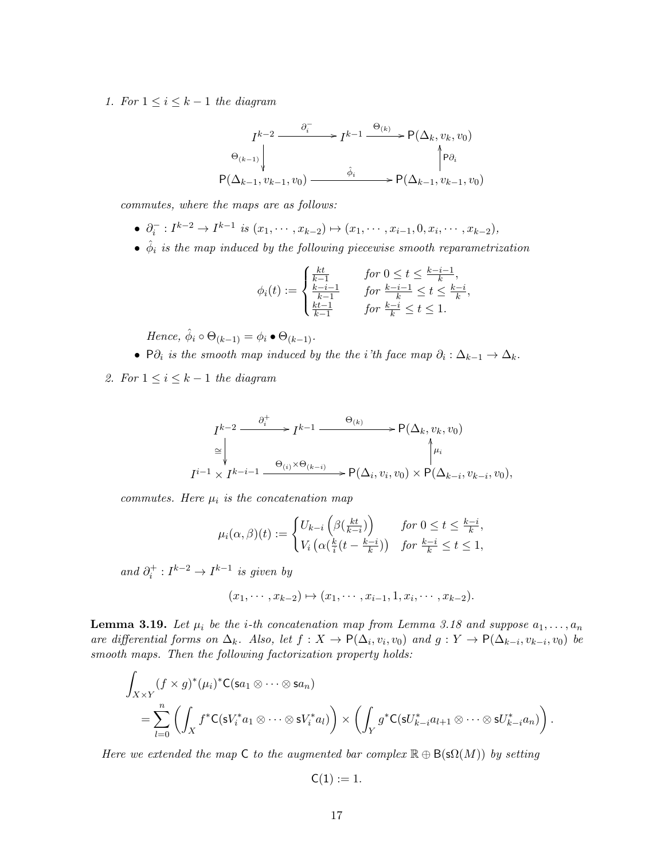1. For  $1 \leq i \leq k-1$  the diagram

$$
I^{k-2} \xrightarrow{\partial_i^-} I^{k-1} \xrightarrow{\Theta_{(k)}} P(\Delta_k, v_k, v_0)
$$
  
\n
$$
\Theta_{(k-1)} \downarrow \qquad \qquad \uparrow \Theta_i
$$
  
\n
$$
P(\Delta_{k-1}, v_{k-1}, v_0) \xrightarrow{\hat{\phi}_i} P(\Delta_{k-1}, v_{k-1}, v_0)
$$

commutes, where the maps are as follows:

- $\partial_i^- : I^{k-2} \to I^{k-1}$  is  $(x_1, \dots, x_{k-2}) \mapsto (x_1, \dots, x_{i-1}, 0, x_i, \dots, x_{k-2}),$
- $\hat{\phi}_i$  is the map induced by the following piecewise smooth reparametrization

$$
\phi_i(t) := \begin{cases} \frac{kt}{k-1} & \text{for } 0 \le t \le \frac{k-i-1}{k},\\ \frac{k-i-1}{k-1} & \text{for } \frac{k-i-1}{k} \le t \le \frac{k-i}{k},\\ \frac{kt-1}{k-1} & \text{for } \frac{k-i}{k} \le t \le 1. \end{cases}
$$

Hence,  $\hat{\phi}_i \circ \Theta_{(k-1)} = \phi_i \bullet \Theta_{(k-1)}$ .

- P $\partial_i$  is the smooth map induced by the the i'th face map  $\partial_i : \Delta_{k-1} \to \Delta_k$ .
- 2. For  $1 \leq i \leq k-1$  the diagram

$$
I^{k-2} \xrightarrow{\partial_i^+} I^{k-1} \xrightarrow{\Theta_{(k)}} P(\Delta_k, v_k, v_0)
$$
  
\n
$$
\cong \downarrow \qquad \qquad \downarrow \qquad \downarrow
$$
  
\n
$$
I^{i-1} \times I^{k-i-1} \xrightarrow{\Theta_{(i)} \times \Theta_{(k-i)}} P(\Delta_i, v_i, v_0) \times P(\Delta_{k-i}, v_{k-i}, v_0),
$$

commutes. Here  $\mu_i$  is the concatenation map

$$
\mu_i(\alpha,\beta)(t) := \begin{cases} U_{k-i}\left(\beta(\frac{kt}{k-i})\right) & \text{for } 0 \le t \le \frac{k-i}{k}, \\ V_i\left(\alpha(\frac{k}{i}(t-\frac{k-i}{k})) \quad \text{for } \frac{k-i}{k} \le t \le 1, \end{cases}
$$

and  $\partial_i^+ : I^{k-2} \to I^{k-1}$  is given by

$$
(x_1, \dots, x_{k-2}) \mapsto (x_1, \dots, x_{i-1}, 1, x_i, \dots, x_{k-2}).
$$

**Lemma 3.19.** Let  $\mu_i$  be the *i*-th concatenation map from Lemma 3.18 and suppose  $a_1, \ldots, a_n$ are differential forms on  $\Delta_k$ . Also, let  $f: X \to \mathsf{P}(\Delta_i, v_i, v_0)$  and  $g: Y \to \mathsf{P}(\Delta_{k-i}, v_{k-i}, v_0)$  be smooth maps. Then the following factorization property holds:

$$
\int_{X\times Y} (f\times g)^*(\mu_i)^* C(\mathsf{S}a_1\otimes\cdots\otimes \mathsf{S}a_n) \n= \sum_{l=0}^n \left( \int_X f^* C(\mathsf{s}V_i^* a_1\otimes\cdots\otimes \mathsf{s}V_i^* a_l) \right) \times \left( \int_Y g^* C(\mathsf{s}U_{k-i}^* a_{l+1}\otimes\cdots\otimes \mathsf{s}U_{k-i}^* a_n) \right).
$$

Here we extended the map C to the augmented bar complex  $\mathbb{R} \oplus B(\mathsf{s}\Omega(M))$  by setting

$$
\mathsf{C}(1):=1.
$$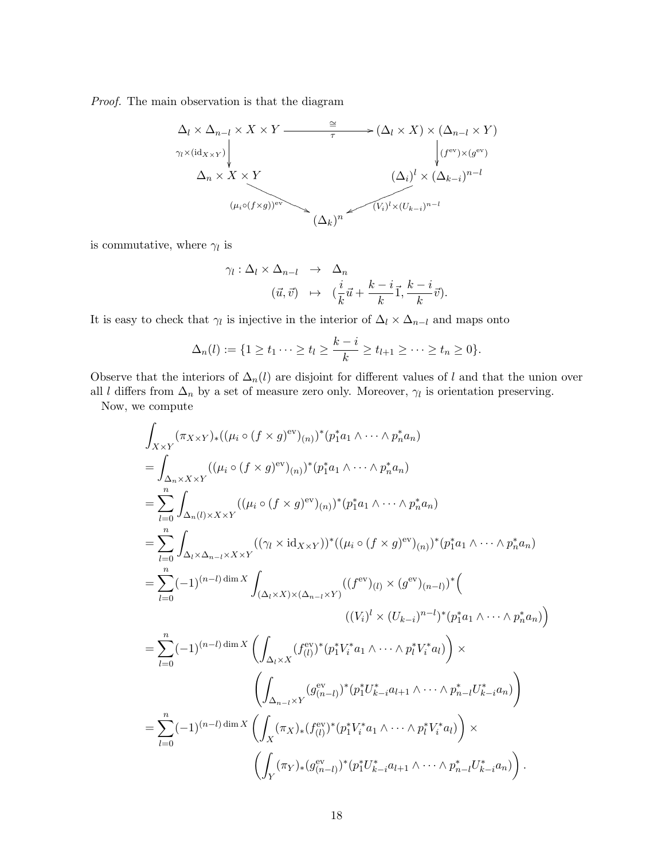Proof. The main observation is that the diagram



is commutative, where  $\gamma_l$  is

$$
\gamma_l : \Delta_l \times \Delta_{n-l} \rightarrow \Delta_n
$$
  

$$
(\vec{u}, \vec{v}) \rightarrow (\frac{i}{k}\vec{u} + \frac{k-i}{k}\vec{1}, \frac{k-i}{k}\vec{v}).
$$

It is easy to check that  $\gamma_l$  is injective in the interior of  $\Delta_l \times \Delta_{n-l}$  and maps onto

$$
\Delta_n(l) := \{1 \ge t_1 \cdots \ge t_l \ge \frac{k-i}{k} \ge t_{l+1} \ge \cdots \ge t_n \ge 0\}.
$$

Observe that the interiors of  $\Delta_n(l)$  are disjoint for different values of l and that the union over

all l differs from  $\Delta_n$  by a set of measure zero only. Moreover,  $\gamma_l$  is orientation preserving. Now, we compute

$$
\int_{X\times Y} (\pi_{X\times Y})_* ((\mu_i \circ (f \times g)^{\text{ev}})_{(n)})^* (p_1^* a_1 \wedge \cdots \wedge p_n^* a_n)
$$
\n=
$$
\int_{\Delta_n \times X \times Y} ((\mu_i \circ (f \times g)^{\text{ev}})_{(n)})^* (p_1^* a_1 \wedge \cdots \wedge p_n^* a_n)
$$
\n=
$$
\sum_{l=0}^n \int_{\Delta_n(l) \times X \times Y} ((\mu_i \circ (f \times g)^{\text{ev}})_{(n)})^* (p_1^* a_1 \wedge \cdots \wedge p_n^* a_n)
$$
\n=
$$
\sum_{l=0}^n \int_{\Delta_l \times \Delta_{n-l} \times X \times Y} ((\gamma_l \times \text{id}_{X \times Y}))^* ((\mu_i \circ (f \times g)^{\text{ev}})_{(n)})^* (p_1^* a_1 \wedge \cdots \wedge p_n^* a_n)
$$
\n=
$$
\sum_{l=0}^n (-1)^{(n-l) \dim X} \int_{(\Delta_l \times X) \times (\Delta_{n-l} \times Y)} ((f^{\text{ev}})_{(l)} \times (g^{\text{ev}})_{(n-l)})^* (f^{\text{ev}})_{(l)} \wedge \cdots \wedge p_n^* a_n)
$$
\n=
$$
\sum_{l=0}^n (-1)^{(n-l) \dim X} \left( \int_{\Delta_l \times X} (f^{\text{ev}}_{(l)})^* (p_1^* V_i^* a_1 \wedge \cdots \wedge p_l^* V_i^* a_l) \right) \times \left( \int_{\Delta_{n-l} \times Y} (g^{\text{ev}}_{(n-l)})^* (p_1^* U_{k-i}^* a_{l+1} \wedge \cdots \wedge p_{n-l}^* U_{k-i}^* a_n) \right)
$$
\n=
$$
\sum_{l=0}^n (-1)^{(n-l) \dim X} \left( \int_X (\pi_X)_* (f^{\text{ev}}_{(l)})^* (p_1^* V_i^* a_1 \wedge \cdots \wedge p_l^* V_i^* a_l) \right) \times \left( \int_Y (\pi_Y)_* (g^{\text{ev}}_{(n-l)})^* (p_1^* U_{k-i}^* a_{l+1} \wedge \cdots \wedge p_{n-l}^* U_{k-i}
$$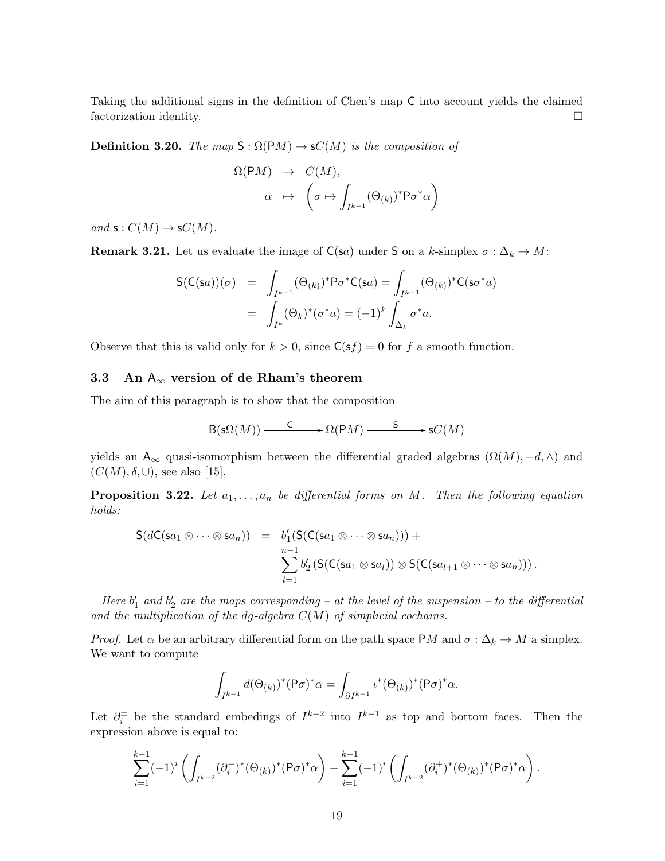Taking the additional signs in the definition of Chen's map C into account yields the claimed factorization identity.

**Definition 3.20.** The map  $S : \Omega(PM) \to \mathsf{S}C(M)$  is the composition of

$$
\Omega(\mathsf{P}M) \rightarrow C(M),
$$
  
\n
$$
\alpha \mapsto \left(\sigma \mapsto \int_{I^{k-1}} (\Theta_{(k)})^* \mathsf{P} \sigma^* \alpha\right)
$$

and  $s: C(M) \to sC(M)$ .

**Remark 3.21.** Let us evaluate the image of  $C(sa)$  under S on a k-simplex  $\sigma : \Delta_k \to M$ :

$$
S(C(sa))(\sigma) = \int_{I^{k-1}} (\Theta_{(k)})^* P \sigma^* C(sa) = \int_{I^{k-1}} (\Theta_{(k)})^* C(sa^*a)
$$

$$
= \int_{I^k} (\Theta_k)^* (\sigma^*a) = (-1)^k \int_{\Delta_k} \sigma^*a.
$$

Observe that this is valid only for  $k > 0$ , since  $C(sf) = 0$  for f a smooth function.

# 3.3 An  $A_{\infty}$  version of de Rham's theorem

The aim of this paragraph is to show that the composition

$$
\mathsf{B}(\mathsf{s}\Omega(M)) \xrightarrow{\mathsf{C}} \mathsf{D}(\mathsf{P}M) \xrightarrow{\mathsf{S}} \mathsf{s}C(M)
$$

yields an A<sub>∞</sub> quasi-isomorphism between the differential graded algebras  $(\Omega(M), -d, \wedge)$  and  $(C(M), \delta, \cup)$ , see also [15].

**Proposition 3.22.** Let  $a_1, \ldots, a_n$  be differential forms on M. Then the following equation holds:

$$
S(dC(sa_1 \otimes \cdots \otimes sa_n)) = b'_1(S(C(sa_1 \otimes \cdots \otimes sa_n))) + \sum_{l=1}^{n-1} b'_2(S(C(sa_1 \otimes sa_l)) \otimes S(C(sa_{l+1} \otimes \cdots \otimes sa_n))).
$$

Here  $b'_1$  and  $b'_2$  are the maps corresponding – at the level of the suspension – to the differential and the multiplication of the dg-algebra  $C(M)$  of simplicial cochains.

*Proof.* Let  $\alpha$  be an arbitrary differential form on the path space PM and  $\sigma : \Delta_k \to M$  a simplex. We want to compute

$$
\int_{I^{k-1}} d(\Theta_{(k)})^* (\mathsf{P} \sigma)^* \alpha = \int_{\partial I^{k-1}} \iota^* (\Theta_{(k)})^* (\mathsf{P} \sigma)^* \alpha.
$$

Let  $\partial_i^{\pm}$  be the standard embedings of  $I^{k-2}$  into  $I^{k-1}$  as top and bottom faces. Then the expression above is equal to:

$$
\sum_{i=1}^{k-1}(-1)^i\left(\int_{I^{k-2}}(\partial_i^-)^*(\Theta_{(k)})^*(\mathsf{P}\sigma)^*\alpha\right)-\sum_{i=1}^{k-1}(-1)^i\left(\int_{I^{k-2}}(\partial_i^+)^*(\Theta_{(k)})^*(\mathsf{P}\sigma)^*\alpha\right).
$$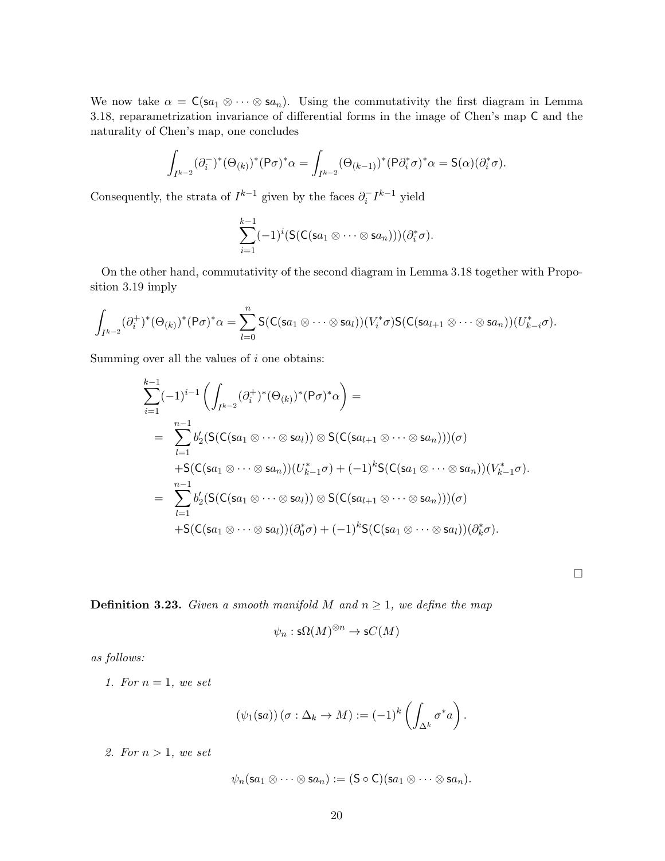We now take  $\alpha = C(\mathsf{sa}_1 \otimes \cdots \otimes \mathsf{sa}_n)$ . Using the commutativity the first diagram in Lemma 3.18, reparametrization invariance of differential forms in the image of Chen's map C and the naturality of Chen's map, one concludes

$$
\int_{I^{k-2}} (\partial_i^-)^* (\Theta_{(k)})^* (\mathsf{P} \sigma)^* \alpha = \int_{I^{k-2}} (\Theta_{(k-1)})^* (\mathsf{P} \partial_i^* \sigma)^* \alpha = \mathsf{S}(\alpha) (\partial_i^* \sigma).
$$

Consequently, the strata of  $I^{k-1}$  given by the faces  $\partial_i^{\dagger} I^{k-1}$  yield

$$
\sum_{i=1}^{k-1}(-1)^i(S(C(sa_1\otimes\cdots\otimes sa_n)))(\partial_i^*\sigma).
$$

On the other hand, commutativity of the second diagram in Lemma 3.18 together with Proposition 3.19 imply

$$
\int_{I^{k-2}} (\partial_i^+)^*(\Theta_{(k)})^*(P\sigma)^*\alpha = \sum_{l=0}^n \mathsf{S}(\mathsf{C}(\mathsf{sa}_1 \otimes \cdots \otimes \mathsf{sa}_l))(V_i^*\sigma) \mathsf{S}(\mathsf{C}(\mathsf{sa}_{l+1} \otimes \cdots \otimes \mathsf{sa}_n))(U_{k-i}^*\sigma).
$$

Summing over all the values of  $i$  one obtains:

$$
\sum_{i=1}^{k-1}(-1)^{i-1}\left(\int_{I^{k-2}}(\partial_i^+)^*(\Theta_{(k)})^*(P\sigma)^*\alpha\right)=
$$
\n
$$
=\sum_{l=1}^{n-1}b'_2(S(C(sa_1\otimes\cdots\otimes sa_l))\otimes S(C(sa_{l+1}\otimes\cdots\otimes sa_n)))(\sigma)
$$
\n
$$
+S(C(sa_1\otimes\cdots\otimes sa_n))(U_{k-1}^*\sigma) + (-1)^kS(C(sa_1\otimes\cdots\otimes sa_n))(V_{k-1}^*\sigma).
$$
\n
$$
=\sum_{l=1}^{n-1}b'_2(S(C(sa_1\otimes\cdots\otimes sa_l))\otimes S(C(sa_{l+1}\otimes\cdots\otimes sa_n)))(\sigma)
$$
\n
$$
+S(C(sa_1\otimes\cdots\otimes sa_l))(\partial_0^*\sigma) + (-1)^kS(C(sa_1\otimes\cdots\otimes sa_l))(\partial_k^*\sigma).
$$

**Definition 3.23.** Given a smooth manifold M and  $n \geq 1$ , we define the map

$$
\psi_n : \mathsf{s}\Omega(M)^{\otimes n} \to \mathsf{s}C(M)
$$

 $\Box$ 

as follows:

1. For  $n=1$ , we set

$$
(\psi_1(\mathsf{s}a))(\sigma:\Delta_k\to M):=(-1)^k\left(\int_{\Delta^k}\sigma^*a\right).
$$

2. For  $n > 1$ , we set

$$
\psi_n(\mathsf{s} a_1 \otimes \cdots \otimes \mathsf{s} a_n) := (\mathsf{S} \circ \mathsf{C})(\mathsf{s} a_1 \otimes \cdots \otimes \mathsf{s} a_n).
$$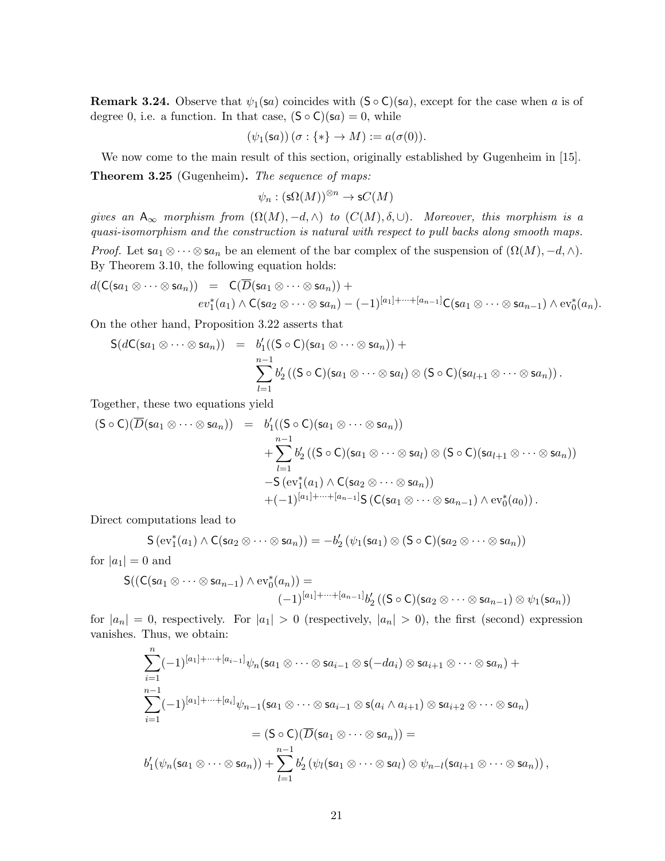**Remark 3.24.** Observe that  $\psi_1(\mathbf{sa})$  coincides with  $(\mathsf{S} \circ \mathsf{C})(\mathbf{sa})$ , except for the case when a is of degree 0, i.e. a function. In that case,  $(\mathsf{S} \circ \mathsf{C})(\mathsf{s} a) = 0$ , while

$$
(\psi_1(\mathsf{sa}))\, (\sigma : \{*\} \to M) := a(\sigma(0)).
$$

We now come to the main result of this section, originally established by Gugenheim in [15].

Theorem 3.25 (Gugenheim). The sequence of maps:

$$
\psi_n:(\mathsf{s}\Omega(M))^{\otimes n}\to \mathsf{s} C(M)
$$

gives an  $A_{\infty}$  morphism from  $(\Omega(M), -d, \wedge)$  to  $(C(M), \delta, \cup)$ . Moreover, this morphism is a quasi-isomorphism and the construction is natural with respect to pull backs along smooth maps. *Proof.* Let  $sa_1 \otimes \cdots \otimes sa_n$  be an element of the bar complex of the suspension of  $(\Omega(M), -d, \wedge)$ . By Theorem 3.10, the following equation holds:

$$
d(\mathsf{C}(sa_1 \otimes \cdots \otimes sa_n)) = \mathsf{C}(\overline{D}(sa_1 \otimes \cdots \otimes sa_n)) + \newline ev_1^*(a_1) \wedge \mathsf{C}(sa_2 \otimes \cdots \otimes sa_n) - (-1)^{[a_1] + \cdots + [a_{n-1}]} \mathsf{C}(sa_1 \otimes \cdots \otimes sa_{n-1}) \wedge ev_0^*(a_n).
$$

On the other hand, Proposition 3.22 asserts that

$$
S(dC(sa_1 \otimes \cdots \otimes sa_n)) = b'_1((S \circ C)(sa_1 \otimes \cdots \otimes sa_n)) + \sum_{l=1}^{n-1} b'_2 ((S \circ C)(sa_1 \otimes \cdots \otimes sa_l) \otimes (S \circ C)(sa_{l+1} \otimes \cdots \otimes sa_n)).
$$

Together, these two equations yield

$$
(S \circ C)(\overline{D}(sa_1 \otimes \cdots \otimes sa_n)) = b'_1((S \circ C)(sa_1 \otimes \cdots \otimes sa_n))
$$
  
+ 
$$
\sum_{l=1}^{n-1} b'_2((S \circ C)(sa_1 \otimes \cdots \otimes sa_l) \otimes (S \circ C)(sa_{l+1} \otimes \cdots \otimes sa_n))
$$
  
- 
$$
S(\text{ev}_1^*(a_1) \wedge C(sa_2 \otimes \cdots \otimes sa_n))
$$
  
+ 
$$
(-1)^{[a_1] + \cdots + [a_{n-1}]}S(C(sa_1 \otimes \cdots \otimes sa_{n-1}) \wedge \text{ev}_0^*(a_0)).
$$

Direct computations lead to

$$
\mathsf{S}(\mathrm{ev}_1^*(a_1) \wedge \mathsf{C}(sa_2 \otimes \cdots \otimes sa_n)) = -b_2'(\psi_1(sa_1) \otimes (\mathsf{S} \circ \mathsf{C})(sa_2 \otimes \cdots \otimes sa_n))
$$

for  $|a_1| = 0$  and

$$
S((C(sa_1 \otimes \cdots \otimes sa_{n-1}) \wedge ev_0^*(a_n)) =
$$
  

$$
(-1)^{[a_1] + \cdots + [a_{n-1}]}b'_2 ((S \circ C)(sa_2 \otimes \cdots \otimes sa_{n-1}) \otimes \psi_1(sa_n))
$$

for  $|a_n| = 0$ , respectively. For  $|a_1| > 0$  (respectively,  $|a_n| > 0$ ), the first (second) expression vanishes. Thus, we obtain:

$$
\sum_{i=1}^{n} (-1)^{[a_1]+\cdots+[a_{i-1}]} \psi_n(\mathbf{s}a_1 \otimes \cdots \otimes \mathbf{s}a_{i-1} \otimes \mathbf{s}(-da_i) \otimes \mathbf{s}a_{i+1} \otimes \cdots \otimes \mathbf{s}a_n) +
$$
  

$$
\sum_{i=1}^{n-1} (-1)^{[a_1]+\cdots+[a_i]} \psi_{n-1}(\mathbf{s}a_1 \otimes \cdots \otimes \mathbf{s}a_{i-1} \otimes \mathbf{s}(a_i \wedge a_{i+1}) \otimes \mathbf{s}a_{i+2} \otimes \cdots \otimes \mathbf{s}a_n)
$$
  

$$
= (\mathsf{S} \circ \mathsf{C})(\overline{D}(\mathbf{s}a_1 \otimes \cdots \otimes \mathbf{s}a_n)) =
$$
  

$$
b'_1(\psi_n(\mathbf{s}a_1 \otimes \cdots \otimes \mathbf{s}a_n)) + \sum_{l=1}^{n-1} b'_2(\psi_l(\mathbf{s}a_1 \otimes \cdots \otimes \mathbf{s}a_l) \otimes \psi_{n-l}(\mathbf{s}a_{l+1} \otimes \cdots \otimes \mathbf{s}a_n)),
$$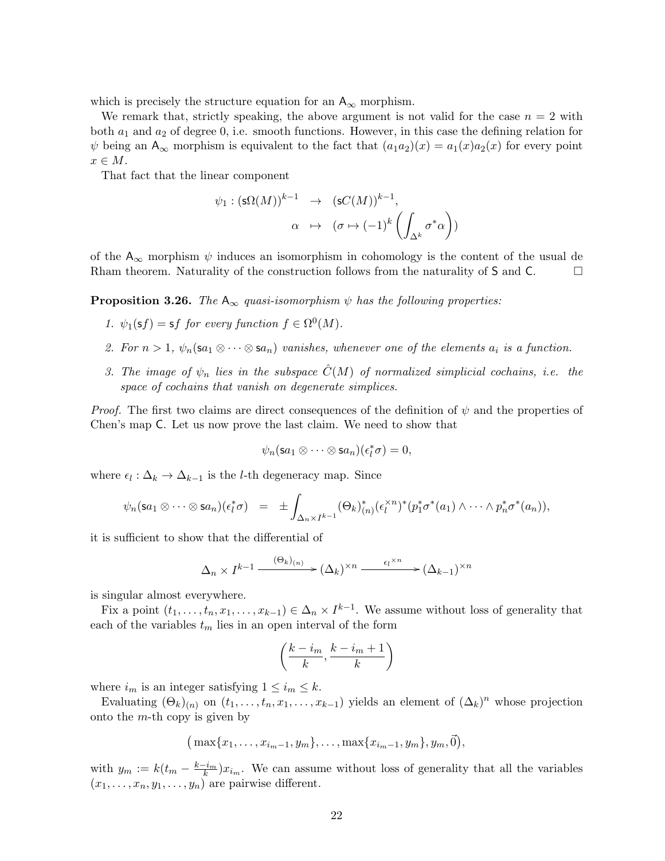which is precisely the structure equation for an  $A_{\infty}$  morphism.

We remark that, strictly speaking, the above argument is not valid for the case  $n = 2$  with both  $a_1$  and  $a_2$  of degree 0, i.e. smooth functions. However, in this case the defining relation for  $\psi$  being an  $A_{\infty}$  morphism is equivalent to the fact that  $(a_1a_2)(x) = a_1(x)a_2(x)$  for every point  $x \in M$ .

That fact that the linear component

$$
\psi_1: (\mathsf{s}\Omega(M))^{k-1} \rightarrow (\mathsf{s}C(M))^{k-1},
$$

$$
\alpha \mapsto (\sigma \mapsto (-1)^k \left( \int_{\Delta^k} \sigma^* \alpha \right))
$$

of the  $A_{\infty}$  morphism  $\psi$  induces an isomorphism in cohomology is the content of the usual de Rham theorem. Naturality of the construction follows from the naturality of  $S$  and  $C$ .

**Proposition 3.26.** The  $A_{\infty}$  quasi-isomorphism  $\psi$  has the following properties:

- 1.  $\psi_1(\mathsf{s} f) = \mathsf{s} f$  for every function  $f \in \Omega^0(M)$ .
- 2. For  $n > 1$ ,  $\psi_n(\mathsf{sa}_1 \otimes \cdots \otimes \mathsf{sa}_n)$  vanishes, whenever one of the elements  $a_i$  is a function.
- 3. The image of  $\psi_n$  lies in the subspace  $\hat{C}(M)$  of normalized simplicial cochains, i.e. the space of cochains that vanish on degenerate simplices.

*Proof.* The first two claims are direct consequences of the definition of  $\psi$  and the properties of Chen's map C. Let us now prove the last claim. We need to show that

$$
\psi_n(\mathsf{s} a_1 \otimes \cdots \otimes \mathsf{s} a_n)(\epsilon_l^* \sigma) = 0,
$$

where  $\epsilon_l : \Delta_k \to \Delta_{k-1}$  is the *l*-th degeneracy map. Since

$$
\psi_n(\mathbf{s} a_1 \otimes \cdots \otimes \mathbf{s} a_n)(\epsilon_l^* \sigma) = \pm \int_{\Delta_n \times I^{k-1}} (\Theta_k)_{(n)}^* (\epsilon_l^* \otimes \cdots \otimes \epsilon_l^* \sigma^* (a_1) \wedge \cdots \wedge p_n^* \sigma^* (a_n)),
$$

it is sufficient to show that the differential of

$$
\Delta_n \times I^{k-1} \xrightarrow{(\Theta_k)_{(n)}} (\Delta_k)^{\times n} \xrightarrow{\epsilon_l^{\times n}} (\Delta_{k-1})^{\times n}
$$

is singular almost everywhere.

Fix a point  $(t_1, \ldots, t_n, x_1, \ldots, x_{k-1}) \in \Delta_n \times I^{k-1}$ . We assume without loss of generality that each of the variables  $t_m$  lies in an open interval of the form

$$
\left(\frac{k-i_m}{k},\frac{k-i_m+1}{k}\right)
$$

where  $i_m$  is an integer satisfying  $1 \leq i_m \leq k$ .

Evaluating  $(\Theta_k)_{(n)}$  on  $(t_1,\ldots,t_n,x_1,\ldots,x_{k-1})$  yields an element of  $(\Delta_k)^n$  whose projection onto the  $m$ -th copy is given by

$$
(\max\{x_1,\ldots,x_{i_m-1},y_m\},\ldots,\max\{x_{i_m-1},y_m\},y_m,\vec{0}),
$$

with  $y_m := k(t_m - \frac{k-i_m}{k})x_{i_m}$ . We can assume without loss of generality that all the variables  $(x_1, \ldots, x_n, y_1, \ldots, y_n)$  are pairwise different.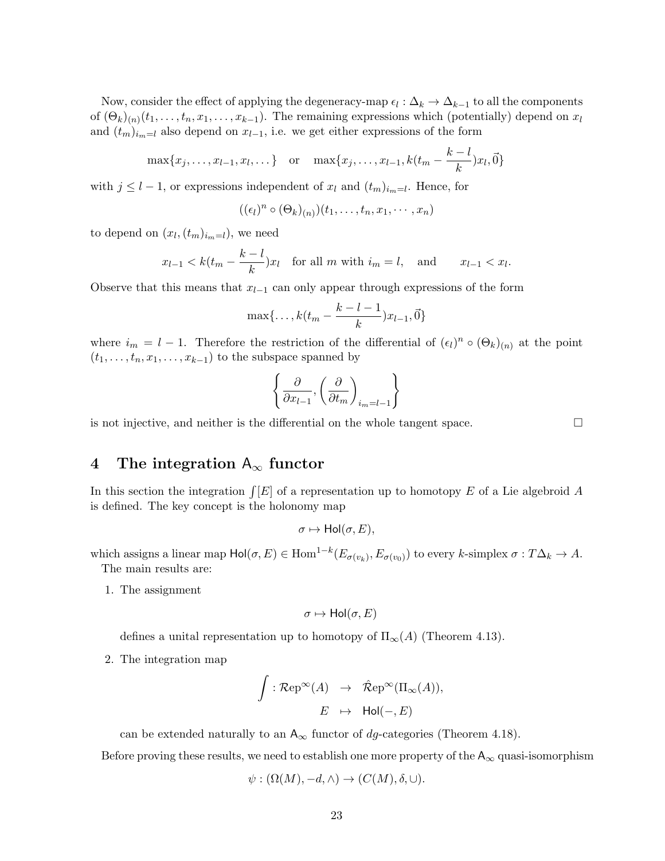Now, consider the effect of applying the degeneracy-map  $\epsilon_l : \Delta_k \to \Delta_{k-1}$  to all the components of  $(\Theta_k)_{(n)}(t_1,\ldots,t_n,x_1,\ldots,x_{k-1})$ . The remaining expressions which (potentially) depend on  $x_l$ and  $(t_m)_{i_m=1}$  also depend on  $x_{l-1}$ , i.e. we get either expressions of the form

$$
\max\{x_1, \dots, x_{l-1}, x_l, \dots\} \text{ or } \max\{x_1, \dots, x_{l-1}, k(t_m - \frac{k-l}{k})x_l, \vec{0}\}
$$

with  $j \leq l-1$ , or expressions independent of  $x_l$  and  $(t_m)_{i_m=l}$ . Hence, for

$$
((\epsilon_l)^n \circ (\Theta_k)_{(n)})(t_1,\ldots,t_n,x_1,\cdots,x_n)
$$

to depend on  $(x_l, (t_m)_{i_m=l})$ , we need

$$
x_{l-1} < k(t_m - \frac{k-l}{k})x_l \quad \text{for all } m \text{ with } i_m = l, \quad \text{and} \qquad x_{l-1} < x_l.
$$

Observe that this means that  $x_{l-1}$  can only appear through expressions of the form

$$
\max\{\ldots, k(t_m-\frac{k-l-1}{k})x_{l-1}, \vec{0}\}
$$

where  $i_m = l - 1$ . Therefore the restriction of the differential of  $(\epsilon_l)^n \circ (\Theta_k)_{(n)}$  at the point  $(t_1, \ldots, t_n, x_1, \ldots, x_{k-1})$  to the subspace spanned by

$$
\left\{\frac{\partial}{\partial x_{l-1}}, \left(\frac{\partial}{\partial t_m}\right)_{i_m=l-1}\right\}
$$

is not injective, and neither is the differential on the whole tangent space.  $\Box$ 

# 4 The integration  $A_{\infty}$  functor

In this section the integration  $\int [E]$  of a representation up to homotopy E of a Lie algebroid A is defined. The key concept is the holonomy map

$$
\sigma \mapsto Hol(\sigma, E),
$$

which assigns a linear map  $\text{Hol}(\sigma, E) \in \text{Hom}^{1-k}(E_{\sigma(v_k)}, E_{\sigma(v_0)})$  to every k-simplex  $\sigma: T\Delta_k \to A$ . The main results are:

1. The assignment

$$
\sigma \mapsto \mathsf{Hol}(\sigma,E)
$$

defines a unital representation up to homotopy of  $\Pi_{\infty}(A)$  (Theorem 4.13).

2. The integration map

$$
\int : {\mathcal R} {\rm ep}^{\infty}(A) \quad \to \quad \hat{\mathcal R} {\rm ep}^{\infty}(\Pi_{\infty}(A)),
$$
  

$$
E \quad \mapsto \quad {\sf Hol}(-, E)
$$

can be extended naturally to an  $A_{\infty}$  functor of dg-categories (Theorem 4.18).

Before proving these results, we need to establish one more property of the  $A_{\infty}$  quasi-isomorphism

$$
\psi : (\Omega(M), -d, \wedge) \to (C(M), \delta, \cup).
$$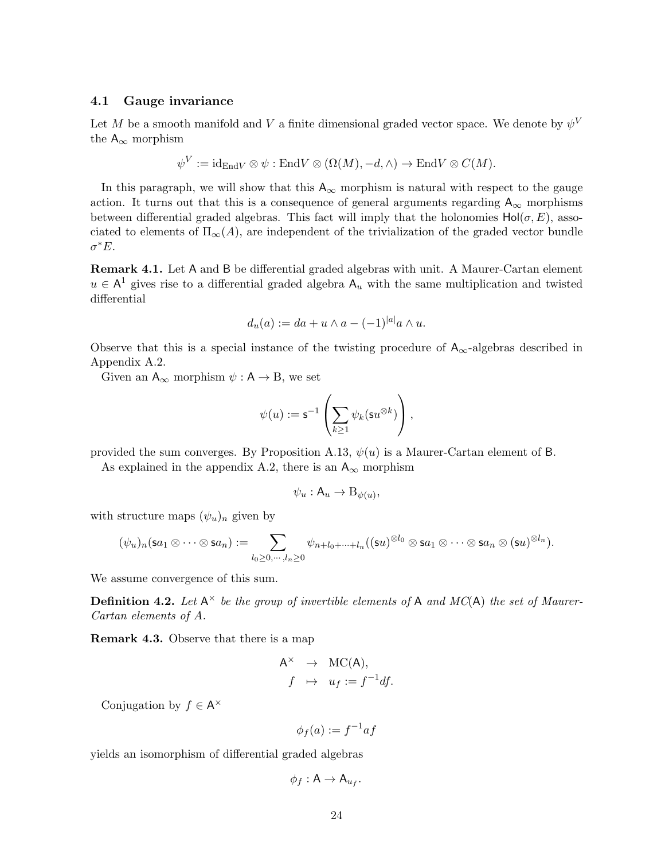#### 4.1 Gauge invariance

Let M be a smooth manifold and V a finite dimensional graded vector space. We denote by  $\psi^V$ the  $A_{\infty}$  morphism

$$
\psi^V := \mathrm{id}_{\mathrm{End} V} \otimes \psi : \mathrm{End} V \otimes (\Omega(M), -d, \wedge) \to \mathrm{End} V \otimes C(M).
$$

In this paragraph, we will show that this  $A_{\infty}$  morphism is natural with respect to the gauge action. It turns out that this is a consequence of general arguments regarding  $A_{\infty}$  morphisms between differential graded algebras. This fact will imply that the holonomies  $Hol(\sigma, E)$ , associated to elements of  $\Pi_{\infty}(A)$ , are independent of the trivialization of the graded vector bundle  $\sigma^* E$ .

Remark 4.1. Let A and B be differential graded algebras with unit. A Maurer-Cartan element  $u \in A<sup>1</sup>$  gives rise to a differential graded algebra  $A_u$  with the same multiplication and twisted differential

$$
d_u(a) := da + u \wedge a - (-1)^{|a|} a \wedge u.
$$

Observe that this is a special instance of the twisting procedure of  $A_{\infty}$ -algebras described in Appendix A.2.

Given an  $A_{\infty}$  morphism  $\psi : A \to B$ , we set

$$
\psi(u):=\mathsf{s}^{-1}\left(\sum_{k\geq 1} \psi_k(\mathsf{s} u^{\otimes k})\right),
$$

provided the sum converges. By Proposition A.13,  $\psi(u)$  is a Maurer-Cartan element of B.

As explained in the appendix A.2, there is an  $A_{\infty}$  morphism

$$
\psi_u : \mathsf{A}_u \to \mathsf{B}_{\psi(u)},
$$

with structure maps  $(\psi_u)_n$  given by

$$
(\psi_u)_n(\mathsf{s} a_1 \otimes \cdots \otimes \mathsf{s} a_n) := \sum_{l_0 \geq 0, \cdots, l_n \geq 0} \psi_{n+l_0+\cdots+l_n}((\mathsf{s} u)^{\otimes l_0} \otimes \mathsf{s} a_1 \otimes \cdots \otimes \mathsf{s} a_n \otimes (\mathsf{s} u)^{\otimes l_n}).
$$

We assume convergence of this sum.

**Definition 4.2.** Let  $A^{\times}$  be the group of invertible elements of A and MC(A) the set of Maurer-Cartan elements of A.

Remark 4.3. Observe that there is a map

$$
\begin{array}{rcl}\nA^{\times} & \to & \text{MC(A)}, \\
f & \mapsto & u_f := f^{-1}df.\n\end{array}
$$

Conjugation by  $f \in A^{\times}$ 

 $\phi_f(a) := f^{-1}af$ 

yields an isomorphism of differential graded algebras

$$
\phi_f: \mathsf{A} \to \mathsf{A}_{u_f}.
$$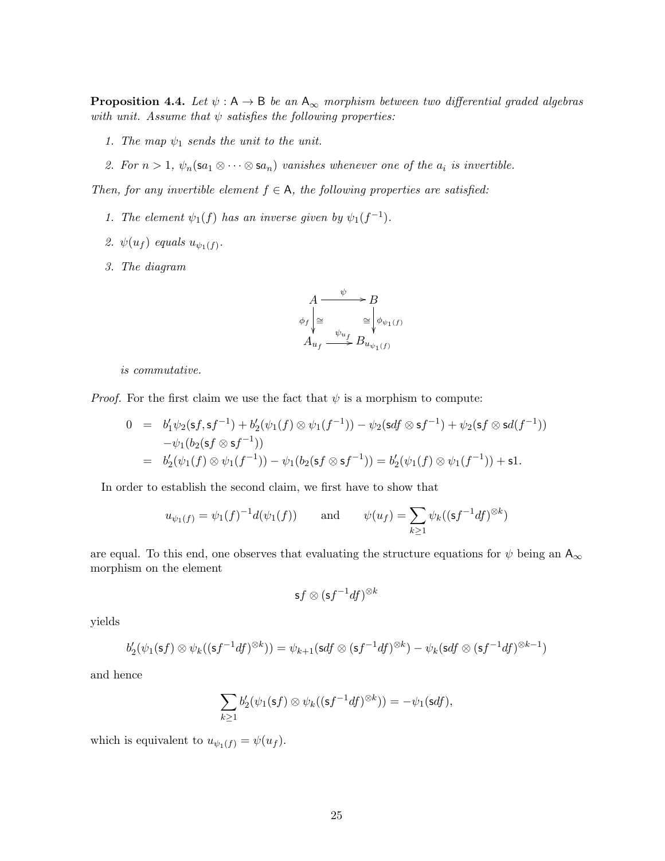**Proposition 4.4.** Let  $\psi : A \to B$  be an  $A_{\infty}$  morphism between two differential graded algebras with unit. Assume that  $\psi$  satisfies the following properties:

- 1. The map  $\psi_1$  sends the unit to the unit.
- 2. For  $n > 1$ ,  $\psi_n(\mathsf{sa}_1 \otimes \cdots \otimes \mathsf{sa}_n)$  vanishes whenever one of the  $a_i$  is invertible.

Then, for any invertible element  $f \in A$ , the following properties are satisfied:

- 1. The element  $\psi_1(f)$  has an inverse given by  $\psi_1(f^{-1})$ .
- 2.  $\psi(u_f)$  equals  $u_{\psi_1(f)}$ .
- 3. The diagram



is commutative.

*Proof.* For the first claim we use the fact that  $\psi$  is a morphism to compute:

$$
0 = b'_1 \psi_2(\mathsf{s}f, \mathsf{s}f^{-1}) + b'_2(\psi_1(f) \otimes \psi_1(f^{-1})) - \psi_2(\mathsf{s}df \otimes \mathsf{s}f^{-1}) + \psi_2(\mathsf{s}f \otimes \mathsf{s}d(f^{-1}))
$$
  

$$
- \psi_1(b_2(\mathsf{s}f \otimes \mathsf{s}f^{-1}))
$$
  

$$
= b'_2(\psi_1(f) \otimes \psi_1(f^{-1})) - \psi_1(b_2(\mathsf{s}f \otimes \mathsf{s}f^{-1})) = b'_2(\psi_1(f) \otimes \psi_1(f^{-1})) + \mathsf{s}1.
$$

In order to establish the second claim, we first have to show that

$$
u_{\psi_1(f)} = \psi_1(f)^{-1}d(\psi_1(f))
$$
 and  $\psi(u_f) = \sum_{k \ge 1} \psi_k((sf^{-1}df)^{\otimes k})$ 

are equal. To this end, one observes that evaluating the structure equations for  $\psi$  being an  $A_{\infty}$ morphism on the element

$$
\mathsf{s} f \otimes (\mathsf{s} f^{-1}df)^{\otimes k}
$$

yields

$$
b_2'(\psi_1(\mathsf{s} f) \otimes \psi_k((\mathsf{s} f^{-1} df)^{\otimes k})) = \psi_{k+1}(\mathsf{s} df \otimes (\mathsf{s} f^{-1} df)^{\otimes k}) - \psi_k(\mathsf{s} df \otimes (\mathsf{s} f^{-1} df)^{\otimes k-1})
$$

and hence

$$
\sum_{k\geq 1}b'_2(\psi_1(\mathbf{s} f)\otimes \psi_k((\mathbf{s} f^{-1}df)^{\otimes k}))=-\psi_1(\mathbf{s} df),
$$

which is equivalent to  $u_{\psi_1(f)} = \psi(u_f)$ .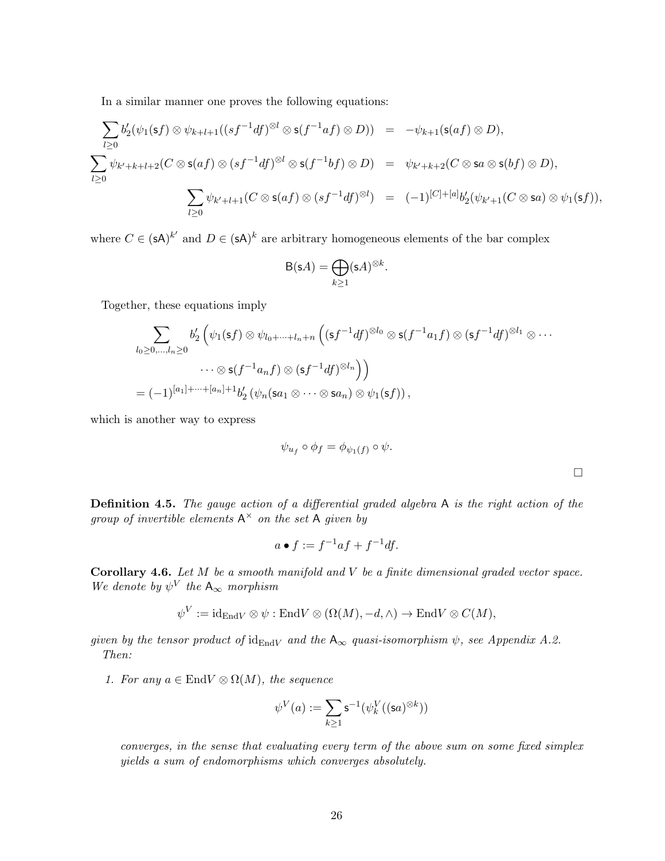In a similar manner one proves the following equations:

$$
\sum_{l\geq 0} b'_2(\psi_1(\mathbf{s}f)\otimes\psi_{k+l+1}((sf^{-1}df)^{\otimes l}\otimes\mathbf{s}(f^{-1}af)\otimes D)) = -\psi_{k+1}(\mathbf{s}(af)\otimes D),
$$
  

$$
\sum_{l\geq 0}\psi_{k'+k+l+2}(C\otimes\mathbf{s}(af)\otimes (sf^{-1}df)^{\otimes l}\otimes\mathbf{s}(f^{-1}bf)\otimes D) = \psi_{k'+k+2}(C\otimes\mathbf{s}a\otimes\mathbf{s}(bf)\otimes D),
$$
  

$$
\sum_{l\geq 0}\psi_{k'+l+1}(C\otimes\mathbf{s}(af)\otimes (sf^{-1}df)^{\otimes l}) = (-1)^{[C]+[a]}b'_2(\psi_{k'+1}(C\otimes\mathbf{s}a)\otimes\psi_1(\mathbf{s}f)),
$$

where  $C \in (sA)^{k'}$  and  $D \in (sA)^{k}$  are arbitrary homogeneous elements of the bar complex

$$
B(sA) = \bigoplus_{k \ge 1} (sA)^{\otimes k}.
$$

Together, these equations imply

$$
\sum_{l_0 \geq 0, \ldots, l_n \geq 0} b'_2 \left( \psi_1(\mathsf{s}f) \otimes \psi_{l_0 + \cdots + l_n + n} \left( (\mathsf{s}f^{-1}df)^{\otimes l_0} \otimes \mathsf{s}(f^{-1}a_1 f) \otimes (\mathsf{s}f^{-1}df)^{\otimes l_1} \otimes \cdots \right. \right.
$$
  

$$
\cdots \otimes \mathsf{s}(f^{-1}a_nf) \otimes (\mathsf{s}f^{-1}df)^{\otimes l_n} \Big)
$$
  

$$
= (-1)^{[a_1] + \cdots + [a_n] + 1} b'_2 \left( \psi_n(\mathsf{s}a_1 \otimes \cdots \otimes \mathsf{s}a_n) \otimes \psi_1(\mathsf{s}f) \right),
$$

which is another way to express

$$
\psi_{u_f} \circ \phi_f = \phi_{\psi_1(f)} \circ \psi.
$$

Definition 4.5. The gauge action of a differential graded algebra A is the right action of the group of invertible elements  $A^{\times}$  on the set A given by

$$
a \bullet f := f^{-1}af + f^{-1}df.
$$

**Corollary 4.6.** Let  $M$  be a smooth manifold and  $V$  be a finite dimensional graded vector space. We denote by  $\psi^V$  the  $A_{\infty}$  morphism

$$
\psi^V := \mathrm{id}_{\mathrm{End} V} \otimes \psi : \mathrm{End} V \otimes (\Omega(M), -d, \wedge) \to \mathrm{End} V \otimes C(M),
$$

given by the tensor product of  $id_{EndV}$  and the  $A_{\infty}$  quasi-isomorphism  $\psi$ , see Appendix A.2. Then:

1. For any  $a \in End V \otimes \Omega(M)$ , the sequence

$$
\psi^V(a):=\sum_{k\geq 1}\mathsf{s}^{-1}(\psi^V_k((\mathsf{s} a)^{\otimes k}))
$$

converges, in the sense that evaluating every term of the above sum on some fixed simplex yields a sum of endomorphisms which converges absolutely.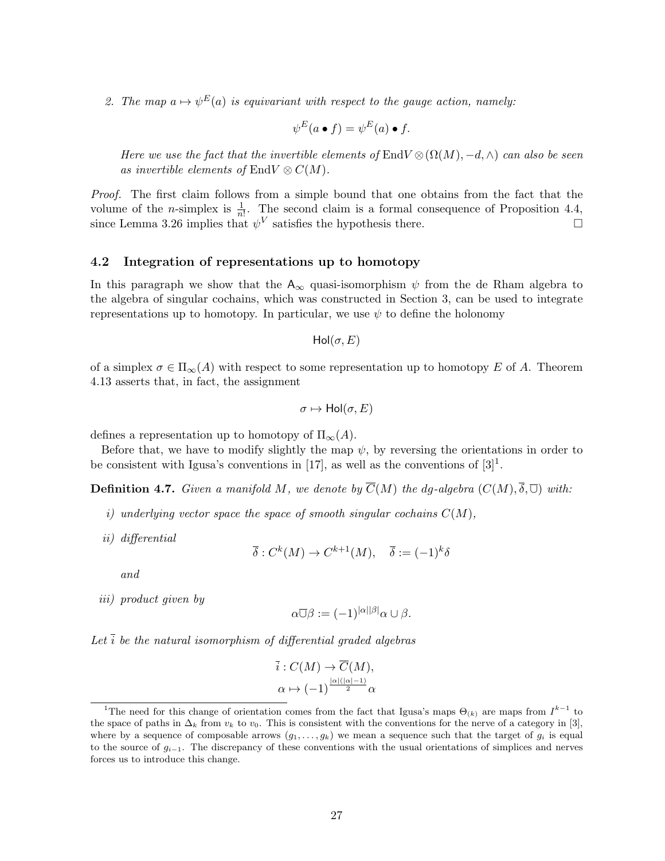2. The map  $a \mapsto \psi^E(a)$  is equivariant with respect to the gauge action, namely:

$$
\psi^E(a \bullet f) = \psi^E(a) \bullet f.
$$

Here we use the fact that the invertible elements of EndV  $\otimes(\Omega(M), -d, \wedge)$  can also be seen as invertible elements of EndV  $\otimes$  C(M).

Proof. The first claim follows from a simple bound that one obtains from the fact that the volume of the *n*-simplex is  $\frac{1}{n!}$ . The second claim is a formal consequence of Proposition 4.4, since Lemma 3.26 implies that  $\psi^V$  satisfies the hypothesis there.

#### 4.2 Integration of representations up to homotopy

In this paragraph we show that the  $A_{\infty}$  quasi-isomorphism  $\psi$  from the de Rham algebra to the algebra of singular cochains, which was constructed in Section 3, can be used to integrate representations up to homotopy. In particular, we use  $\psi$  to define the holonomy

$$
Hol(\sigma,E)
$$

of a simplex  $\sigma \in \Pi_{\infty}(A)$  with respect to some representation up to homotopy E of A. Theorem 4.13 asserts that, in fact, the assignment

$$
\sigma \mapsto \mathsf{Hol}(\sigma, E)
$$

defines a representation up to homotopy of  $\Pi_{\infty}(A)$ .

Before that, we have to modify slightly the map  $\psi$ , by reversing the orientations in order to be consistent with Igusa's conventions in [17], as well as the conventions of  $[3]^1$ .

**Definition 4.7.** Given a manifold M, we denote by  $\overline{C}(M)$  the dg-algebra  $(C(M), \overline{\delta}, \overline{\cup})$  with:

- i) underlying vector space the space of smooth singular cochains  $C(M)$ ,
- ii) differential

$$
\overline{\delta}: C^k(M) \to C^{k+1}(M), \quad \overline{\delta} := (-1)^k \delta
$$

and

iii) product given by

$$
\alpha \overline{\cup} \beta := (-1)^{|\alpha||\beta|} \alpha \cup \beta.
$$

Let  $\overline{i}$  be the natural isomorphism of differential graded algebras

$$
\overline{i}: C(M) \to \overline{C}(M),
$$
  

$$
\alpha \mapsto (-1)^{\frac{|\alpha|(|\alpha|-1)}{2}} \alpha
$$

<sup>&</sup>lt;sup>1</sup>The need for this change of orientation comes from the fact that Igusa's maps  $\Theta_{(k)}$  are maps from  $I^{k-1}$  to the space of paths in  $\Delta_k$  from  $v_k$  to  $v_0$ . This is consistent with the conventions for the nerve of a category in [3], where by a sequence of composable arrows  $(g_1, \ldots, g_k)$  we mean a sequence such that the target of  $g_i$  is equal to the source of  $g_{i-1}$ . The discrepancy of these conventions with the usual orientations of simplices and nerves forces us to introduce this change.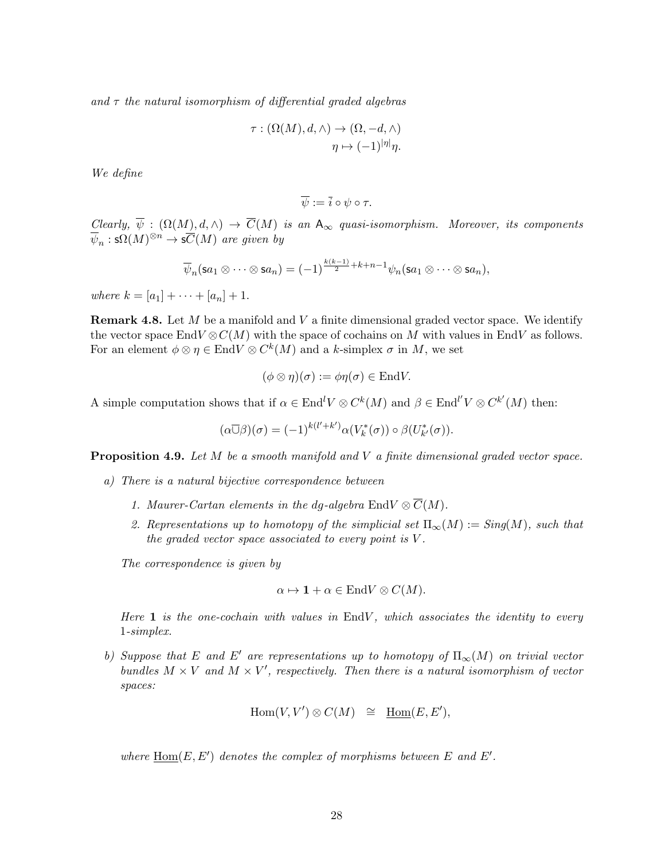and  $\tau$  the natural isomorphism of differential graded algebras

$$
\tau : (\Omega(M), d, \wedge) \to (\Omega, -d, \wedge)
$$

$$
\eta \mapsto (-1)^{|\eta|} \eta.
$$

We define

$$
\overline{\psi} := \overline{i} \circ \psi \circ \tau.
$$

Clearly,  $\psi : (\Omega(M), d, \wedge) \to \overline{C}(M)$  is an  $A_{\infty}$  quasi-isomorphism. Moreover, its components  $\overline{\psi}_n : \mathsf{s}\Omega(M)^{\otimes n} \to \mathsf{s}\overline{C}(M)$  are given by

$$
\overline{\psi}_n(\mathsf{sa}_1 \otimes \cdots \otimes \mathsf{sa}_n) = (-1)^{\frac{k(k-1)}{2} + k + n - 1} \psi_n(\mathsf{sa}_1 \otimes \cdots \otimes \mathsf{sa}_n),
$$

where  $k = [a_1] + \cdots + [a_n] + 1$ .

**Remark 4.8.** Let  $M$  be a manifold and  $V$  a finite dimensional graded vector space. We identify the vector space EndV  $\otimes$  C(M) with the space of cochains on M with values in EndV as follows. For an element  $\phi \otimes \eta \in \text{End}V \otimes C^k(M)$  and a k-simplex  $\sigma$  in M, we set

$$
(\phi \otimes \eta)(\sigma) := \phi \eta(\sigma) \in \text{End}V.
$$

A simple computation shows that if  $\alpha \in \text{End}^l V \otimes C^k(M)$  and  $\beta \in \text{End}^{l'} V \otimes C^{k'}(M)$  then:

$$
(\alpha \overline{\cup} \beta)(\sigma) = (-1)^{k(l'+k')} \alpha(V_k^*(\sigma)) \circ \beta(U_{k'}^*(\sigma)).
$$

**Proposition 4.9.** Let  $M$  be a smooth manifold and  $V$  a finite dimensional graded vector space.

- a) There is a natural bijective correspondence between
	- 1. Maurer-Cartan elements in the dq-algebra  $\text{End}V \otimes \overline{C}(M)$ .
	- 2. Representations up to homotopy of the simplicial set  $\Pi_{\infty}(M) := Sing(M)$ , such that the graded vector space associated to every point is  $V$ .

The correspondence is given by

$$
\alpha \mapsto \mathbf{1} + \alpha \in \text{End}V \otimes C(M).
$$

Here  $\bf{1}$  is the one-cochain with values in EndV, which associates the identity to every 1-simplex.

b) Suppose that E and E' are representations up to homotopy of  $\Pi_{\infty}(M)$  on trivial vector bundles  $M \times V$  and  $M \times V'$ , respectively. Then there is a natural isomorphism of vector spaces:

$$
\operatorname{Hom}(V, V') \otimes C(M) \quad \cong \quad \underline{\operatorname{Hom}}(E, E'),
$$

where  $\underline{Hom}(E, E')$  denotes the complex of morphisms between E and E'.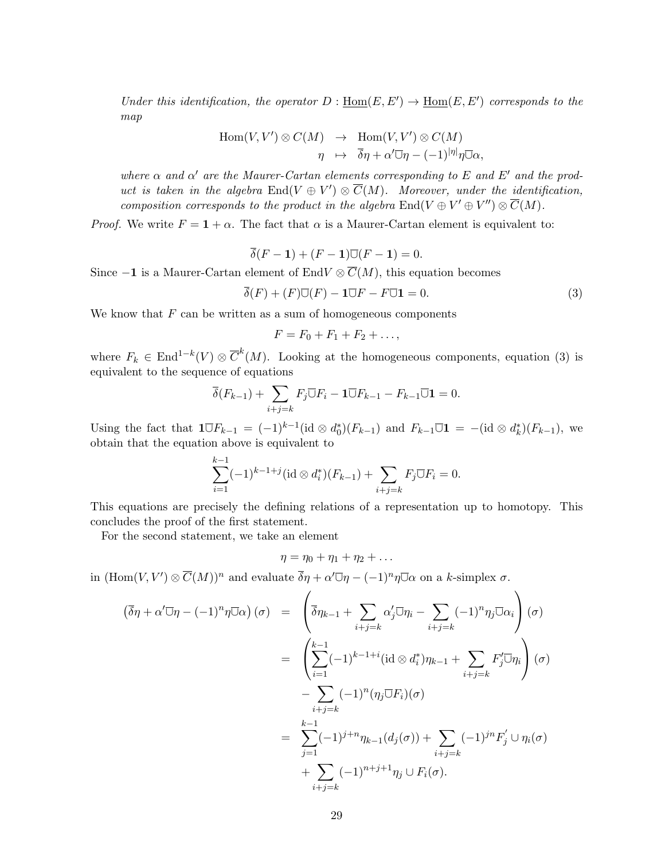Under this identification, the operator  $D: \underline{\text{Hom}}(E, E') \to \underline{\text{Hom}}(E, E')$  corresponds to the map

$$
\text{Hom}(V, V') \otimes C(M) \rightarrow \text{Hom}(V, V') \otimes C(M)
$$
  

$$
\eta \rightarrow \overline{\delta}\eta + \alpha' \overline{\cup} \eta - (-1)^{|\eta|} \eta \overline{\cup} \alpha,
$$

where  $\alpha$  and  $\alpha'$  are the Maurer-Cartan elements corresponding to E and E' and the product is taken in the algebra  $\text{End}(V \oplus V') \otimes \overline{C}(M)$ . Moreover, under the identification, composition corresponds to the product in the algebra  $\text{End}(V \oplus V' \oplus V'') \otimes \overline{C}(M)$ .

*Proof.* We write  $F = 1 + \alpha$ . The fact that  $\alpha$  is a Maurer-Cartan element is equivalent to:

$$
\overline{\delta}(F-1) + (F-1)\overline{\cup}(F-1) = 0.
$$

Since  $-1$  is a Maurer-Cartan element of EndV  $\otimes \overline{C}(M)$ , this equation becomes

$$
\overline{\delta}(F) + (F)\overline{\cup}(F) - 1\overline{\cup}F - F\overline{\cup}1 = 0. \tag{3}
$$

We know that  $F$  can be written as a sum of homogeneous components

$$
F=F_0+F_1+F_2+\ldots,
$$

where  $F_k \in \text{End}^{1-k}(V) \otimes \overline{C}^k(M)$ . Looking at the homogeneous components, equation (3) is equivalent to the sequence of equations

$$
\overline{\delta}(F_{k-1}) + \sum_{i+j=k} F_j \overline{\cup} F_i - \mathbf{1} \overline{\cup} F_{k-1} - F_{k-1} \overline{\cup} \mathbf{1} = 0.
$$

Using the fact that  $\mathbf{1} \overline{\cup} F_{k-1} = (-1)^{k-1} (\mathrm{id} \otimes d_0^*)(F_{k-1})$  and  $F_{k-1} \overline{\cup} \mathbf{1} = -(\mathrm{id} \otimes d_k^*)(F_{k-1}),$  we obtain that the equation above is equivalent to

$$
\sum_{i=1}^{k-1} (-1)^{k-1+j} (\mathrm{id} \otimes d_i^*)(F_{k-1}) + \sum_{i+j=k} F_j \overline{\cup} F_i = 0.
$$

This equations are precisely the defining relations of a representation up to homotopy. This concludes the proof of the first statement.

For the second statement, we take an element

$$
\eta=\eta_0+\eta_1+\eta_2+\ldots
$$

in  $(\text{Hom}(V, V') \otimes \overline{C}(M))^n$  and evaluate  $\overline{\delta}\eta + \alpha' \overline{\cup} \eta - (-1)^n \eta \overline{\cup} \alpha$  on a k-simplex  $\sigma$ .

$$
(\overline{\delta}\eta + \alpha'\overline{\cup}\eta - (-1)^n\eta\overline{\cup}\alpha) \ (\sigma) = \left(\overline{\delta}\eta_{k-1} + \sum_{i+j=k} \alpha'_j \overline{\cup}\eta_i - \sum_{i+j=k} (-1)^n \eta_j \overline{\cup}\alpha_i\right) (\sigma)
$$
  

$$
= \left(\sum_{i=1}^{k-1} (-1)^{k-1+i} (\mathrm{id} \otimes d_i^*) \eta_{k-1} + \sum_{i+j=k} F'_j \overline{\cup}\eta_i\right) (\sigma)
$$
  

$$
- \sum_{i+j=k} (-1)^n (\eta_j \overline{\cup} F_i)(\sigma)
$$
  

$$
= \sum_{j=1}^{k-1} (-1)^{j+n} \eta_{k-1}(d_j(\sigma)) + \sum_{i+j=k} (-1)^{jn} F'_j \cup \eta_i(\sigma)
$$
  

$$
+ \sum_{i+j=k} (-1)^{n+j+1} \eta_j \cup F_i(\sigma).
$$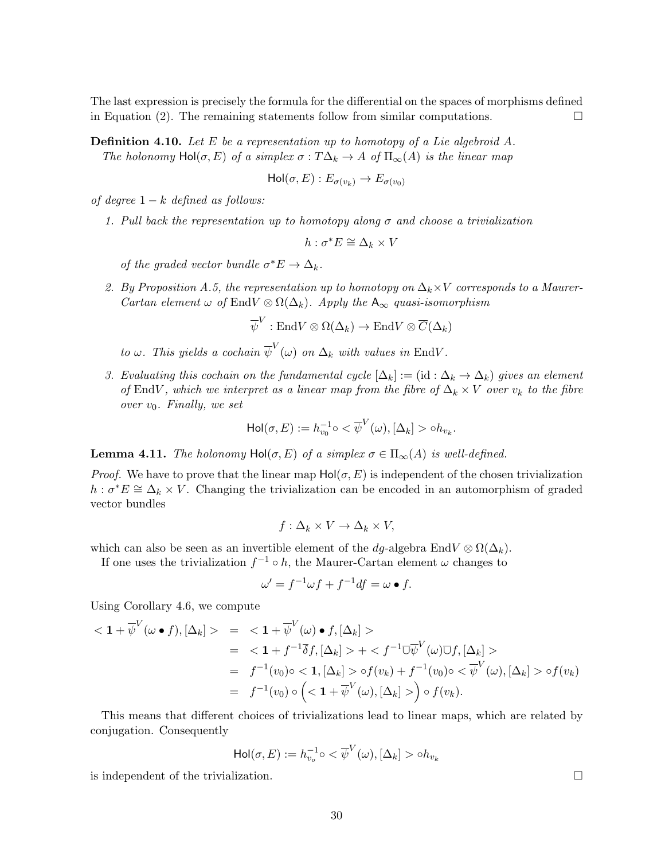The last expression is precisely the formula for the differential on the spaces of morphisms defined in Equation (2). The remaining statements follow from similar computations.  $\Box$ 

**Definition 4.10.** Let E be a representation up to homotopy of a Lie algebroid A. The holonomy  $Hol(\sigma, E)$  of a simplex  $\sigma : T\Delta_k \to A$  of  $\Pi_{\infty}(A)$  is the linear map

$$
\mathrm{Hol}(\sigma, E): E_{\sigma(v_k)} \to E_{\sigma(v_0)}
$$

of degree  $1 - k$  defined as follows:

1. Pull back the representation up to homotopy along  $\sigma$  and choose a trivialization

$$
h : \sigma^* E \cong \Delta_k \times V
$$

of the graded vector bundle  $\sigma^* E \to \Delta_k$ .

2. By Proposition A.5, the representation up to homotopy on  $\Delta_k \times V$  corresponds to a Maurer-Cartan element  $\omega$  of EndV  $\otimes \Omega(\Delta_k)$ . Apply the  $A_{\infty}$  quasi-isomorphism

$$
\overline{\psi}^V : \mathrm{End} V \otimes \Omega(\Delta_k) \to \mathrm{End} V \otimes \overline{C}(\Delta_k)
$$

to  $\omega$ . This yields a cochain  $\overline{\psi}^V(\omega)$  on  $\Delta_k$  with values in EndV.

3. Evaluating this cochain on the fundamental cycle  $[\Delta_k] := (\mathrm{id} : \Delta_k \to \Delta_k)$  gives an element of EndV, which we interpret as a linear map from the fibre of  $\Delta_k \times V$  over  $v_k$  to the fibre over  $v_0$ . Finally, we set

$$
\mathrm{Hol}(\sigma,E):=h_{v_0}^{-1}\circ<\overline{\psi}^V(\omega), [\Delta_k]>\circ h_{v_k}
$$

.

**Lemma 4.11.** The holonomy  $Hol(\sigma, E)$  of a simplex  $\sigma \in \Pi_{\infty}(A)$  is well-defined.

*Proof.* We have to prove that the linear map  $Hol(\sigma, E)$  is independent of the chosen trivialization  $h : \sigma^*E \cong \Delta_k \times V$ . Changing the trivialization can be encoded in an automorphism of graded vector bundles

$$
f: \Delta_k \times V \to \Delta_k \times V,
$$

which can also be seen as an invertible element of the dg-algebra EndV  $\otimes \Omega(\Delta_k)$ .

If one uses the trivialization  $f^{-1} \circ h$ , the Maurer-Cartan element  $\omega$  changes to

$$
\omega' = f^{-1}\omega f + f^{-1}df = \omega \bullet f.
$$

Using Corollary 4.6, we compute

$$
\langle \mathbf{1} + \overline{\psi}^V(\omega \bullet f), [\Delta_k] \rangle = \langle \mathbf{1} + \overline{\psi}^V(\omega) \bullet f, [\Delta_k] \rangle
$$
  
\n
$$
= \langle \mathbf{1} + f^{-1} \overline{\delta} f, [\Delta_k] \rangle + \langle f^{-1} \overline{\cup} \overline{\psi}^V(\omega) \overline{\cup} f, [\Delta_k] \rangle
$$
  
\n
$$
= f^{-1}(v_0) \circ \langle \mathbf{1}, [\Delta_k] \rangle \circ f(v_k) + f^{-1}(v_0) \circ \langle \overline{\psi}^V(\omega), [\Delta_k] \rangle \circ f(v_k)
$$
  
\n
$$
= f^{-1}(v_0) \circ \left( \langle \mathbf{1} + \overline{\psi}^V(\omega), [\Delta_k] \rangle \right) \circ f(v_k).
$$

This means that different choices of trivializations lead to linear maps, which are related by conjugation. Consequently

$$
\text{Hol}(\sigma, E) := h_{v_o}^{-1} \circ \langle \overline{\psi}^V(\omega), [\Delta_k] > \circ h_{v_k}
$$

is independent of the trivialization.  $\Box$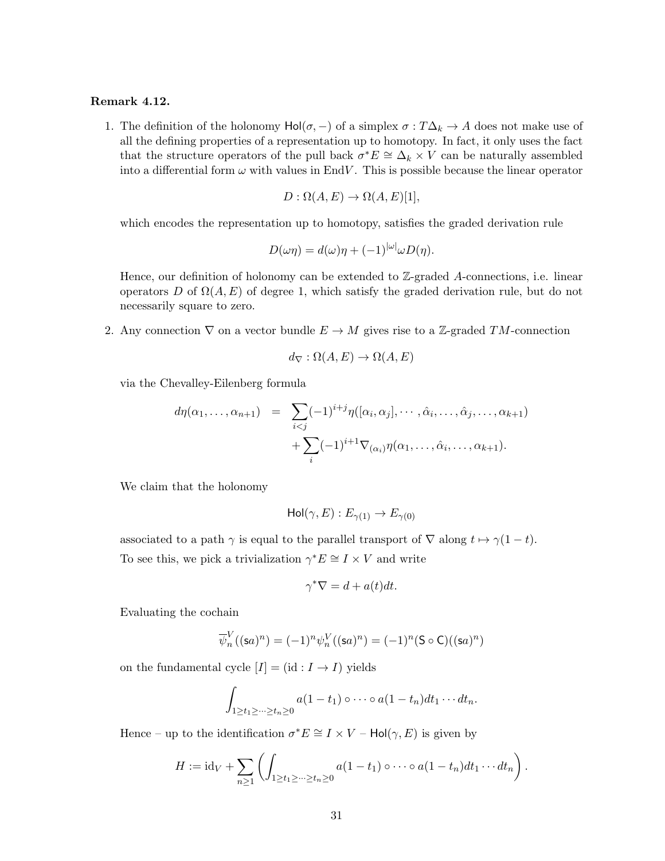### Remark 4.12.

1. The definition of the holonomy  $Hol(\sigma, -)$  of a simplex  $\sigma : T\Delta_k \to A$  does not make use of all the defining properties of a representation up to homotopy. In fact, it only uses the fact that the structure operators of the pull back  $\sigma^*E \cong \Delta_k \times V$  can be naturally assembled into a differential form  $\omega$  with values in EndV. This is possible because the linear operator

$$
D: \Omega(A, E) \to \Omega(A, E)[1],
$$

which encodes the representation up to homotopy, satisfies the graded derivation rule

$$
D(\omega \eta) = d(\omega)\eta + (-1)^{|\omega|} \omega D(\eta).
$$

Hence, our definition of holonomy can be extended to  $\mathbb{Z}$ -graded A-connections, i.e. linear operators D of  $\Omega(A, E)$  of degree 1, which satisfy the graded derivation rule, but do not necessarily square to zero.

2. Any connection  $\nabla$  on a vector bundle  $E \to M$  gives rise to a Z-graded TM-connection

$$
d_{\nabla} : \Omega(A, E) \to \Omega(A, E)
$$

via the Chevalley-Eilenberg formula

$$
d\eta(\alpha_1,\ldots,\alpha_{n+1}) = \sum_{i
$$
+ \sum_i (-1)^{i+1} \nabla_{(\alpha_i)} \eta(\alpha_1,\ldots,\hat{\alpha}_i,\ldots,\alpha_{k+1}).
$$
$$

We claim that the holonomy

$$
Hol(\gamma, E): E_{\gamma(1)} \to E_{\gamma(0)}
$$

associated to a path  $\gamma$  is equal to the parallel transport of  $\nabla$  along  $t \mapsto \gamma(1-t)$ . To see this, we pick a trivialization  $\gamma^* E \cong I \times V$  and write

$$
\gamma^* \nabla = d + a(t) dt.
$$

Evaluating the cochain

$$
\overline{\psi}_n^V((\mathsf{s}a)^n) = (-1)^n \psi_n^V((\mathsf{s}a)^n) = (-1)^n (\mathsf{S} \circ \mathsf{C})((\mathsf{s}a)^n)
$$

on the fundamental cycle  $[I] = (\mathrm{id} : I \to I)$  yields

$$
\int_{1\geq t_1\geq\cdots\geq t_n\geq 0} a(1-t_1)\circ\cdots\circ a(1-t_n)dt_1\cdots dt_n.
$$

Hence – up to the identification  $\sigma^* E \cong I \times V$  –  $\text{Hol}(\gamma, E)$  is given by

$$
H := \mathrm{id}_V + \sum_{n \geq 1} \left( \int_{1 \geq t_1 \geq \dots \geq t_n \geq 0} a(1-t_1) \circ \dots \circ a(1-t_n) dt_1 \cdots dt_n \right).
$$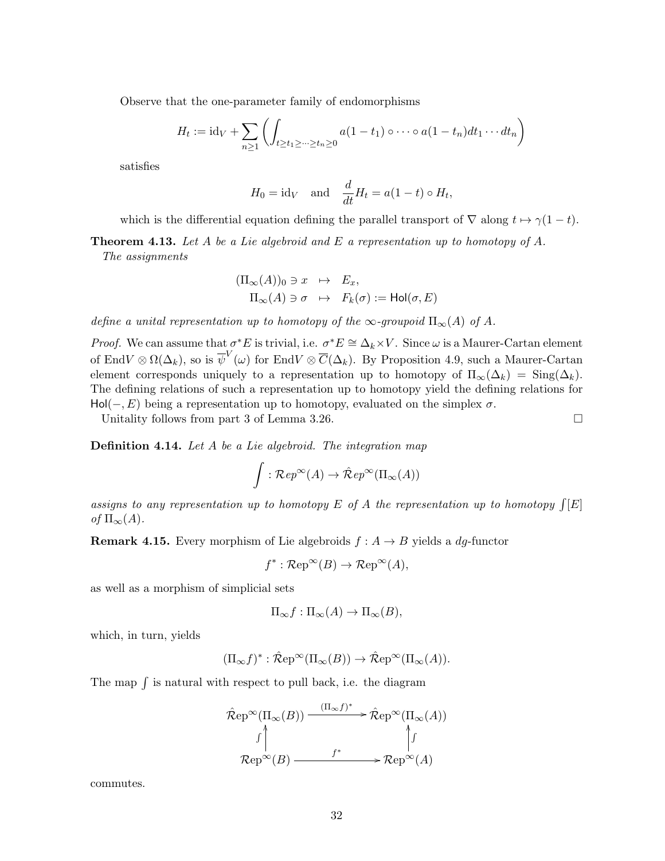Observe that the one-parameter family of endomorphisms

$$
H_t := \mathrm{id}_V + \sum_{n \ge 1} \left( \int_{t \ge t_1 \ge \dots \ge t_n \ge 0} a(1 - t_1) \circ \dots \circ a(1 - t_n) dt_1 \dots dt_n \right)
$$

satisfies

$$
H_0 = \text{id}_V
$$
 and  $\frac{d}{dt}H_t = a(1-t) \circ H_t$ ,

which is the differential equation defining the parallel transport of  $\nabla$  along  $t \mapsto \gamma(1-t)$ .

**Theorem 4.13.** Let A be a Lie algebroid and E a representation up to homotopy of A. The assignments

$$
(\Pi_{\infty}(A))_0 \ni x \mapsto E_x,
$$
  

$$
\Pi_{\infty}(A) \ni \sigma \mapsto F_k(\sigma) := Hol(\sigma, E)
$$

define a unital representation up to homotopy of the  $\infty$ -groupoid  $\Pi_{\infty}(A)$  of A.

*Proof.* We can assume that  $\sigma^* E$  is trivial, i.e.  $\sigma^* E \cong \Delta_k \times V$ . Since  $\omega$  is a Maurer-Cartan element of End $V \otimes \Omega(\Delta_k)$ , so is  $\overline{\psi}^V(\omega)$  for End $V \otimes \overline{C}(\Delta_k)$ . By Proposition 4.9, such a Maurer-Cartan element corresponds uniquely to a representation up to homotopy of  $\Pi_{\infty}(\Delta_k) = \text{Sing}(\Delta_k)$ . The defining relations of such a representation up to homotopy yield the defining relations for  $Hol(-, E)$  being a representation up to homotopy, evaluated on the simplex  $\sigma$ .

Unitality follows from part 3 of Lemma 3.26.

**Definition 4.14.** Let A be a Lie algebroid. The integration map

$$
\int : \mathcal{R}ep^{\infty}(A) \to \hat{\mathcal{R}}ep^{\infty}(\Pi_{\infty}(A))
$$

assigns to any representation up to homotopy E of A the representation up to homotopy  $\int [E]$ of  $\Pi_{\infty}(A)$ .

**Remark 4.15.** Every morphism of Lie algebroids  $f : A \rightarrow B$  yields a dg-functor

$$
f^* : \mathcal{R}ep^{\infty}(B) \to \mathcal{R}ep^{\infty}(A),
$$

as well as a morphism of simplicial sets

$$
\Pi_{\infty} f : \Pi_{\infty}(A) \to \Pi_{\infty}(B),
$$

which, in turn, yields

$$
(\Pi_{\infty}f)^{*}:\hat{\mathcal{R}}ep^{\infty}(\Pi_{\infty}(B))\to \hat{\mathcal{R}}ep^{\infty}(\Pi_{\infty}(A)).
$$

The map  $\int$  is natural with respect to pull back, i.e. the diagram

$$
\hat{\mathcal{R}}ep^{\infty}(\Pi_{\infty}(B)) \xrightarrow{\left(\Pi_{\infty}f\right)^{*}} \hat{\mathcal{R}}ep^{\infty}(\Pi_{\infty}(A))
$$
\n
$$
\uparrow \uparrow
$$
\n
$$
\mathcal{R}ep^{\infty}(B) \xrightarrow{f^{*}} \mathcal{R}ep^{\infty}(A)
$$

commutes.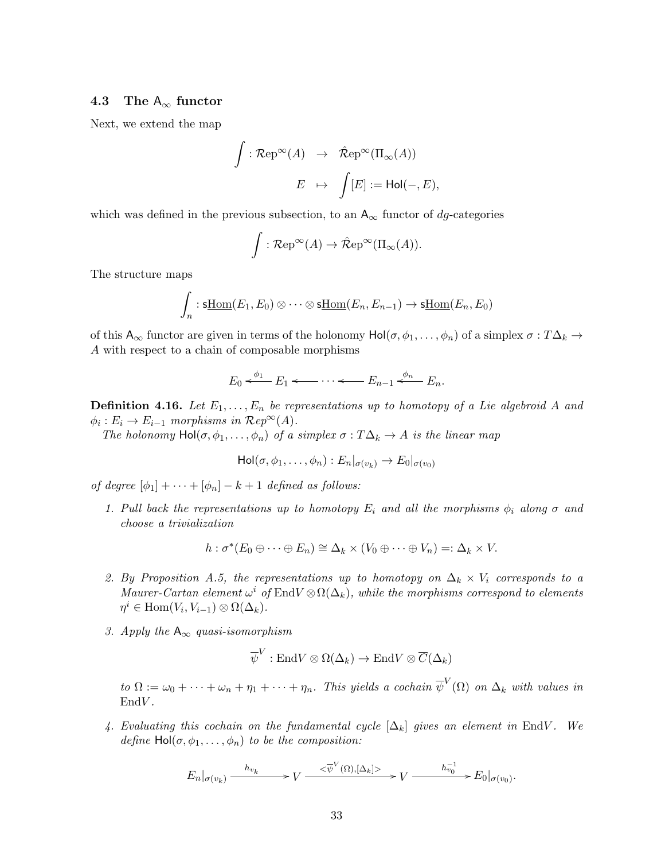### 4.3 The  $A_{\infty}$  functor

Next, we extend the map

$$
\int : \mathcal{R}ep^{\infty}(A) \rightarrow \hat{\mathcal{R}}ep^{\infty}(\Pi_{\infty}(A))
$$

$$
E \mapsto \int [E] := Hol(-, E),
$$

which was defined in the previous subsection, to an  $A_{\infty}$  functor of dg-categories

$$
\int : \mathcal{R}ep^{\infty}(A) \to \hat{\mathcal{R}}ep^{\infty}(\Pi_{\infty}(A)).
$$

The structure maps

$$
\int_n : \underline{\text{st} \text{Hom}}(E_1, E_0) \otimes \cdots \otimes \underline{\text{st} \text{Hom}}(E_n, E_{n-1}) \to \underline{\text{st} \text{Hom}}(E_n, E_0)
$$

of this  $A_{\infty}$  functor are given in terms of the holonomy  $Hol(\sigma, \phi_1, \ldots, \phi_n)$  of a simplex  $\sigma : T\Delta_k \to$ A with respect to a chain of composable morphisms

$$
E_0 \xleftarrow{\phi_1} E_1 \xleftarrow{\cdots} \xleftarrow{\cdots} E_{n-1} \xleftarrow{\phi_n} E_n.
$$

**Definition 4.16.** Let  $E_1, \ldots, E_n$  be representations up to homotopy of a Lie algebroid A and  $\phi_i : E_i \to E_{i-1}$  morphisms in  $\mathcal{R}ep^{\infty}(A)$ .

The holonomy  $Hol(\sigma, \phi_1, \ldots, \phi_n)$  of a simplex  $\sigma : T\Delta_k \to A$  is the linear map

$$
\mathrm{Hol}(\sigma,\phi_1,\ldots,\phi_n):E_n|_{\sigma(v_k)}\to E_0|_{\sigma(v_0)}
$$

of degree  $[\phi_1] + \cdots + [\phi_n] - k + 1$  defined as follows:

1. Pull back the representations up to homotopy  $E_i$  and all the morphisms  $\phi_i$  along  $\sigma$  and choose a trivialization

$$
h: \sigma^*(E_0 \oplus \cdots \oplus E_n) \cong \Delta_k \times (V_0 \oplus \cdots \oplus V_n) =: \Delta_k \times V.
$$

- 2. By Proposition A.5, the representations up to homotopy on  $\Delta_k \times V_i$  corresponds to a Maurer-Cartan element  $\omega^i$  of EndV  $\otimes \Omega(\Delta_k)$ , while the morphisms correspond to elements  $\eta^i \in \text{Hom}(V_i, V_{i-1}) \otimes \Omega(\Delta_k).$
- 3. Apply the  $A_{\infty}$  quasi-isomorphism

$$
\overline{\psi}^V : \text{End}V \otimes \Omega(\Delta_k) \to \text{End}V \otimes \overline{C}(\Delta_k)
$$

to  $\Omega := \omega_0 + \cdots + \omega_n + \eta_1 + \cdots + \eta_n$ . This yields a cochain  $\overline{\psi}^V(\Omega)$  on  $\Delta_k$  with values in  $EndV.$ 

4. Evaluating this cochain on the fundamental cycle  $[\Delta_k]$  gives an element in EndV. We define  $Hol(\sigma, \phi_1, \ldots, \phi_n)$  to be the composition:

$$
E_n|_{\sigma(v_k)} \xrightarrow{h_{v_k}} V \xrightarrow{\langle \overline{\psi}^V(\Omega), [\Delta_k] \rangle} V \xrightarrow{h_{v_0}^{-1}} E_0|_{\sigma(v_0)}
$$

.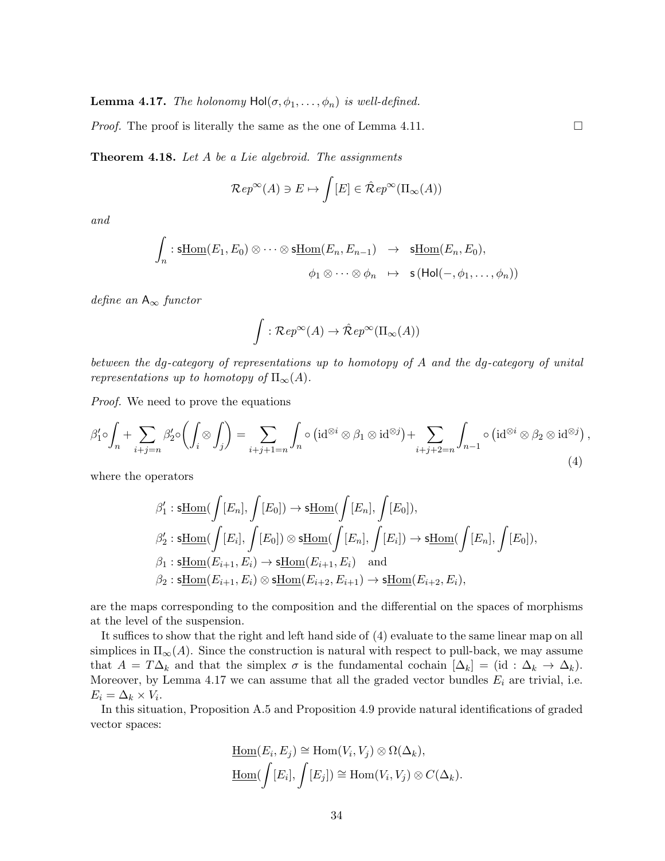**Lemma 4.17.** The holonomy  $Hol(\sigma, \phi_1, \ldots, \phi_n)$  is well-defined.

*Proof.* The proof is literally the same as the one of Lemma 4.11.  $\square$ 

**Theorem 4.18.** Let  $A$  be a Lie algebroid. The assignments

$$
\mathcal{R}ep^{\infty}(A) \ni E \mapsto \int [E] \in \hat{\mathcal{R}}ep^{\infty}(\Pi_{\infty}(A))
$$

and

$$
\int_n : \underline{\text{st} \text{hom}}(E_1, E_0) \otimes \cdots \otimes \underline{\text{st} \text{hom}}(E_n, E_{n-1}) \rightarrow \underline{\text{st} \text{hom}}(E_n, E_0),
$$
  

$$
\phi_1 \otimes \cdots \otimes \phi_n \rightarrow \underline{\text{st} \text{hol}}(-, \phi_1, \ldots, \phi_n))
$$

define an  $A_{\infty}$  functor

$$
\int : \mathcal{R}ep^{\infty}(A) \to \hat{\mathcal{R}}ep^{\infty}(\Pi_{\infty}(A))
$$

between the dg-category of representations up to homotopy of A and the dg-category of unital representations up to homotopy of  $\Pi_{\infty}(A)$ .

Proof. We need to prove the equations

$$
\beta_1' \circ \int_n + \sum_{i+j=n} \beta_2' \circ \left( \int_i \otimes \int_j \right) = \sum_{i+j+1=n} \int_n \circ \left( id^{\otimes i} \otimes \beta_1 \otimes id^{\otimes j} \right) + \sum_{i+j+2=n} \int_{n-1} \circ \left( id^{\otimes i} \otimes \beta_2 \otimes id^{\otimes j} \right),
$$
\n(4)

where the operators

$$
\beta'_1: \underline{\text{stHom}}(\int [E_n], \int [E_0]) \to \underline{\text{sthom}}(\int [E_n], \int [E_0]),
$$
  

$$
\beta'_2: \underline{\text{stHom}}(\int [E_i], \int [E_0]) \otimes \underline{\text{sthom}}(\int [E_n], \int [E_i]) \to \underline{\text{sthom}}(\int [E_n], \int [E_0]),
$$
  

$$
\beta_1: \underline{\text{stHom}}(E_{i+1}, E_i) \to \underline{\text{stHom}}(E_{i+1}, E_i) \text{ and}
$$
  

$$
\beta_2: \underline{\text{stHom}}(E_{i+1}, E_i) \otimes \underline{\text{stHom}}(E_{i+2}, E_{i+1}) \to \underline{\text{stHom}}(E_{i+2}, E_i),
$$

are the maps corresponding to the composition and the differential on the spaces of morphisms at the level of the suspension.

It suffices to show that the right and left hand side of (4) evaluate to the same linear map on all simplices in  $\Pi_{\infty}(A)$ . Since the construction is natural with respect to pull-back, we may assume that  $A = T\Delta_k$  and that the simplex  $\sigma$  is the fundamental cochain  $[\Delta_k] = (\mathrm{id} : \Delta_k \to \Delta_k)$ . Moreover, by Lemma 4.17 we can assume that all the graded vector bundles  $E_i$  are trivial, i.e.  $E_i = \Delta_k \times V_i$ .

In this situation, Proposition A.5 and Proposition 4.9 provide natural identifications of graded vector spaces:

$$
\underline{\text{Hom}}(E_i, E_j) \cong \text{Hom}(V_i, V_j) \otimes \Omega(\Delta_k),
$$
  

$$
\underline{\text{Hom}}(\int [E_i], \int [E_j]) \cong \text{Hom}(V_i, V_j) \otimes C(\Delta_k).
$$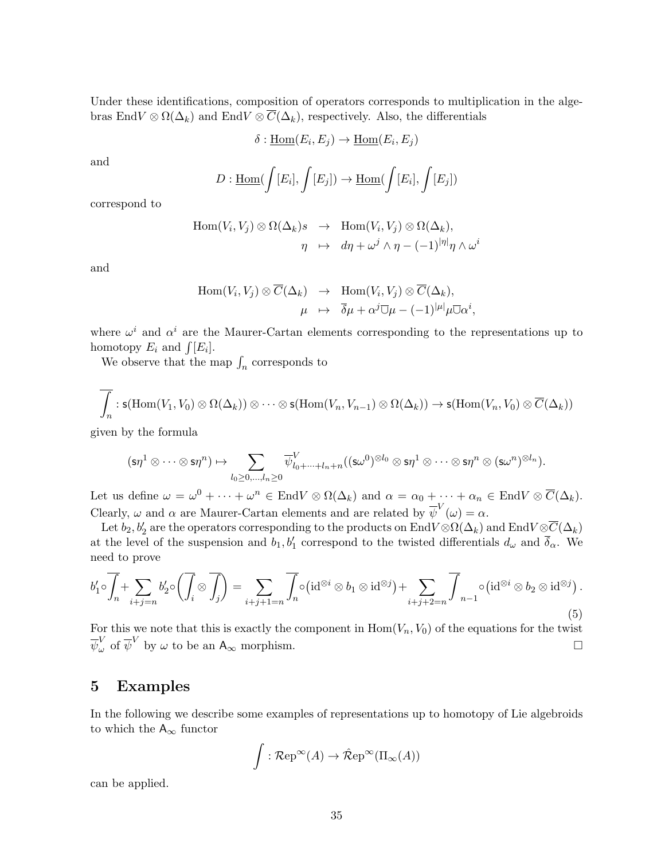Under these identifications, composition of operators corresponds to multiplication in the algebras EndV  $\otimes \Omega(\Delta_k)$  and EndV  $\otimes \overline{C}(\Delta_k)$ , respectively. Also, the differentials

$$
\delta: \underline{\mathrm{Hom}}(E_i, E_j) \to \underline{\mathrm{Hom}}(E_i, E_j)
$$

and

$$
D: \underline{\text{Hom}}(\int [E_i], \int [E_j]) \to \underline{\text{Hom}}(\int [E_i], \int [E_j])
$$

correspond to

$$
\text{Hom}(V_i, V_j) \otimes \Omega(\Delta_k) s \rightarrow \text{Hom}(V_i, V_j) \otimes \Omega(\Delta_k),
$$
  

$$
\eta \rightarrow d\eta + \omega^j \wedge \eta - (-1)^{|\eta|} \eta \wedge \omega^i
$$

and

$$
\text{Hom}(V_i, V_j) \otimes \overline{C}(\Delta_k) \rightarrow \text{Hom}(V_i, V_j) \otimes \overline{C}(\Delta_k),
$$
  

$$
\mu \rightarrow \overline{\delta}\mu + \alpha^j \overline{\cup} \mu - (-1)^{|\mu|} \mu \overline{\cup} \alpha^i,
$$

where  $\omega^i$  and  $\alpha^i$  are the Maurer-Cartan elements corresponding to the representations up to homotopy  $E_i$  and  $\int [E_i]$ .

We observe that the map  $\int_n$  corresponds to

$$
\overline{\int_n} : \mathsf{s}(\mathrm{Hom}(V_1, V_0) \otimes \Omega(\Delta_k)) \otimes \cdots \otimes \mathsf{s}(\mathrm{Hom}(V_n, V_{n-1}) \otimes \Omega(\Delta_k)) \to \mathsf{s}(\mathrm{Hom}(V_n, V_0) \otimes \overline{C}(\Delta_k))
$$

given by the formula

$$
(\mathsf{s}\eta^1 \otimes \cdots \otimes \mathsf{s}\eta^n) \mapsto \sum_{l_0 \geq 0, \ldots, l_n \geq 0} \overline{\psi}^V_{l_0 + \cdots + l_n + n}((\mathsf{s}\omega^0)^{\otimes l_0} \otimes \mathsf{s}\eta^1 \otimes \cdots \otimes \mathsf{s}\eta^n \otimes (\mathsf{s}\omega^n)^{\otimes l_n}).
$$

Let us define  $\omega = \omega^0 + \cdots + \omega^n \in \text{End}V \otimes \Omega(\Delta_k)$  and  $\alpha = \alpha_0 + \cdots + \alpha_n \in \text{End}V \otimes \overline{C}(\Delta_k)$ . Clearly,  $\omega$  and  $\alpha$  are Maurer-Cartan elements and are related by  $\overline{\psi}^V(\omega) = \alpha$ .

Let  $b_2, b_2'$  are the operators corresponding to the products on  ${\rm End}V\otimes \Omega(\Delta_k)$  and  ${\rm End}V\otimes \overline{C}(\Delta_k)$ at the level of the suspension and  $b_1, b'_1$  correspond to the twisted differentials  $d_{\omega}$  and  $\overline{\delta}_{\alpha}$ . We need to prove

$$
b'_1 \circ \overline{\int_n} + \sum_{i+j=n} b'_2 \circ \left( \overline{\int_i} \otimes \overline{\int_j} \right) = \sum_{i+j+1=n} \overline{\int_n} \circ (\mathrm{id}^{\otimes i} \otimes b_1 \otimes \mathrm{id}^{\otimes j}) + \sum_{i+j+2=n} \overline{\int_{n-1}} \circ (\mathrm{id}^{\otimes i} \otimes b_2 \otimes \mathrm{id}^{\otimes j}).
$$
\n(5)

For this we note that this is exactly the component in  $Hom(V_n, V_0)$  of the equations for the twist  $\overline{\psi}^V_\omega$  of  $\overline{\psi}^V$  by  $\omega$  to be an  $A_\infty$  morphism.

### 5 Examples

In the following we describe some examples of representations up to homotopy of Lie algebroids to which the  $A_{\infty}$  functor

$$
\int : \mathcal{R}\mathrm{ep}^{\infty}(A) \to \hat{\mathcal{R}}\mathrm{ep}^{\infty}(\Pi_{\infty}(A))
$$

can be applied.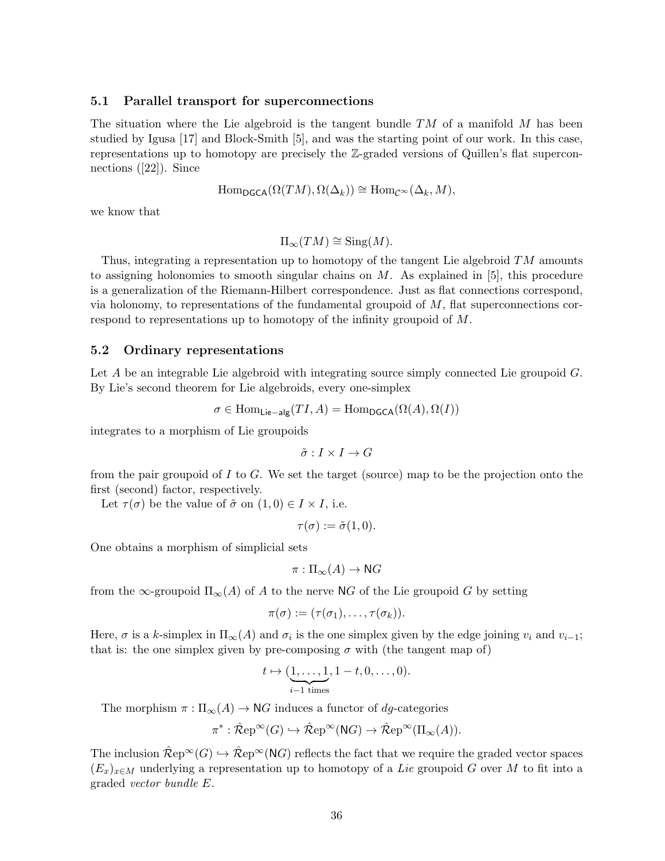#### 5.1 Parallel transport for superconnections

The situation where the Lie algebroid is the tangent bundle  $TM$  of a manifold M has been studied by Igusa [17] and Block-Smith [5], and was the starting point of our work. In this case, representations up to homotopy are precisely the Z-graded versions of Quillen's flat superconnections ([22]). Since

$$
\mathrm{Hom}_{\mathsf{DGCA}}(\Omega(TM), \Omega(\Delta_k)) \cong \mathrm{Hom}_{\mathcal{C}^{\infty}}(\Delta_k, M),
$$

we know that

 $\Pi_{\infty}(TM) \cong \text{Sing}(M).$ 

Thus, integrating a representation up to homotopy of the tangent Lie algebroid  $TM$  amounts to assigning holonomies to smooth singular chains on  $M$ . As explained in [5], this procedure is a generalization of the Riemann-Hilbert correspondence. Just as flat connections correspond, via holonomy, to representations of the fundamental groupoid of  $M$ , flat superconnections correspond to representations up to homotopy of the infinity groupoid of M.

#### 5.2 Ordinary representations

Let A be an integrable Lie algebroid with integrating source simply connected Lie groupoid G. By Lie's second theorem for Lie algebroids, every one-simplex

$$
\sigma \in \text{Hom}_{\mathsf{Lie-alg}}(TI, A) = \text{Hom}_{\mathsf{DGCA}}(\Omega(A), \Omega(I))
$$

integrates to a morphism of Lie groupoids

$$
\tilde{\sigma}: I \times I \to G
$$

from the pair groupoid of I to G. We set the target (source) map to be the projection onto the first (second) factor, respectively.

Let  $\tau(\sigma)$  be the value of  $\tilde{\sigma}$  on  $(1,0) \in I \times I$ , i.e.

$$
\tau(\sigma) := \tilde{\sigma}(1,0).
$$

One obtains a morphism of simplicial sets

$$
\pi: \Pi_{\infty}(A) \to \mathsf{N}G
$$

from the  $\infty$ -groupoid  $\Pi_{\infty}(A)$  of A to the nerve NG of the Lie groupoid G by setting

$$
\pi(\sigma):=(\tau(\sigma_1),\ldots,\tau(\sigma_k)).
$$

Here,  $\sigma$  is a k-simplex in  $\Pi_{\infty}(A)$  and  $\sigma_i$  is the one simplex given by the edge joining  $v_i$  and  $v_{i-1}$ ; that is: the one simplex given by pre-composing  $\sigma$  with (the tangent map of)

$$
t \mapsto (\underbrace{1, \ldots, 1}_{i-1 \text{ times}}, 1-t, 0, \ldots, 0).
$$

The morphism  $\pi : \Pi_{\infty}(A) \to \mathbb{N}G$  induces a functor of dq-categories

$$
\pi^* : \hat{\mathcal{R}}ep^{\infty}(G) \hookrightarrow \hat{\mathcal{R}}ep^{\infty}(\mathrm{N}G) \to \hat{\mathcal{R}}ep^{\infty}(\Pi_{\infty}(A)).
$$

The inclusion  $\hat{\mathcal{R}}ep^{\infty}(G) \hookrightarrow \hat{\mathcal{R}}ep^{\infty}(NG)$  reflects the fact that we require the graded vector spaces  $(E_x)_{x\in M}$  underlying a representation up to homotopy of a Lie groupoid G over M to fit into a graded vector bundle E.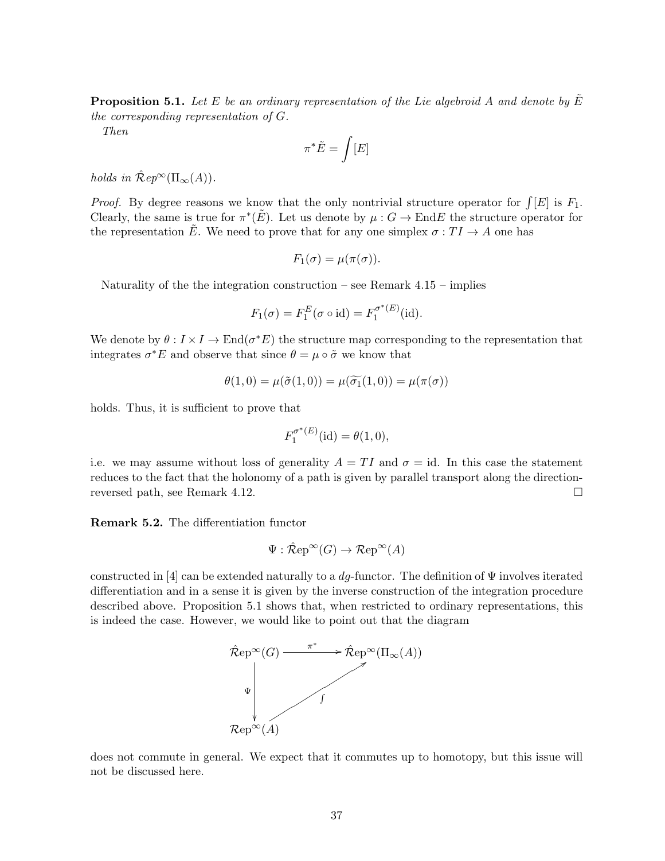**Proposition 5.1.** Let E be an ordinary representation of the Lie algebroid A and denote by  $\tilde{E}$ the corresponding representation of G.

Then

$$
\pi^*\tilde{E}=\int[E]
$$

holds in  $\mathcal{R}ep^{\infty}(\Pi_{\infty}(A)).$ 

*Proof.* By degree reasons we know that the only nontrivial structure operator for  $\int [E]$  is  $F_1$ . Clearly, the same is true for  $\pi^*(\tilde{E})$ . Let us denote by  $\mu: G \to \text{End}E$  the structure operator for the representation  $\tilde{E}$ . We need to prove that for any one simplex  $\sigma: TI\to A$  one has

$$
F_1(\sigma) = \mu(\pi(\sigma)).
$$

Naturality of the the integration construction – see Remark  $4.15$  – implies

$$
F_1(\sigma) = F_1^E(\sigma \circ id) = F_1^{\sigma^*(E)}(id).
$$

We denote by  $\theta: I \times I \to \text{End}(\sigma^*E)$  the structure map corresponding to the representation that integrates  $\sigma^* E$  and observe that since  $\theta = \mu \circ \tilde{\sigma}$  we know that

$$
\theta(1,0) = \mu(\tilde{\sigma}(1,0)) = \mu(\widetilde{\sigma_1}(1,0)) = \mu(\pi(\sigma))
$$

holds. Thus, it is sufficient to prove that

$$
F_1^{\sigma^*(E)}(\text{id}) = \theta(1,0),
$$

i.e. we may assume without loss of generality  $A = TI$  and  $\sigma = id$ . In this case the statement reduces to the fact that the holonomy of a path is given by parallel transport along the directionreversed path, see Remark 4.12.

Remark 5.2. The differentiation functor

$$
\Psi : \mathcal{\hat{R}}ep^{\infty}(G) \to \mathcal{R}ep^{\infty}(A)
$$

constructed in [4] can be extended naturally to a  $dq$ -functor. The definition of  $\Psi$  involves iterated differentiation and in a sense it is given by the inverse construction of the integration procedure described above. Proposition 5.1 shows that, when restricted to ordinary representations, this is indeed the case. However, we would like to point out that the diagram



does not commute in general. We expect that it commutes up to homotopy, but this issue will not be discussed here.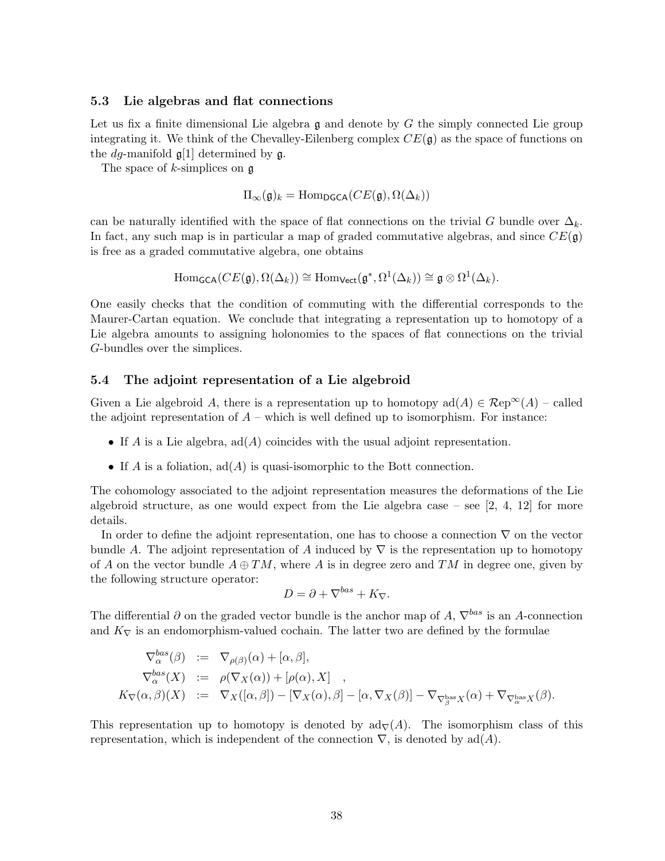#### 5.3 Lie algebras and flat connections

Let us fix a finite dimensional Lie algebra  $\mathfrak g$  and denote by G the simply connected Lie group integrating it. We think of the Chevalley-Eilenberg complex  $CE(\mathfrak{g})$  as the space of functions on the *dg*-manifold  $\mathfrak{g}[1]$  determined by  $\mathfrak{g}$ .

The space of  $k$ -simplices on  $\mathfrak g$ 

$$
\Pi_{\infty}(\mathfrak{g})_k = \text{Hom}_{\text{DGCA}}(CE(\mathfrak{g}), \Omega(\Delta_k))
$$

can be naturally identified with the space of flat connections on the trivial G bundle over  $\Delta_k$ . In fact, any such map is in particular a map of graded commutative algebras, and since  $CE(\mathfrak{g})$ is free as a graded commutative algebra, one obtains

$$
\mathrm{Hom}_{\mathsf{GCA}}(CE(\mathfrak{g}), \Omega(\Delta_k)) \cong \mathrm{Hom}_{\mathsf{Vect}}(\mathfrak{g}^*, \Omega^1(\Delta_k)) \cong \mathfrak{g} \otimes \Omega^1(\Delta_k).
$$

One easily checks that the condition of commuting with the differential corresponds to the Maurer-Cartan equation. We conclude that integrating a representation up to homotopy of a Lie algebra amounts to assigning holonomies to the spaces of flat connections on the trivial G-bundles over the simplices.

#### 5.4 The adjoint representation of a Lie algebroid

Given a Lie algebroid A, there is a representation up to homotopy  $\text{ad}(A) \in \mathcal{R}\text{ep}^{\infty}(A)$  – called the adjoint representation of  $A$  – which is well defined up to isomorphism. For instance:

- If A is a Lie algebra,  $ad(A)$  coincides with the usual adjoint representation.
- If A is a foliation,  $ad(A)$  is quasi-isomorphic to the Bott connection.

The cohomology associated to the adjoint representation measures the deformations of the Lie algebroid structure, as one would expect from the Lie algebra case – see  $[2, 4, 12]$  for more details.

In order to define the adjoint representation, one has to choose a connection  $\nabla$  on the vector bundle A. The adjoint representation of A induced by  $\nabla$  is the representation up to homotopy of A on the vector bundle  $A \oplus TM$ , where A is in degree zero and TM in degree one, given by the following structure operator:

$$
D = \partial + \nabla^{bas} + K_{\nabla}.
$$

The differential  $\partial$  on the graded vector bundle is the anchor map of A,  $\nabla^{bas}$  is an A-connection and  $K_{\nabla}$  is an endomorphism-valued cochain. The latter two are defined by the formulae

$$
\nabla_{\alpha}^{bas}(\beta) := \nabla_{\rho(\beta)}(\alpha) + [\alpha, \beta],
$$
\n
$$
\nabla_{\alpha}^{bas}(X) := \rho(\nabla_X(\alpha)) + [\rho(\alpha), X],
$$
\n
$$
K_{\nabla}(\alpha, \beta)(X) := \nabla_X([\alpha, \beta]) - [\nabla_X(\alpha), \beta] - [\alpha, \nabla_X(\beta)] - \nabla_{\nabla_{\beta}^{bas} X}(\alpha) + \nabla_{\nabla_{\alpha}^{bas} X}(\beta).
$$

This representation up to homotopy is denoted by  $\text{ad}_{\nabla}(A)$ . The isomorphism class of this representation, which is independent of the connection  $\nabla$ , is denoted by ad(A).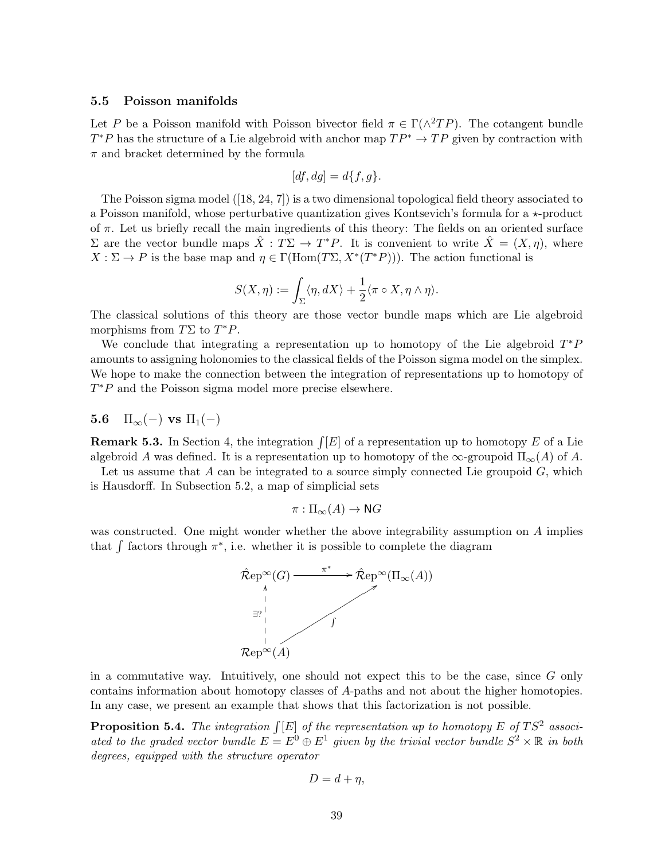### 5.5 Poisson manifolds

Let P be a Poisson manifold with Poisson bivector field  $\pi \in \Gamma(\wedge^2 TP)$ . The cotangent bundle  $T^*P$  has the structure of a Lie algebroid with anchor map  $TP^* \to TP$  given by contraction with  $\pi$  and bracket determined by the formula

$$
[df, dg] = d\{f, g\}.
$$

The Poisson sigma model ([18, 24, 7]) is a two dimensional topological field theory associated to a Poisson manifold, whose perturbative quantization gives Kontsevich's formula for a  $\star$ -product of  $\pi$ . Let us briefly recall the main ingredients of this theory: The fields on an oriented surface Σ are the vector bundle maps  $\hat{X}$  :  $T\Sigma$  →  $T^*P$ . It is convenient to write  $\hat{X} = (X, η)$ , where  $X : \Sigma \to P$  is the base map and  $\eta \in \Gamma(\text{Hom}(T\Sigma, X^*(T^*P)))$ . The action functional is

$$
S(X, \eta) := \int_{\Sigma} \langle \eta, dX \rangle + \frac{1}{2} \langle \pi \circ X, \eta \wedge \eta \rangle.
$$

The classical solutions of this theory are those vector bundle maps which are Lie algebroid morphisms from  $T\Sigma$  to  $T^*P$ .

We conclude that integrating a representation up to homotopy of the Lie algebroid  $T^*P$ amounts to assigning holonomies to the classical fields of the Poisson sigma model on the simplex. We hope to make the connection between the integration of representations up to homotopy of  $T^*P$  and the Poisson sigma model more precise elsewhere.

# 5.6  $\Pi_{\infty}(-)$  vs  $\Pi_{1}(-)$

**Remark 5.3.** In Section 4, the integration  $\int [E]$  of a representation up to homotopy E of a Lie algebroid A was defined. It is a representation up to homotopy of the  $\infty$ -groupoid  $\Pi_{\infty}(A)$  of A.

Let us assume that  $A$  can be integrated to a source simply connected Lie groupoid  $G$ , which is Hausdorff. In Subsection 5.2, a map of simplicial sets

$$
\pi: \Pi_{\infty}(A) \to \mathsf{N}G
$$

was constructed. One might wonder whether the above integrability assumption on A implies that  $\int$  factors through  $\pi^*$ , i.e. whether it is possible to complete the diagram



in a commutative way. Intuitively, one should not expect this to be the case, since G only contains information about homotopy classes of A-paths and not about the higher homotopies. In any case, we present an example that shows that this factorization is not possible.

**Proposition 5.4.** The integration  $\int [E]$  of the representation up to homotopy E of TS<sup>2</sup> associated to the graded vector bundle  $E = E^0 \oplus E^1$  given by the trivial vector bundle  $S^2 \times \mathbb{R}$  in both degrees, equipped with the structure operator

$$
D=d+\eta,
$$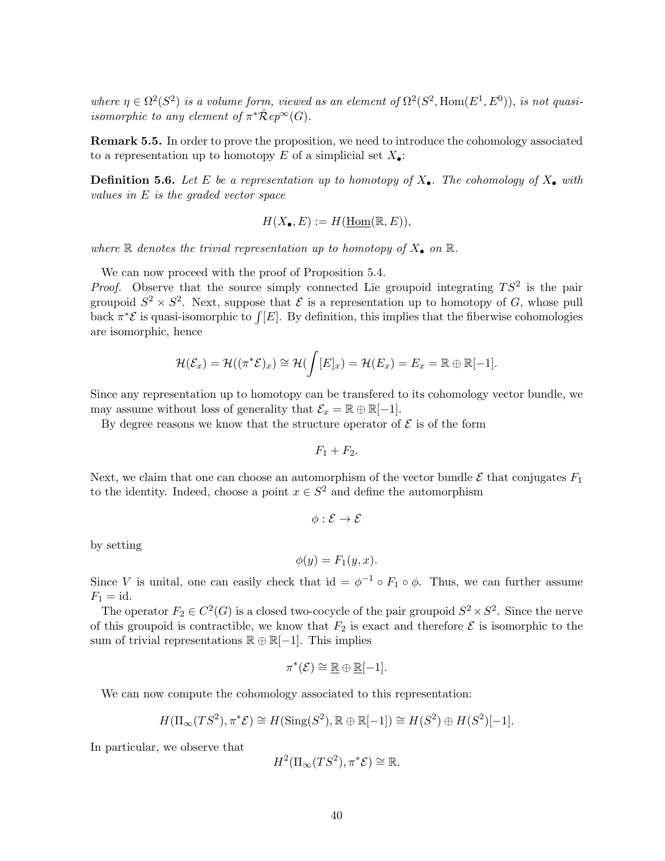where  $\eta \in \Omega^2(S^2)$  is a volume form, viewed as an element of  $\Omega^2(S^2, \text{Hom}(E^1, E^0))$ , is not quasiisomorphic to any element of  $\pi^* \hat{\mathcal{R}} ep^{\infty}(G)$ .

**Remark 5.5.** In order to prove the proposition, we need to introduce the cohomology associated to a representation up to homotopy E of a simplicial set  $X_{\bullet}$ :

**Definition 5.6.** Let E be a representation up to homotopy of  $X_{\bullet}$ . The cohomology of  $X_{\bullet}$  with values in E is the graded vector space

$$
H(X_{\bullet}, E) := H(\underline{\text{Hom}}(\mathbb{R}, E)),
$$

where  $\mathbb R$  denotes the trivial representation up to homotopy of  $X_{\bullet}$  on  $\mathbb R$ .

We can now proceed with the proof of Proposition 5.4.

*Proof.* Observe that the source simply connected Lie groupoid integrating  $TS^2$  is the pair groupoid  $S^2 \times S^2$ . Next, suppose that  $\mathcal E$  is a representation up to homotopy of G, whose pull back  $\pi^*\mathcal{E}$  is quasi-isomorphic to  $\int [E]$ . By definition, this implies that the fiberwise cohomologies are isomorphic, hence

$$
\mathcal{H}(\mathcal{E}_x)=\mathcal{H}((\pi^*\mathcal{E})_x)\cong \mathcal{H}(\int [E]_x)=\mathcal{H}(E_x)=E_x=\mathbb{R}\oplus\mathbb{R}[-1].
$$

Since any representation up to homotopy can be transfered to its cohomology vector bundle, we may assume without loss of generality that  $\mathcal{E}_x = \mathbb{R} \oplus \mathbb{R}[-1]$ .

By degree reasons we know that the structure operator of  $\mathcal E$  is of the form

$$
F_1 + F_2.
$$

Next, we claim that one can choose an automorphism of the vector bundle  $\mathcal E$  that conjugates  $F_1$ to the identity. Indeed, choose a point  $x \in S^2$  and define the automorphism

$$
\phi: \mathcal{E} \to \mathcal{E}
$$

by setting

$$
\phi(y) = F_1(y, x).
$$

Since V is unital, one can easily check that id =  $\phi^{-1} \circ F_1 \circ \phi$ . Thus, we can further assume  $F_1 = \mathrm{id}.$ 

The operator  $F_2 \in C^2(G)$  is a closed two-cocycle of the pair groupoid  $S^2 \times S^2$ . Since the nerve of this groupoid is contractible, we know that  $F_2$  is exact and therefore  $\mathcal E$  is isomorphic to the sum of trivial representations  $\mathbb{R} \oplus \mathbb{R}[-1]$ . This implies

$$
\pi^*(\mathcal{E}) \cong \mathbb{R} \oplus \mathbb{R}[-1].
$$

We can now compute the cohomology associated to this representation:

$$
H(\Pi_{\infty}(TS^2), \pi^*\mathcal{E}) \cong H(\mathrm{Sing}(S^2), \mathbb{R} \oplus \mathbb{R}[-1]) \cong H(S^2) \oplus H(S^2)[-1].
$$

In particular, we observe that

$$
H^2(\Pi_\infty(TS^2), \pi^*\mathcal{E}) \cong \mathbb{R}.
$$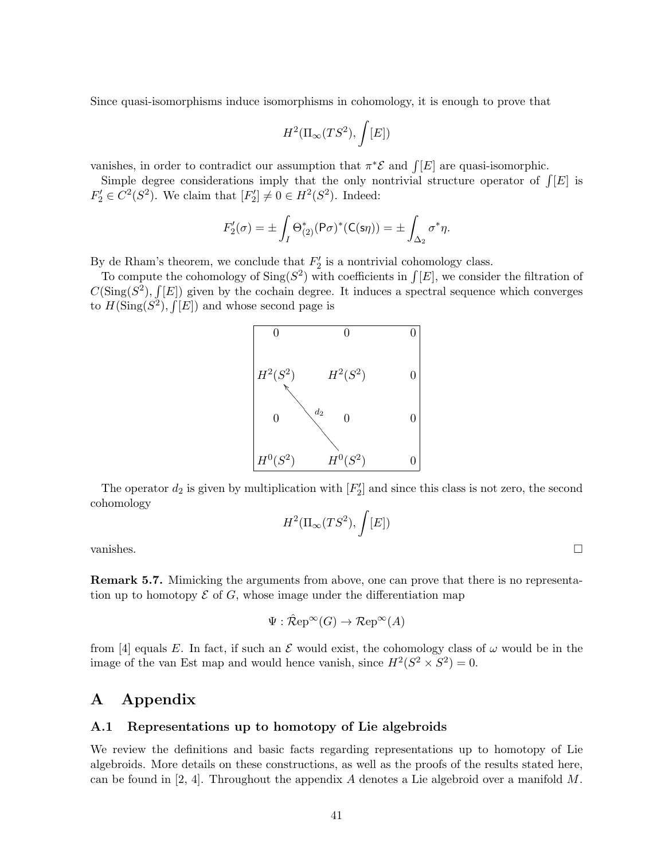Since quasi-isomorphisms induce isomorphisms in cohomology, it is enough to prove that

$$
H^2(\Pi_\infty(TS^2),\int [E])
$$

vanishes, in order to contradict our assumption that  $\pi^*\mathcal{E}$  and  $\int [E]$  are quasi-isomorphic.

Simple degree considerations imply that the only nontrivial structure operator of  $\int [E]$  is  $F_2' \in C^2(S^2)$ . We claim that  $[F_2'] \neq 0 \in H^2(S^2)$ . Indeed:

$$
F_2'(\sigma) = \pm \int_I \Theta_{(2)}^*(P\sigma)^*(C(\mathsf{S}\eta)) = \pm \int_{\Delta_2} \sigma^*\eta.
$$

By de Rham's theorem, we conclude that  $F_2'$  is a nontrivial cohomology class.

To compute the cohomology of  $\text{Sing}(S^2)$  with coefficients in  $\int [E]$ , we consider the filtration of  $C(\text{Sing}(S^2), \int [E])$  given by the cochain degree. It induces a spectral sequence which converges to  $H(\text{Sing}(S^2), \int [E])$  and whose second page is



The operator  $d_2$  is given by multiplication with  $[F'_2]$  and since this class is not zero, the second cohomology

$$
H^2(\Pi_\infty(TS^2), \int [E])
$$

vanishes.  $\Box$ 

Remark 5.7. Mimicking the arguments from above, one can prove that there is no representation up to homotopy  $\mathcal E$  of  $G$ , whose image under the differentiation map

$$
\Psi : \mathcal{\hat{R}}ep^{\infty}(G) \to \mathcal{R}ep^{\infty}(A)
$$

from [4] equals E. In fact, if such an E would exist, the cohomology class of  $\omega$  would be in the image of the van Est map and would hence vanish, since  $H^2(S^2 \times S^2) = 0$ .

# A Appendix

#### A.1 Representations up to homotopy of Lie algebroids

We review the definitions and basic facts regarding representations up to homotopy of Lie algebroids. More details on these constructions, as well as the proofs of the results stated here, can be found in [2, 4]. Throughout the appendix A denotes a Lie algebroid over a manifold  $M$ .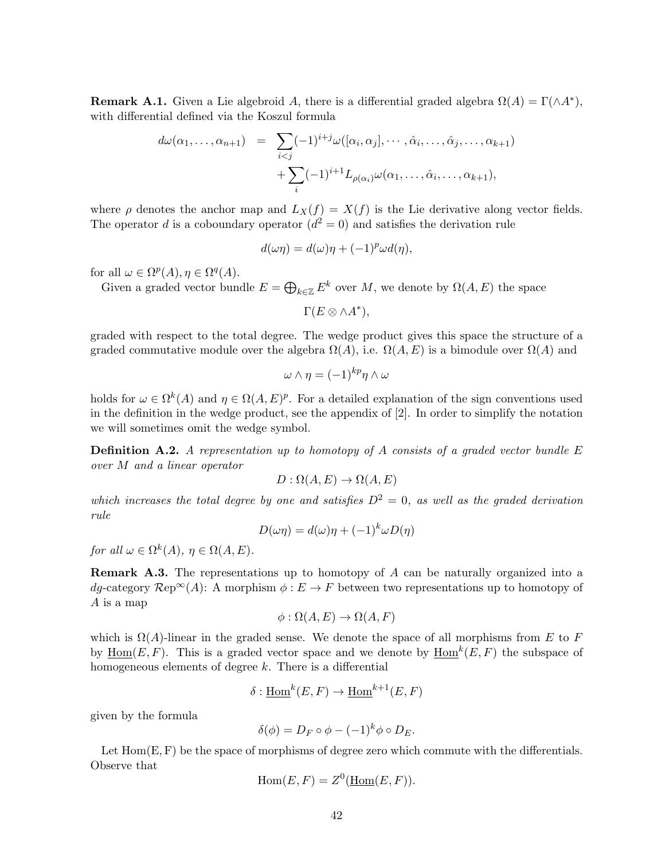**Remark A.1.** Given a Lie algebroid A, there is a differential graded algebra  $\Omega(A) = \Gamma(\wedge A^*)$ , with differential defined via the Koszul formula

$$
d\omega(\alpha_1, \ldots, \alpha_{n+1}) = \sum_{i < j} (-1)^{i+j} \omega([\alpha_i, \alpha_j], \cdots, \hat{\alpha}_i, \ldots, \hat{\alpha}_j, \ldots, \alpha_{k+1}) + \sum_i (-1)^{i+1} L_{\rho(\alpha_i)} \omega(\alpha_1, \ldots, \hat{\alpha}_i, \ldots, \alpha_{k+1}),
$$

where  $\rho$  denotes the anchor map and  $L_X(f) = X(f)$  is the Lie derivative along vector fields. The operator d is a coboundary operator  $(d^2 = 0)$  and satisfies the derivation rule

$$
d(\omega \eta) = d(\omega)\eta + (-1)^{p} \omega d(\eta),
$$

for all  $\omega \in \Omega^p(A)$ ,  $\eta \in \Omega^q(A)$ .

Given a graded vector bundle  $E = \bigoplus_{k \in \mathbb{Z}} E^k$  over M, we denote by  $\Omega(A, E)$  the space

$$
\Gamma(E\otimes \wedge A^*),
$$

graded with respect to the total degree. The wedge product gives this space the structure of a graded commutative module over the algebra  $\Omega(A)$ , i.e.  $\Omega(A, E)$  is a bimodule over  $\Omega(A)$  and

$$
\omega \wedge \eta = (-1)^{kp} \eta \wedge \omega
$$

holds for  $\omega \in \Omega^k(A)$  and  $\eta \in \Omega(A, E)^p$ . For a detailed explanation of the sign conventions used in the definition in the wedge product, see the appendix of [2]. In order to simplify the notation we will sometimes omit the wedge symbol.

**Definition A.2.** A representation up to homotopy of A consists of a graded vector bundle  $E$ over M and a linear operator

$$
D: \Omega(A, E) \to \Omega(A, E)
$$

which increases the total degree by one and satisfies  $D^2 = 0$ , as well as the graded derivation rule

$$
D(\omega \eta) = d(\omega)\eta + (-1)^{k} \omega D(\eta)
$$

for all  $\omega \in \Omega^k(A)$ ,  $\eta \in \Omega(A, E)$ .

Remark A.3. The representations up to homotopy of A can be naturally organized into a dg-category  $\mathcal{R}ep^{\infty}(A)$ : A morphism  $\phi : E \to F$  between two representations up to homotopy of A is a map

$$
\phi : \Omega(A, E) \to \Omega(A, F)
$$

which is  $\Omega(A)$ -linear in the graded sense. We denote the space of all morphisms from E to F by  $\underline{\text{Hom}}(E, F)$ . This is a graded vector space and we denote by  $\underline{\text{Hom}}^k(E, F)$  the subspace of homogeneous elements of degree k. There is a differential

$$
\delta: \underline{\mathrm{Hom}}^k(E, F) \to \underline{\mathrm{Hom}}^{k+1}(E, F)
$$

given by the formula

$$
\delta(\phi) = D_F \circ \phi - (-1)^k \phi \circ D_E.
$$

Let  $Hom(E, F)$  be the space of morphisms of degree zero which commute with the differentials. Observe that

$$
Hom(E, F) = Z^0(\underline{Hom}(E, F)).
$$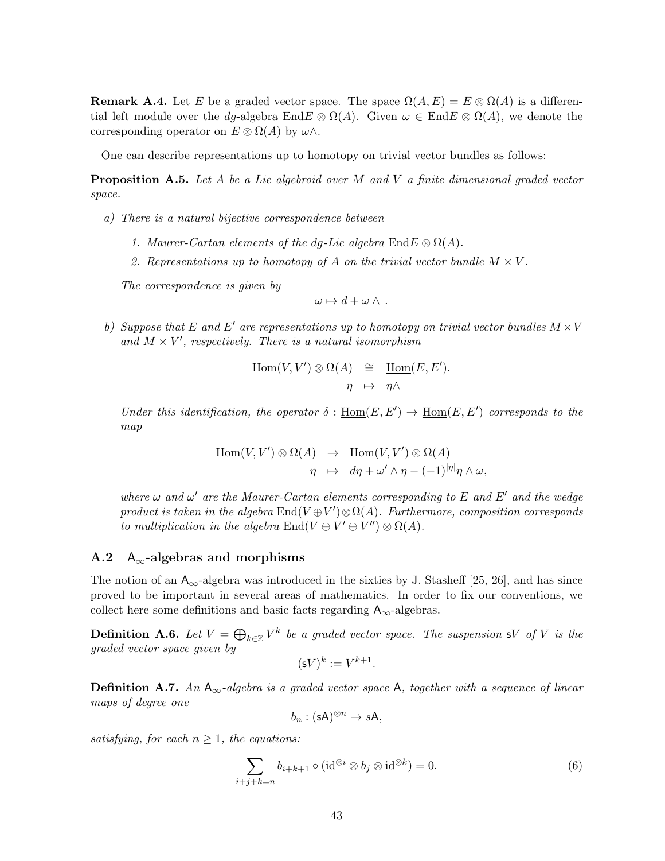**Remark A.4.** Let E be a graded vector space. The space  $\Omega(A, E) = E \otimes \Omega(A)$  is a differential left module over the dg-algebra  $EndE \otimes \Omega(A)$ . Given  $\omega \in EndE \otimes \Omega(A)$ , we denote the corresponding operator on  $E \otimes \Omega(A)$  by  $\omega \wedge$ .

One can describe representations up to homotopy on trivial vector bundles as follows:

**Proposition A.5.** Let A be a Lie algebroid over M and V a finite dimensional graded vector space.

- a) There is a natural bijective correspondence between
	- 1. Maurer-Cartan elements of the dq-Lie algebra  $\text{End}E \otimes \Omega(A)$ .
	- 2. Representations up to homotopy of A on the trivial vector bundle  $M \times V$ .

The correspondence is given by

$$
\omega \mapsto d + \omega \wedge .
$$

b) Suppose that E and E' are representations up to homotopy on trivial vector bundles  $M \times V$ and  $M \times V'$ , respectively. There is a natural isomorphism

$$
Hom(V, V') \otimes \Omega(A) \cong \underline{Hom}(E, E').
$$
  

$$
\eta \mapsto \eta \wedge
$$

Under this identification, the operator  $\delta : \underline{\text{Hom}}(E, E') \to \underline{\text{Hom}}(E, E')$  corresponds to the map

$$
Hom(V, V') \otimes \Omega(A) \rightarrow Hom(V, V') \otimes \Omega(A)
$$
  

$$
\eta \rightarrow d\eta + \omega' \wedge \eta - (-1)^{|\eta|} \eta \wedge \omega,
$$

where  $\omega$  and  $\omega'$  are the Maurer-Cartan elements corresponding to E and E' and the wedge product is taken in the algebra  $\text{End}(V \oplus V') \otimes \Omega(A)$ . Furthermore, composition corresponds to multiplication in the algebra  $\text{End}(V \oplus V' \oplus V'') \otimes \Omega(A)$ .

### A.2  $A_{\infty}$ -algebras and morphisms

The notion of an  $A_{\infty}$ -algebra was introduced in the sixties by J. Stasheff [25, 26], and has since proved to be important in several areas of mathematics. In order to fix our conventions, we collect here some definitions and basic facts regarding  $A_{\infty}$ -algebras.

**Definition A.6.** Let  $V = \bigoplus_{k \in \mathbb{Z}} V^k$  be a graded vector space. The suspension sV of V is the graded vector space given by

$$
(\mathsf{s}V)^k := V^{k+1}
$$

.

**Definition A.7.** An  $A_{\infty}$ -algebra is a graded vector space A, together with a sequence of linear maps of degree one

 $b_n : (sA)^{\otimes n} \to sA$ ,

satisfying, for each  $n \geq 1$ , the equations:

$$
\sum_{i+j+k=n} b_{i+k+1} \circ (\mathrm{id}^{\otimes i} \otimes b_j \otimes \mathrm{id}^{\otimes k}) = 0. \tag{6}
$$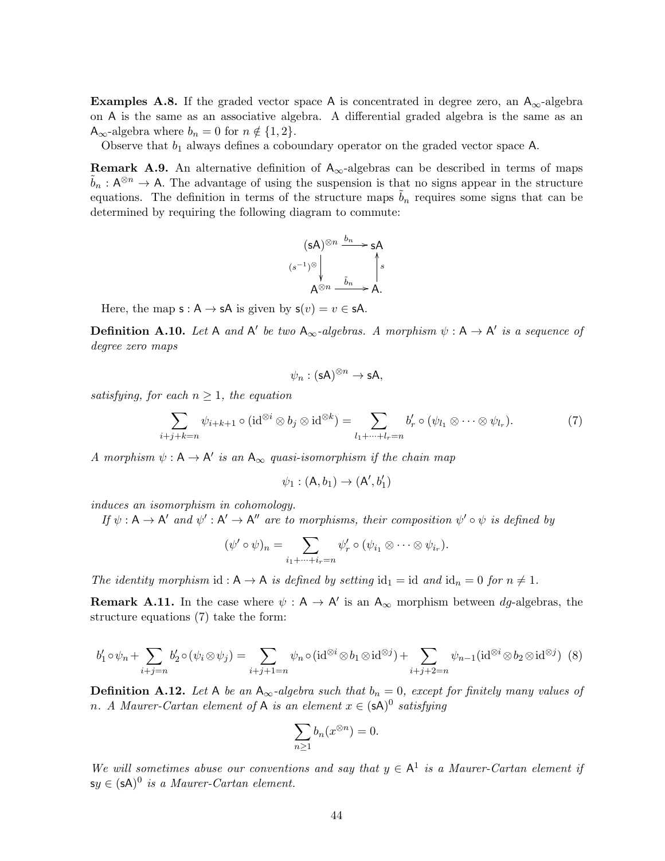**Examples A.8.** If the graded vector space A is concentrated in degree zero, an  $A_{\infty}$ -algebra on A is the same as an associative algebra. A differential graded algebra is the same as an  $A_{\infty}$ -algebra where  $b_n = 0$  for  $n \notin \{1, 2\}.$ 

Observe that  $b_1$  always defines a coboundary operator on the graded vector space A.

**Remark A.9.** An alternative definition of  $A_{\infty}$ -algebras can be described in terms of maps  $\tilde{b}_n : A^{\otimes n} \to A$ . The advantage of using the suspension is that no signs appear in the structure equations. The definition in terms of the structure maps  $\tilde{b}_n$  requires some signs that can be determined by requiring the following diagram to commute:

$$
\begin{array}{ccc}\n(sA)^{\otimes n} & \xrightarrow{b_n} sA \\
(s^{-1})^{\otimes} & & \uparrow s \\
\downarrow & & \uparrow s \\
A^{\otimes n} & \xrightarrow{\tilde{b}_n} A.\n\end{array}
$$

Here, the map  $s : A \rightarrow sA$  is given by  $s(v) = v \in sA$ .

**Definition A.10.** Let A and A' be two  $A_{\infty}$ -algebras. A morphism  $\psi : A \rightarrow A'$  is a sequence of degree zero maps

$$
\psi_n : (\mathsf{sA})^{\otimes n} \to \mathsf{sA},
$$

satisfying, for each  $n \geq 1$ , the equation

$$
\sum_{i+j+k=n} \psi_{i+k+1} \circ (\mathrm{id}^{\otimes i} \otimes b_j \otimes \mathrm{id}^{\otimes k}) = \sum_{l_1+\dots+l_r=n} b'_r \circ (\psi_{l_1} \otimes \dots \otimes \psi_{l_r}).\tag{7}
$$

A morphism  $\psi : A \to A'$  is an  $A_{\infty}$  quasi-isomorphism if the chain map

$$
\psi_1:(\mathsf{A},b_1)\to(\mathsf{A}',b_1')
$$

induces an isomorphism in cohomology.

If  $\psi : A \to A'$  and  $\psi' : A' \to A''$  are to morphisms, their composition  $\psi' \circ \psi$  is defined by

$$
(\psi' \circ \psi)_n = \sum_{i_1 + \dots + i_r = n} \psi'_r \circ (\psi_{i_1} \otimes \dots \otimes \psi_{i_r}).
$$

The identity morphism id :  $A \rightarrow A$  is defined by setting  $id_1 = id$  and  $id_n = 0$  for  $n \neq 1$ .

**Remark A.11.** In the case where  $\psi : A \to A'$  is an  $A_{\infty}$  morphism between dg-algebras, the structure equations (7) take the form:

$$
b'_1 \circ \psi_n + \sum_{i+j=n} b'_2 \circ (\psi_i \otimes \psi_j) = \sum_{i+j+1=n} \psi_n \circ (\mathrm{id}^{\otimes i} \otimes b_1 \otimes \mathrm{id}^{\otimes j}) + \sum_{i+j+2=n} \psi_{n-1} (\mathrm{id}^{\otimes i} \otimes b_2 \otimes \mathrm{id}^{\otimes j}) \tag{8}
$$

**Definition A.12.** Let A be an  $A_{\infty}$ -algebra such that  $b_n = 0$ , except for finitely many values of n. A Maurer-Cartan element of A is an element  $x \in (sA)^0$  satisfying

$$
\sum_{n\geq 1} b_n(x^{\otimes n}) = 0.
$$

We will sometimes abuse our conventions and say that  $y \in A^1$  is a Maurer-Cartan element if  $\mathsf{sy} \in (\mathsf{sA})^0$  is a Maurer-Cartan element.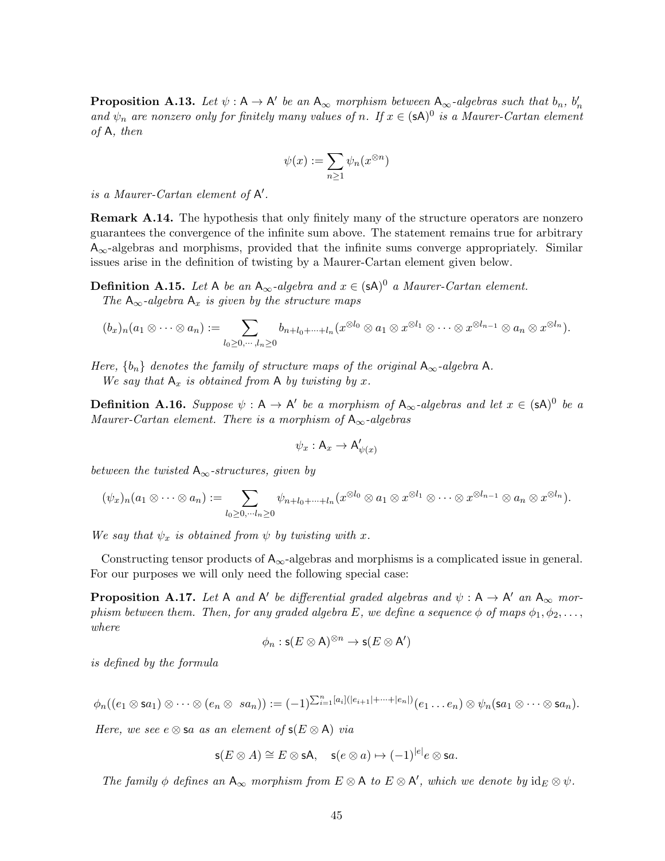**Proposition A.13.** Let  $\psi : A \to A'$  be an  $A_{\infty}$  morphism between  $A_{\infty}$ -algebras such that  $b_n$ ,  $b'_n$ and  $\psi_n$  are nonzero only for finitely many values of n. If  $x \in (sA)^0$  is a Maurer-Cartan element of A, then

$$
\psi(x):=\sum_{n\geq 1}\psi_n(x^{\otimes n})
$$

is a Maurer-Cartan element of  $A'$ .

**Remark A.14.** The hypothesis that only finitely many of the structure operators are nonzero guarantees the convergence of the infinite sum above. The statement remains true for arbitrary  $A_{\infty}$ -algebras and morphisms, provided that the infinite sums converge appropriately. Similar issues arise in the definition of twisting by a Maurer-Cartan element given below.

**Definition A.15.** Let A be an  $A_{\infty}$ -algebra and  $x \in (sA)^{0}$  a Maurer-Cartan element. The  $A_{\infty}$ -algebra  $A_x$  is given by the structure maps

$$
(b_x)_n(a_1\otimes\cdots\otimes a_n):=\sum_{l_0\geq 0,\cdots,l_n\geq 0}b_{n+l_0+\cdots+l_n}(x^{\otimes l_0}\otimes a_1\otimes x^{\otimes l_1}\otimes\cdots\otimes x^{\otimes l_{n-1}}\otimes a_n\otimes x^{\otimes l_n}).
$$

Here,  $\{b_n\}$  denotes the family of structure maps of the original  $A_{\infty}$ -algebra A. We say that  $A_x$  is obtained from A by twisting by x.

**Definition A.16.** Suppose  $\psi : A \to A'$  be a morphism of  $A_{\infty}$ -algebras and let  $x \in (sA)^{0}$  be a Maurer-Cartan element. There is a morphism of  $A_{\infty}$ -algebras

$$
\psi_x : \mathsf{A}_x \to \mathsf{A}'_{\psi(x)}
$$

between the twisted  $A_{\infty}$ -structures, given by

$$
(\psi_x)_n(a_1\otimes\cdots\otimes a_n):=\sum_{l_0\geq 0,\cdots l_n\geq 0}\psi_{n+l_0+\cdots+l_n}(x^{\otimes l_0}\otimes a_1\otimes x^{\otimes l_1}\otimes\cdots\otimes x^{\otimes l_{n-1}}\otimes a_n\otimes x^{\otimes l_n}).
$$

We say that  $\psi_x$  is obtained from  $\psi$  by twisting with x.

Constructing tensor products of  $A_{\infty}$ -algebras and morphisms is a complicated issue in general. For our purposes we will only need the following special case:

**Proposition A.17.** Let A and A' be differential graded algebras and  $\psi : A \rightarrow A'$  an  $A_{\infty}$  morphism between them. Then, for any graded algebra E, we define a sequence  $\phi$  of maps  $\phi_1, \phi_2, \ldots$ , where

$$
\phi_n: \mathsf{s}(E \otimes \mathsf{A})^{\otimes n} \to \mathsf{s}(E \otimes \mathsf{A}')
$$

is defined by the formula

$$
\phi_n((e_1 \otimes \mathsf{sa}_1) \otimes \cdots \otimes (e_n \otimes \mathsf{sa}_n)) := (-1)^{\sum_{i=1}^n [a_i] (|e_{i+1}| + \cdots + |e_n|)} (e_1 \ldots e_n) \otimes \psi_n(\mathsf{sa}_1 \otimes \cdots \otimes \mathsf{sa}_n).
$$

Here, we see  $e \otimes$  sa as an element of  $\mathsf{s}(E \otimes A)$  via

$$
\mathsf{s}(E \otimes A) \cong E \otimes \mathsf{sA}, \quad \mathsf{s}(e \otimes a) \mapsto (-1)^{|e|} e \otimes \mathsf{s} a.
$$

The family  $\phi$  defines an  $A_{\infty}$  morphism from  $E \otimes A$  to  $E \otimes A'$ , which we denote by  $id_E \otimes \psi$ .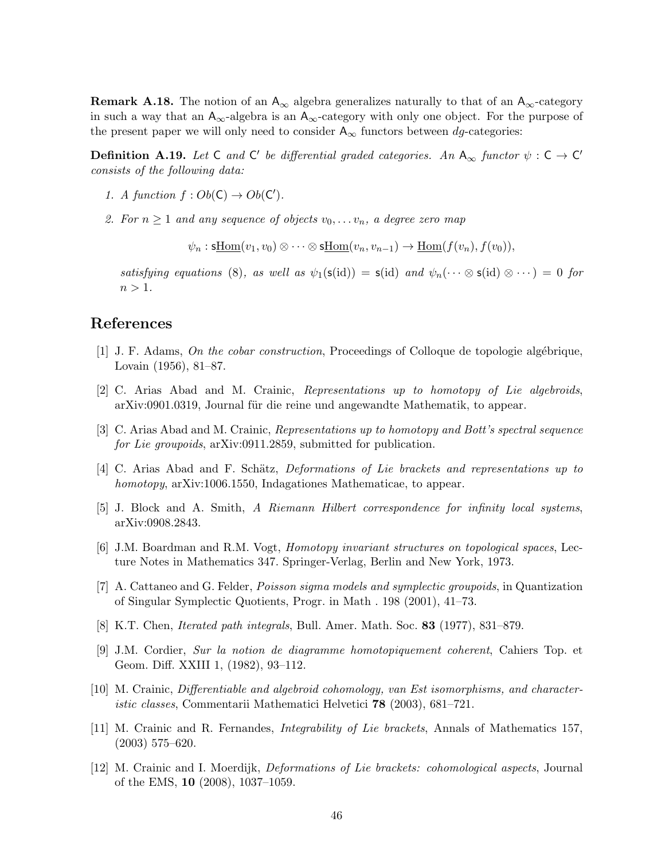**Remark A.18.** The notion of an  $A_{\infty}$  algebra generalizes naturally to that of an  $A_{\infty}$ -category in such a way that an  $A_{\infty}$ -algebra is an  $A_{\infty}$ -category with only one object. For the purpose of the present paper we will only need to consider  $A_{\infty}$  functors between dg-categories:

**Definition A.19.** Let C and C' be differential graded categories. An  $A_{\infty}$  functor  $\psi : C \to C'$ consists of the following data:

- 1. A function  $f: Ob(C) \to Ob(C')$ .
- 2. For  $n \geq 1$  and any sequence of objects  $v_0, \ldots v_n$ , a degree zero map

 $\psi_n : \operatorname{sHom}(v_1, v_0) \otimes \cdots \otimes \operatorname{sHom}(v_n, v_{n-1}) \to \operatorname{Hom}(f(v_n), f(v_0)),$ 

satisfying equations (8), as well as  $\psi_1(\mathsf{s}(\text{id})) = \mathsf{s}(\text{id})$  and  $\psi_n(\cdots \otimes \mathsf{s}(\text{id}) \otimes \cdots) = 0$  for  $n > 1$ .

# References

- $[1]$  J. F. Adams, On the cobar construction, Proceedings of Colloque de topologie algébrique, Lovain (1956), 81–87.
- [2] C. Arias Abad and M. Crainic, Representations up to homotopy of Lie algebroids, arXiv:0901.0319, Journal für die reine und angewandte Mathematik, to appear.
- [3] C. Arias Abad and M. Crainic, Representations up to homotopy and Bott's spectral sequence for Lie groupoids, arXiv:0911.2859, submitted for publication.
- [4] C. Arias Abad and F. Schätz, *Deformations of Lie brackets and representations up to* homotopy, arXiv:1006.1550, Indagationes Mathematicae, to appear.
- [5] J. Block and A. Smith, A Riemann Hilbert correspondence for infinity local systems, arXiv:0908.2843.
- [6] J.M. Boardman and R.M. Vogt, Homotopy invariant structures on topological spaces, Lecture Notes in Mathematics 347. Springer-Verlag, Berlin and New York, 1973.
- [7] A. Cattaneo and G. Felder, Poisson sigma models and symplectic groupoids, in Quantization of Singular Symplectic Quotients, Progr. in Math . 198 (2001), 41–73.
- [8] K.T. Chen, Iterated path integrals, Bull. Amer. Math. Soc. 83 (1977), 831–879.
- [9] J.M. Cordier, Sur la notion de diagramme homotopiquement coherent, Cahiers Top. et Geom. Diff. XXIII 1, (1982), 93–112.
- [10] M. Crainic, Differentiable and algebroid cohomology, van Est isomorphisms, and characteristic classes, Commentarii Mathematici Helvetici 78 (2003), 681–721.
- [11] M. Crainic and R. Fernandes, Integrability of Lie brackets, Annals of Mathematics 157, (2003) 575–620.
- [12] M. Crainic and I. Moerdijk, Deformations of Lie brackets: cohomological aspects, Journal of the EMS, 10 (2008), 1037–1059.